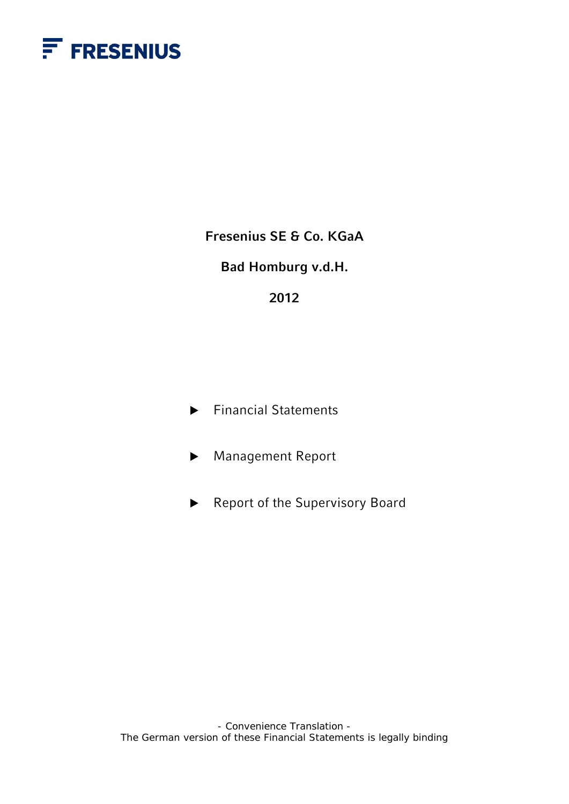

**Fresenius SE & Co. KGaA** 

**Bad Homburg v.d.H.** 

## **2012**

- $\blacktriangleright$  Financial Statements
- ▶ Management Report
- $\blacktriangleright$  Report of the Supervisory Board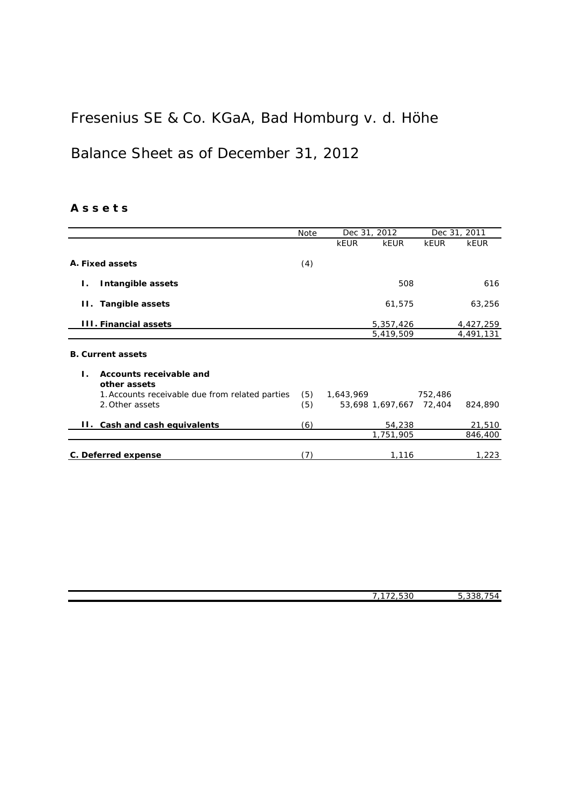## Fresenius SE & Co. KGaA, Bad Homburg v. d. Höhe

## Balance Sheet as of December 31, 2012

## **A s s e t s**

|                                                                     | Note | Dec 31, 2012            |             | Dec 31, 2011 |
|---------------------------------------------------------------------|------|-------------------------|-------------|--------------|
|                                                                     |      | <b>kEUR</b><br>kEUR     | <b>kEUR</b> | <b>kEUR</b>  |
| A. Fixed assets                                                     | (4)  |                         |             |              |
| Intangible assets<br>Ι.                                             |      | 508                     |             | 616          |
| II. Tangible assets                                                 |      | 61,575                  |             | 63,256       |
| <b>III. Financial assets</b>                                        |      | 5,357,426               |             | 4,427,259    |
|                                                                     |      | 5,419,509               |             | 4,491,131    |
| <b>B. Current assets</b><br>Accounts receivable and<br>$\mathbf{L}$ |      |                         |             |              |
| other assets                                                        |      |                         |             |              |
| 1. Accounts receivable due from related parties                     | (5)  | 1,643,969               | 752,486     |              |
| 2. Other assets                                                     | (5)  | 53,698 1,697,667 72,404 |             | 824,890      |
| II. Cash and cash equivalents                                       | (6)  | 54,238                  |             | 21,510       |
|                                                                     |      | 1,751,905               |             | 846,400      |
| C. Deferred expense                                                 | (7)  | 1,116                   |             | 1,223        |

| 7.170.50<br>ാാറ<br>- | --<br>$\cap$<br>-<br>۱۷<br>. |
|----------------------|------------------------------|
|                      |                              |
|                      |                              |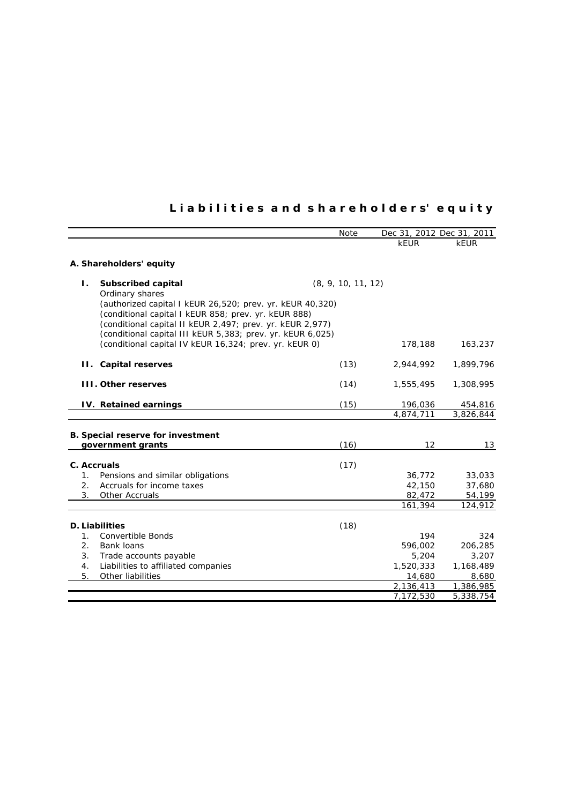## **L i a b i l i t i e s a n d s h a r e h o l d e r s' e q u i t y**

|                                                            | Note               | Dec 31, 2012 Dec 31, 2011 |             |
|------------------------------------------------------------|--------------------|---------------------------|-------------|
|                                                            |                    | <b>kEUR</b>               | <b>kEUR</b> |
|                                                            |                    |                           |             |
| A. Shareholders' equity                                    |                    |                           |             |
| <b>Subscribed capital</b><br>Τ.                            | (8, 9, 10, 11, 12) |                           |             |
| Ordinary shares                                            |                    |                           |             |
| (authorized capital I kEUR 26,520; prev. yr. kEUR 40,320)  |                    |                           |             |
| (conditional capital I kEUR 858; prev. yr. kEUR 888)       |                    |                           |             |
| (conditional capital II kEUR 2,497; prev. yr. kEUR 2,977)  |                    |                           |             |
| (conditional capital III kEUR 5,383; prev. yr. kEUR 6,025) |                    |                           |             |
| (conditional capital IV kEUR 16,324; prev. yr. kEUR 0)     |                    | 178,188                   | 163,237     |
| II. Capital reserves                                       | (13)               | 2,944,992                 | 1,899,796   |
|                                                            |                    |                           |             |
| <b>III. Other reserves</b>                                 | (14)               | 1,555,495                 | 1,308,995   |
| <b>IV.</b> Retained earnings                               | (15)               | 196,036                   | 454,816     |
|                                                            |                    | 4,874,711                 | 3,826,844   |
|                                                            |                    |                           |             |
| <b>B. Special reserve for investment</b>                   |                    |                           |             |
| government grants                                          | (16)               | 12                        | 13          |
| C. Accruals                                                | (17)               |                           |             |
| Pensions and similar obligations<br>$1_{\cdot}$            |                    | 36,772                    | 33,033      |
| Accruals for income taxes<br>2.                            |                    | 42,150                    | 37,680      |
| 3.<br>Other Accruals                                       |                    | 82,472                    | 54,199      |
|                                                            |                    | 161,394                   | 124,912     |
|                                                            |                    |                           |             |
| <b>D. Liabilities</b><br>1 <sub>1</sub>                    | (18)               | 194                       | 324         |
| <b>Convertible Bonds</b><br>2.<br><b>Bank loans</b>        |                    | 596,002                   | 206,285     |
| 3.<br>Trade accounts payable                               |                    | 5,204                     | 3,207       |
| Liabilities to affiliated companies<br>4.                  |                    | 1,520,333                 | 1,168,489   |
| 5.<br>Other liabilities                                    |                    | 14,680                    | 8,680       |
|                                                            |                    | 2,136,413                 | 1,386,985   |
|                                                            |                    | 7,172,530                 | 5,338,754   |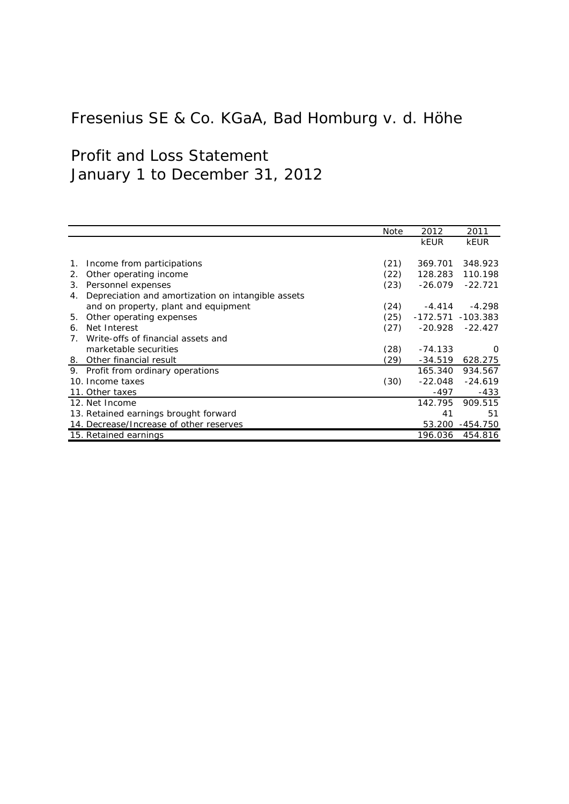# Fresenius SE & Co. KGaA, Bad Homburg v. d. Höhe

# Profit and Loss Statement January 1 to December 31, 2012

|    |                                                    | Note | 2012                 | 2011            |
|----|----------------------------------------------------|------|----------------------|-----------------|
|    |                                                    |      | <b>kEUR</b>          | <b>kEUR</b>     |
|    |                                                    |      |                      |                 |
| 1. | Income from participations                         | (21) | 369.701              | 348.923         |
| 2. | Other operating income                             | (22) | 128.283              | 110.198         |
| З. | Personnel expenses                                 | (23) | $-26.079$            | $-22.721$       |
| 4. | Depreciation and amortization on intangible assets |      |                      |                 |
|    | and on property, plant and equipment               | (24) | $-4.414$             | $-4.298$        |
| 5. | Other operating expenses                           | (25) | $-172.571 - 103.383$ |                 |
| 6. | Net Interest                                       | (27) | $-20.928$            | $-22.427$       |
| 7. | Write-offs of financial assets and                 |      |                      |                 |
|    | marketable securities                              | (28) | $-74.133$            | $\Omega$        |
| 8. | Other financial result                             | (29) | $-34.519$            | 628.275         |
| 9. | Profit from ordinary operations                    |      | 165.340              | 934.567         |
|    | 10. Income taxes                                   | (30) | $-22.048$            | $-24.619$       |
|    | 11. Other taxes                                    |      | -497                 | $-433$          |
|    | 12. Net Income                                     |      | 142.795              | 909.515         |
|    | 13. Retained earnings brought forward              |      | 41                   | 51              |
|    | 14. Decrease/Increase of other reserves            |      |                      | 53.200 -454.750 |
|    | 15. Retained earnings                              |      | 196.036              | 454.816         |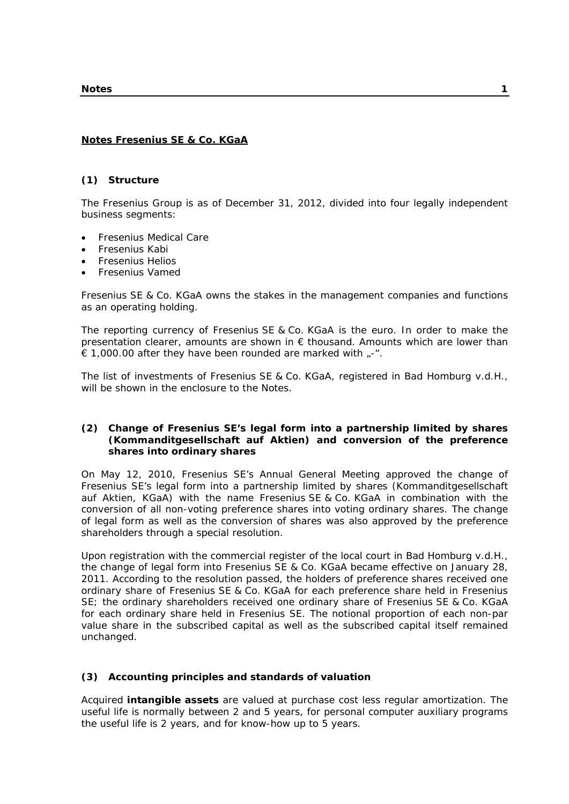### **Notes Fresenius SE & Co. KGaA**

#### **(1) Structure**

The Fresenius Group is as of December 31, 2012, divided into four legally independent business segments:

- Fresenius Medical Care
- Fresenius Kabi
- Fresenius Helios
- Fresenius Vamed

Fresenius SE & Co. KGaA owns the stakes in the management companies and functions as an operating holding.

The reporting currency of Fresenius SE & Co. KGaA is the euro. In order to make the presentation clearer, amounts are shown in  $\epsilon$  thousand. Amounts which are lower than  $\epsilon$  1,000.00 after they have been rounded are marked with  $\epsilon$ -".

The list of investments of Fresenius SE & Co. KGaA, registered in Bad Homburg v.d.H., will be shown in the enclosure to the Notes.

## **(2) Change of Fresenius SE's legal form into a partnership limited by shares (Kommanditgesellschaft auf Aktien) and conversion of the preference shares into ordinary shares**

On May 12, 2010, Fresenius SE's Annual General Meeting approved the change of Fresenius SE's legal form into a partnership limited by shares (Kommanditgesellschaft auf Aktien, KGaA) with the name Fresenius SE & Co. KGaA in combination with the conversion of all non-voting preference shares into voting ordinary shares. The change of legal form as well as the conversion of shares was also approved by the preference shareholders through a special resolution.

Upon registration with the commercial register of the local court in Bad Homburg v.d.H., the change of legal form into Fresenius SE & Co. KGaA became effective on January 28, 2011. According to the resolution passed, the holders of preference shares received one ordinary share of Fresenius SE & Co. KGaA for each preference share held in Fresenius SE; the ordinary shareholders received one ordinary share of Fresenius SE & Co. KGaA for each ordinary share held in Fresenius SE. The notional proportion of each non-par value share in the subscribed capital as well as the subscribed capital itself remained unchanged.

## **(3) Accounting principles and standards of valuation**

Acquired **intangible assets** are valued at purchase cost less regular amortization. The useful life is normally between 2 and 5 years, for personal computer auxiliary programs the useful life is 2 years, and for know-how up to 5 years.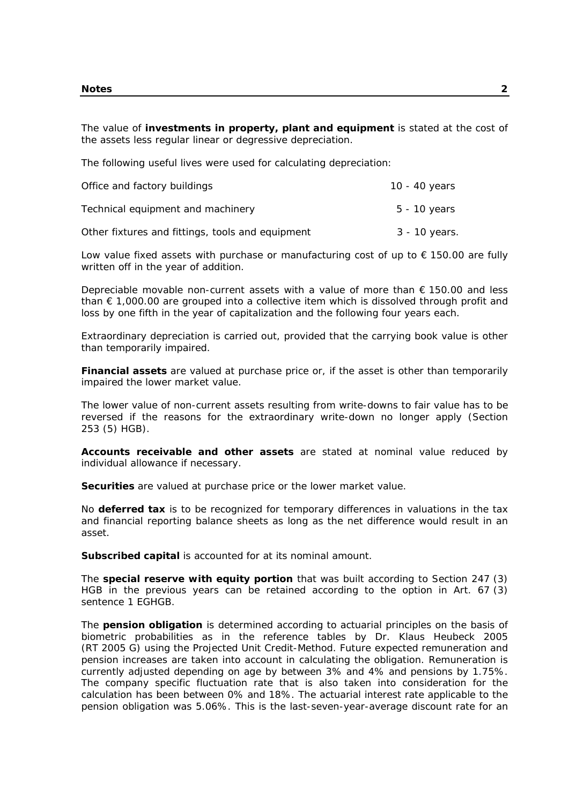The value of **investments in property, plant and equipment** is stated at the cost of the assets less regular linear or degressive depreciation.

The following useful lives were used for calculating depreciation:

| Office and factory buildings                     | 10 - 40 years |
|--------------------------------------------------|---------------|
| Technical equipment and machinery                | 5 - 10 years  |
| Other fixtures and fittings, tools and equipment | 3 - 10 years. |

Low value fixed assets with purchase or manufacturing cost of up to  $\epsilon$  150.00 are fully written off in the year of addition.

Depreciable movable non-current assets with a value of more than € 150.00 and less than  $\epsilon$  1,000.00 are grouped into a collective item which is dissolved through profit and loss by one fifth in the year of capitalization and the following four years each.

Extraordinary depreciation is carried out, provided that the carrying book value is other than temporarily impaired.

**Financial assets** are valued at purchase price or, if the asset is other than temporarily impaired the lower market value.

The lower value of non-current assets resulting from write-downs to fair value has to be reversed if the reasons for the extraordinary write-down no longer apply (Section 253 (5) HGB).

**Accounts receivable and other assets** are stated at nominal value reduced by individual allowance if necessary.

**Securities** are valued at purchase price or the lower market value.

No **deferred tax** is to be recognized for temporary differences in valuations in the tax and financial reporting balance sheets as long as the net difference would result in an asset.

**Subscribed capital** is accounted for at its nominal amount.

The **special reserve with equity portion** that was built according to Section 247 (3) HGB in the previous years can be retained according to the option in Art. 67 (3) sentence 1 EGHGB.

The **pension obligation** is determined according to actuarial principles on the basis of biometric probabilities as in the reference tables by Dr. Klaus Heubeck 2005 (RT 2005 G) using the Projected Unit Credit-Method. Future expected remuneration and pension increases are taken into account in calculating the obligation. Remuneration is currently adjusted depending on age by between 3% and 4% and pensions by 1.75%. The company specific fluctuation rate that is also taken into consideration for the calculation has been between 0% and 18%. The actuarial interest rate applicable to the pension obligation was 5.06%. This is the last-seven-year-average discount rate for an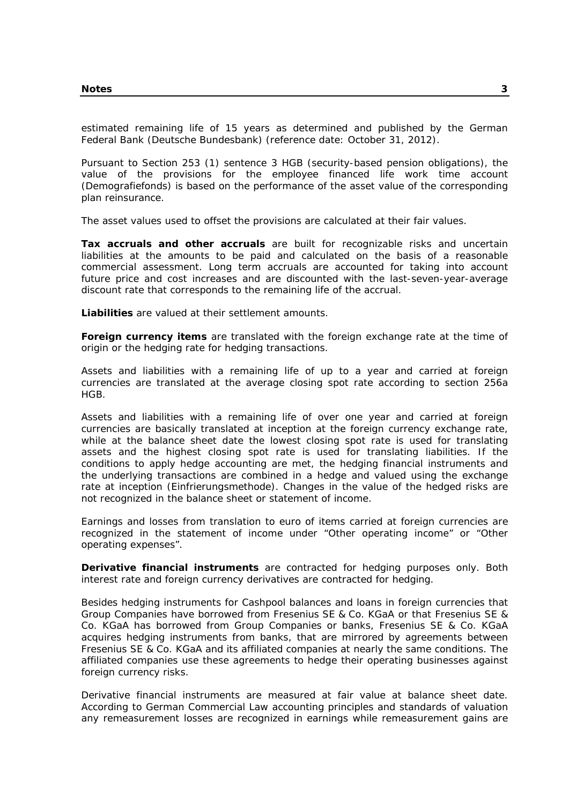estimated remaining life of 15 years as determined and published by the German Federal Bank (Deutsche Bundesbank) (reference date: October 31, 2012).

Pursuant to Section 253 (1) sentence 3 HGB (security-based pension obligations), the value of the provisions for the employee financed life work time account (Demografiefonds) is based on the performance of the asset value of the corresponding plan reinsurance.

The asset values used to offset the provisions are calculated at their fair values.

**Tax accruals and other accruals** are built for recognizable risks and uncertain liabilities at the amounts to be paid and calculated on the basis of a reasonable commercial assessment. Long term accruals are accounted for taking into account future price and cost increases and are discounted with the last-seven-year-average discount rate that corresponds to the remaining life of the accrual.

**Liabilities** are valued at their settlement amounts.

**Foreign currency items** are translated with the foreign exchange rate at the time of origin or the hedging rate for hedging transactions.

Assets and liabilities with a remaining life of up to a year and carried at foreign currencies are translated at the average closing spot rate according to section 256a HGB.

Assets and liabilities with a remaining life of over one year and carried at foreign currencies are basically translated at inception at the foreign currency exchange rate, while at the balance sheet date the lowest closing spot rate is used for translating assets and the highest closing spot rate is used for translating liabilities. If the conditions to apply hedge accounting are met, the hedging financial instruments and the underlying transactions are combined in a hedge and valued using the exchange rate at inception (Einfrierungsmethode). Changes in the value of the hedged risks are not recognized in the balance sheet or statement of income.

Earnings and losses from translation to euro of items carried at foreign currencies are recognized in the statement of income under "Other operating income" or "Other operating expenses".

**Derivative financial instruments** are contracted for hedging purposes only. Both interest rate and foreign currency derivatives are contracted for hedging.

Besides hedging instruments for Cashpool balances and loans in foreign currencies that Group Companies have borrowed from Fresenius SE & Co. KGaA or that Fresenius SE & Co. KGaA has borrowed from Group Companies or banks, Fresenius SE & Co. KGaA acquires hedging instruments from banks, that are mirrored by agreements between Fresenius SE & Co. KGaA and its affiliated companies at nearly the same conditions. The affiliated companies use these agreements to hedge their operating businesses against foreign currency risks.

Derivative financial instruments are measured at fair value at balance sheet date. According to German Commercial Law accounting principles and standards of valuation any remeasurement losses are recognized in earnings while remeasurement gains are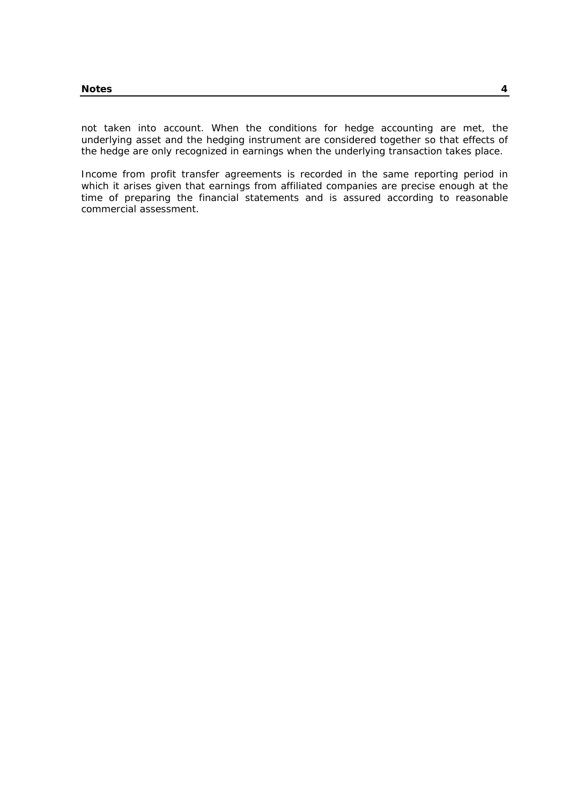not taken into account. When the conditions for hedge accounting are met, the underlying asset and the hedging instrument are considered together so that effects of the hedge are only recognized in earnings when the underlying transaction takes place.

Income from profit transfer agreements is recorded in the same reporting period in which it arises given that earnings from affiliated companies are precise enough at the time of preparing the financial statements and is assured according to reasonable commercial assessment.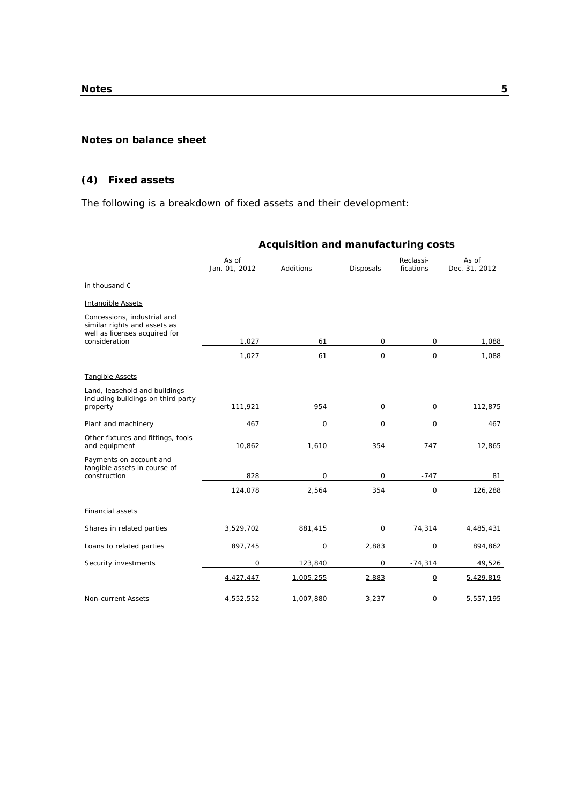#### **Notes on balance sheet**

## **(4) Fixed assets**

The following is a breakdown of fixed assets and their development:

|                                                                                              | Acquisition and manufacturing costs |           |                 |                          |                        |  |
|----------------------------------------------------------------------------------------------|-------------------------------------|-----------|-----------------|--------------------------|------------------------|--|
|                                                                                              | As of<br>Jan. 01, 2012              | Additions | Disposals       | Reclassi-<br>fications   | As of<br>Dec. 31, 2012 |  |
| in thousand $\epsilon$                                                                       |                                     |           |                 |                          |                        |  |
| <b>Intangible Assets</b>                                                                     |                                     |           |                 |                          |                        |  |
| Concessions, industrial and<br>similar rights and assets as<br>well as licenses acquired for |                                     |           |                 |                          |                        |  |
| consideration                                                                                | 1,027                               | 61        | 0               | 0                        | 1,088                  |  |
|                                                                                              | 1,027                               | 61        | $\underline{0}$ | $\underline{\mathsf{O}}$ | 1,088                  |  |
| Tangible Assets                                                                              |                                     |           |                 |                          |                        |  |
| Land, leasehold and buildings<br>including buildings on third party<br>property              | 111,921                             | 954       | $\mathsf{O}$    | 0                        | 112,875                |  |
| Plant and machinery                                                                          | 467                                 | 0         | $\mathbf 0$     | $\mathbf 0$              | 467                    |  |
| Other fixtures and fittings, tools<br>and equipment                                          | 10,862                              | 1,610     | 354             | 747                      | 12,865                 |  |
| Payments on account and<br>tangible assets in course of                                      |                                     |           |                 |                          |                        |  |
| construction                                                                                 | 828                                 | 0         | $\mathbf 0$     | $-747$                   | 81                     |  |
|                                                                                              | 124,078                             | 2,564     | 354             | $\underline{\mathsf{O}}$ | 126,288                |  |
| <b>Financial assets</b>                                                                      |                                     |           |                 |                          |                        |  |
| Shares in related parties                                                                    | 3,529,702                           | 881,415   | 0               | 74,314                   | 4,485,431              |  |
| Loans to related parties                                                                     | 897,745                             | 0         | 2,883           | $\mathbf 0$              | 894,862                |  |
| Security investments                                                                         | $\mathsf{O}$                        | 123,840   | 0               | $-74,314$                | 49,526                 |  |
|                                                                                              | 4,427,447                           | 1,005,255 | 2,883           | $\overline{0}$           | 5,429,819              |  |
| Non-current Assets                                                                           | 4,552,552                           | 1,007,880 | 3,237           | $\Omega$                 | 5,557,195              |  |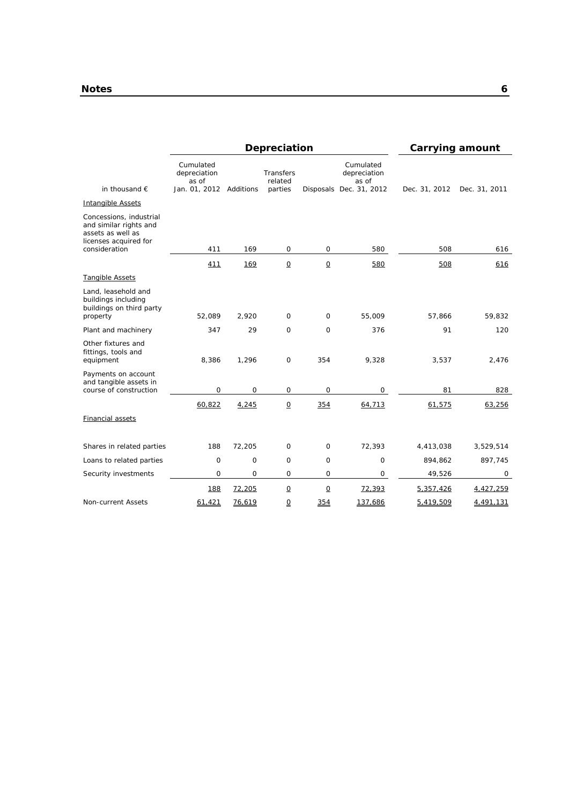|                                                                                                                  | Depreciation                       |           |                          | Carrying amount          |                                    |               |               |
|------------------------------------------------------------------------------------------------------------------|------------------------------------|-----------|--------------------------|--------------------------|------------------------------------|---------------|---------------|
| in thousand $\epsilon$                                                                                           | Cumulated<br>depreciation<br>as of |           | Transfers<br>related     |                          | Cumulated<br>depreciation<br>as of |               |               |
|                                                                                                                  | Jan. 01, 2012                      | Additions | parties                  |                          | Disposals Dec. 31, 2012            | Dec. 31, 2012 | Dec. 31, 2011 |
| <b>Intangible Assets</b>                                                                                         |                                    |           |                          |                          |                                    |               |               |
| Concessions, industrial<br>and similar rights and<br>assets as well as<br>licenses acquired for<br>consideration | 411                                | 169       | 0                        | 0                        | 580                                | 508           | 616           |
|                                                                                                                  | 411                                | 169       | $\underline{\mathsf{O}}$ | $\underline{0}$          | 580                                | 508           | 616           |
| Tangible Assets                                                                                                  |                                    |           |                          |                          |                                    |               |               |
| Land, leasehold and<br>buildings including<br>buildings on third party<br>property                               | 52,089                             | 2,920     | $\mathsf O$              | 0                        | 55,009                             | 57,866        | 59,832        |
| Plant and machinery                                                                                              | 347                                | 29        | $\Omega$                 | $\Omega$                 | 376                                | 91            | 120           |
| Other fixtures and<br>fittings, tools and<br>equipment                                                           | 8,386                              | 1,296     | $\mathsf O$              | 354                      | 9,328                              | 3,537         | 2,476         |
| Payments on account<br>and tangible assets in<br>course of construction                                          | 0                                  | 0         | 0                        | $\Omega$                 | 0                                  | 81            | 828           |
|                                                                                                                  | 60,822                             | 4,245     | $\underline{0}$          | 354                      | 64,713                             | 61,575        | 63,256        |
| <b>Financial assets</b>                                                                                          |                                    |           |                          |                          |                                    |               |               |
| Shares in related parties                                                                                        | 188                                | 72,205    | 0                        | 0                        | 72,393                             | 4,413,038     | 3,529,514     |
| Loans to related parties                                                                                         | 0                                  | 0         | 0                        | 0                        | 0                                  | 894,862       | 897,745       |
| Security investments                                                                                             | 0                                  | 0         | $\mathbf 0$              | 0                        | $\mathsf{O}$                       | 49,526        | $\mathsf{O}$  |
|                                                                                                                  | 188                                | 72,205    | $\underline{\mathsf{O}}$ | $\underline{\mathsf{O}}$ | 72,393                             | 5,357,426     | 4,427,259     |
| Non-current Assets                                                                                               | 61.421                             | 76,619    | 0                        | 354                      | 137,686                            | 5,419,509     | 4,491,131     |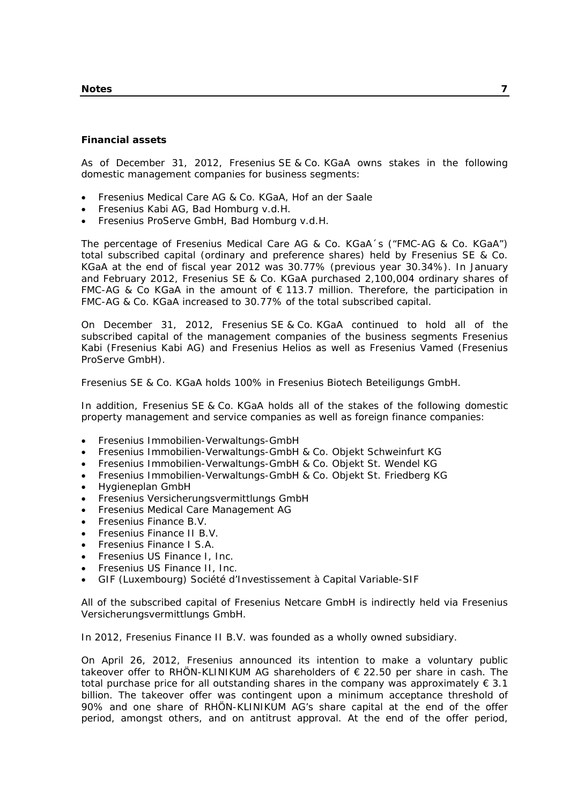#### **Notes 7**

#### **Financial assets**

As of December 31, 2012, Fresenius SE & Co. KGaA owns stakes in the following domestic management companies for business segments:

- Fresenius Medical Care AG & Co. KGaA, Hof an der Saale
- Fresenius Kabi AG, Bad Homburg v.d.H.
- Fresenius ProServe GmbH, Bad Homburg v.d.H.

The percentage of Fresenius Medical Care AG & Co. KGaA´s ("FMC-AG & Co. KGaA") total subscribed capital (ordinary and preference shares) held by Fresenius SE & Co. KGaA at the end of fiscal year 2012 was 30.77% (previous year 30.34%). In January and February 2012, Fresenius SE & Co. KGaA purchased 2,100,004 ordinary shares of FMC-AG & Co KGaA in the amount of  $\epsilon$  113.7 million. Therefore, the participation in FMC-AG & Co. KGaA increased to 30.77% of the total subscribed capital.

On December 31, 2012, Fresenius SE & Co. KGaA continued to hold all of the subscribed capital of the management companies of the business segments Fresenius Kabi (Fresenius Kabi AG) and Fresenius Helios as well as Fresenius Vamed (Fresenius ProServe GmbH).

Fresenius SE & Co. KGaA holds 100% in Fresenius Biotech Beteiligungs GmbH.

In addition, Fresenius SE & Co. KGaA holds all of the stakes of the following domestic property management and service companies as well as foreign finance companies:

- Fresenius Immobilien-Verwaltungs-GmbH
- Fresenius Immobilien-Verwaltungs-GmbH & Co. Objekt Schweinfurt KG
- Fresenius Immobilien-Verwaltungs-GmbH & Co. Objekt St. Wendel KG
- Fresenius Immobilien-Verwaltungs-GmbH & Co. Objekt St. Friedberg KG
- Hygieneplan GmbH
- Fresenius Versicherungsvermittlungs GmbH
- Fresenius Medical Care Management AG
- Fresenius Finance B.V.
- Fresenius Finance II B.V.
- Fresenius Finance I S.A.
- Fresenius US Finance I, Inc.
- Fresenius US Finance II, Inc.
- GIF (Luxembourg) Société d'Investissement à Capital Variable-SIF

All of the subscribed capital of Fresenius Netcare GmbH is indirectly held via Fresenius Versicherungsvermittlungs GmbH.

In 2012, Fresenius Finance II B.V. was founded as a wholly owned subsidiary.

On April 26, 2012, Fresenius announced its intention to make a voluntary public takeover offer to RHÖN-KLINIKUM AG shareholders of € 22.50 per share in cash. The total purchase price for all outstanding shares in the company was approximately  $\epsilon$  3.1 billion. The takeover offer was contingent upon a minimum acceptance threshold of 90% and one share of RHÖN-KLINIKUM AG's share capital at the end of the offer period, amongst others, and on antitrust approval. At the end of the offer period,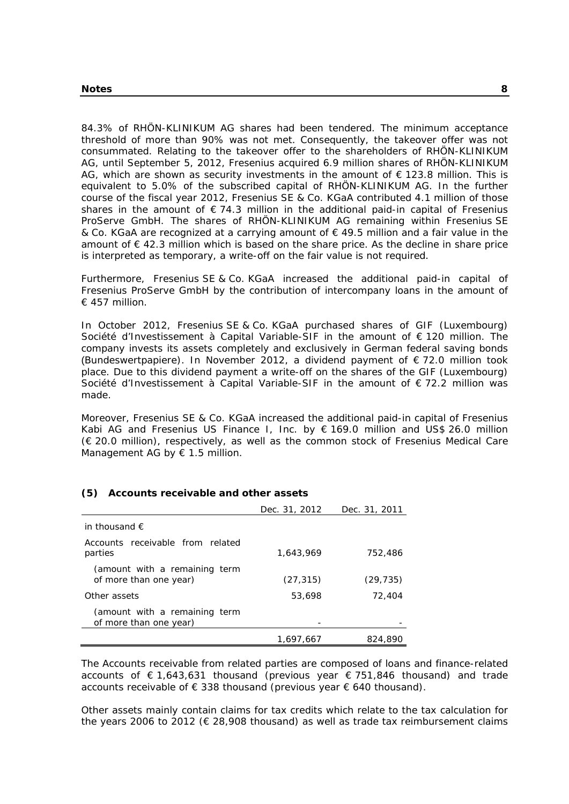84.3% of RHÖN-KLINIKUM AG shares had been tendered. The minimum acceptance threshold of more than 90% was not met. Consequently, the takeover offer was not consummated. Relating to the takeover offer to the shareholders of RHÖN-KLINIKUM AG, until September 5, 2012, Fresenius acquired 6.9 million shares of RHÖN-KLINIKUM AG, which are shown as security investments in the amount of  $\epsilon$  123.8 million. This is equivalent to 5.0% of the subscribed capital of RHÖN-KLINIKUM AG. In the further course of the fiscal year 2012, Fresenius SE & Co. KGaA contributed 4.1 million of those shares in the amount of  $\epsilon$  74.3 million in the additional paid-in capital of Fresenius ProServe GmbH. The shares of RHÖN-KLINIKUM AG remaining within Fresenius SE & Co. KGaA are recognized at a carrying amount of € 49.5 million and a fair value in the amount of € 42.3 million which is based on the share price. As the decline in share price is interpreted as temporary, a write-off on the fair value is not required.

Furthermore, Fresenius SE & Co. KGaA increased the additional paid-in capital of Fresenius ProServe GmbH by the contribution of intercompany loans in the amount of € 457 million.

In October 2012, Fresenius SE & Co. KGaA purchased shares of GIF (Luxembourg) Société d'Investissement à Capital Variable-SIF in the amount of € 120 million. The company invests its assets completely and exclusively in German federal saving bonds (Bundeswertpapiere). In November 2012, a dividend payment of  $\epsilon$  72.0 million took place. Due to this dividend payment a write-off on the shares of the GIF (Luxembourg) Société d'Investissement à Capital Variable-SIF in the amount of € 72.2 million was made.

Moreover, Fresenius SE & Co. KGaA increased the additional paid-in capital of Fresenius Kabi AG and Fresenius US Finance I, Inc. by € 169.0 million and US\$ 26.0 million (€ 20.0 million), respectively, as well as the common stock of Fresenius Medical Care Management AG by  $\epsilon$  1.5 million.

|                                                         | Dec. 31, 2012 | Dec. 31, 2011 |
|---------------------------------------------------------|---------------|---------------|
| in thousand $\epsilon$                                  |               |               |
| Accounts receivable from related<br>parties             | 1,643,969     | 752,486       |
| (amount with a remaining term<br>of more than one year) | (27, 315)     | (29, 735)     |
| Other assets                                            | 53,698        | 72,404        |
| (amount with a remaining term<br>of more than one year) |               |               |
|                                                         | 1,697,667     | 824,890       |

## **(5) Accounts receivable and other assets**

The Accounts receivable from related parties are composed of loans and finance-related accounts of € 1,643,631 thousand (previous year € 751,846 thousand) and trade accounts receivable of € 338 thousand (previous year  $€$  640 thousand).

Other assets mainly contain claims for tax credits which relate to the tax calculation for the years 2006 to 2012 ( $\epsilon$  28,908 thousand) as well as trade tax reimbursement claims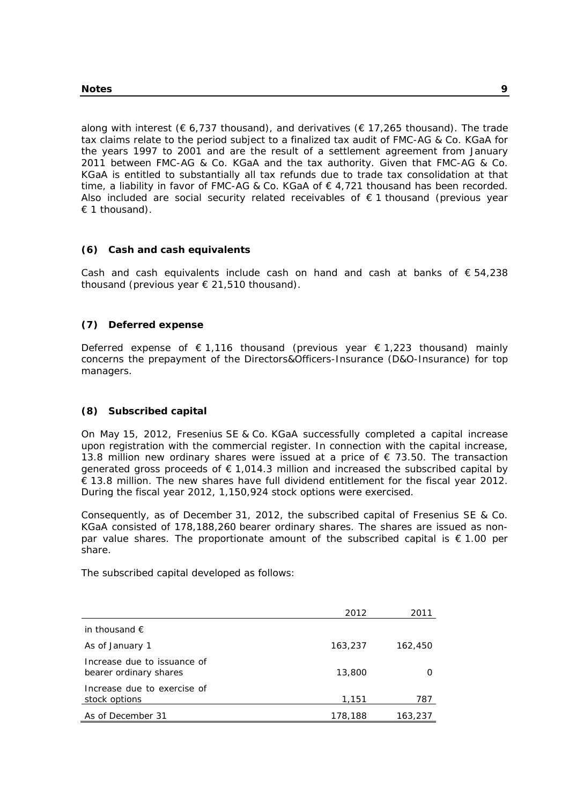along with interest ( $\epsilon$  6,737 thousand), and derivatives ( $\epsilon$  17,265 thousand). The trade tax claims relate to the period subject to a finalized tax audit of FMC-AG & Co. KGaA for the years 1997 to 2001 and are the result of a settlement agreement from January 2011 between FMC-AG & Co. KGaA and the tax authority. Given that FMC-AG & Co. KGaA is entitled to substantially all tax refunds due to trade tax consolidation at that time, a liability in favor of FMC-AG & Co. KGaA of  $\epsilon$  4,721 thousand has been recorded. Also included are social security related receivables of  $\epsilon$  1 thousand (previous year  $\epsilon$  1 thousand).

## **(6) Cash and cash equivalents**

Cash and cash equivalents include cash on hand and cash at banks of  $\epsilon$  54,238 thousand (previous year € 21,510 thousand).

#### **(7) Deferred expense**

Deferred expense of  $\epsilon$  1,116 thousand (previous year  $\epsilon$  1,223 thousand) mainly concerns the prepayment of the Directors&Officers-Insurance (D&O-Insurance) for top managers.

#### **(8) Subscribed capital**

On May 15, 2012, Fresenius SE & Co. KGaA successfully completed a capital increase upon registration with the commercial register. In connection with the capital increase, 13.8 million new ordinary shares were issued at a price of  $\epsilon$  73.50. The transaction generated gross proceeds of  $\epsilon$  1,014.3 million and increased the subscribed capital by € 13.8 million. The new shares have full dividend entitlement for the fiscal year 2012. During the fiscal year 2012, 1,150,924 stock options were exercised.

Consequently, as of December 31, 2012, the subscribed capital of Fresenius SE & Co. KGaA consisted of 178,188,260 bearer ordinary shares. The shares are issued as nonpar value shares. The proportionate amount of the subscribed capital is  $\epsilon$  1.00 per share.

The subscribed capital developed as follows:

|                                                       | 2012    | 2011    |
|-------------------------------------------------------|---------|---------|
| in thousand $\epsilon$                                |         |         |
| As of January 1                                       | 163,237 | 162,450 |
| Increase due to issuance of<br>bearer ordinary shares | 13,800  |         |
| Increase due to exercise of<br>stock options          | 1,151   | 787     |
| As of December 31                                     | 178,188 | 163,237 |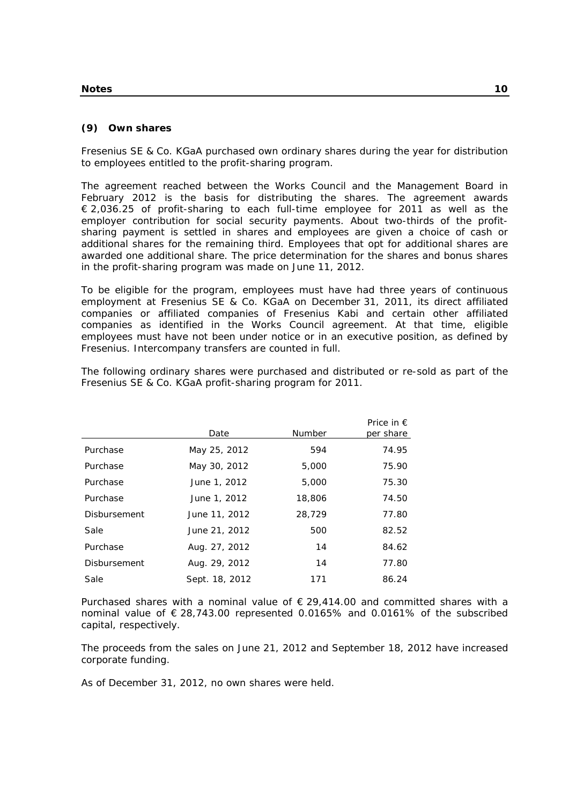## **(9) Own shares**

Fresenius SE & Co. KGaA purchased own ordinary shares during the year for distribution to employees entitled to the profit-sharing program.

The agreement reached between the Works Council and the Management Board in February 2012 is the basis for distributing the shares. The agreement awards € 2,036.25 of profit-sharing to each full-time employee for 2011 as well as the employer contribution for social security payments. About two-thirds of the profitsharing payment is settled in shares and employees are given a choice of cash or additional shares for the remaining third. Employees that opt for additional shares are awarded one additional share. The price determination for the shares and bonus shares in the profit-sharing program was made on June 11, 2012.

To be eligible for the program, employees must have had three years of continuous employment at Fresenius SE & Co. KGaA on December 31, 2011, its direct affiliated companies or affiliated companies of Fresenius Kabi and certain other affiliated companies as identified in the Works Council agreement. At that time, eligible employees must have not been under notice or in an executive position, as defined by Fresenius. Intercompany transfers are counted in full.

The following ordinary shares were purchased and distributed or re-sold as part of the Fresenius SE & Co. KGaA profit-sharing program for 2011.

|                     | Date           | <b>Number</b> | Price in $\epsilon$<br>per share |
|---------------------|----------------|---------------|----------------------------------|
| Purchase            | May 25, 2012   | 594           | 74.95                            |
| Purchase            | May 30, 2012   | 5,000         | 75.90                            |
| Purchase            | June 1, 2012   | 5,000         | 75.30                            |
| Purchase            | June 1, 2012   | 18,806        | 74.50                            |
| <b>Disbursement</b> | June 11, 2012  | 28,729        | 77.80                            |
| Sale                | June 21, 2012  | 500           | 82.52                            |
| Purchase            | Aug. 27, 2012  | 14            | 84.62                            |
| Disbursement        | Aug. 29, 2012  | 14            | 77.80                            |
| Sale                | Sept. 18, 2012 | 171           | 86.24                            |

Purchased shares with a nominal value of  $\epsilon$  29.414.00 and committed shares with a nominal value of € 28,743.00 represented 0.0165% and 0.0161% of the subscribed capital, respectively.

The proceeds from the sales on June 21, 2012 and September 18, 2012 have increased corporate funding.

As of December 31, 2012, no own shares were held.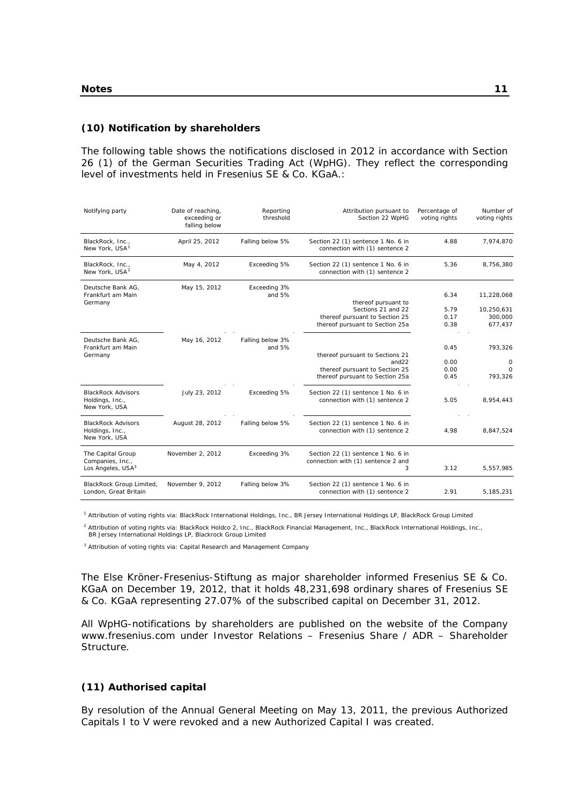#### **(10) Notification by shareholders**

The following table shows the notifications disclosed in 2012 in accordance with Section 26 (1) of the German Securities Trading Act (WpHG). They reflect the corresponding level of investments held in Fresenius SE & Co. KGaA.:

| Notifying party                                                        | Date of reaching,<br>exceeding or<br>falling below | Reporting<br>threshold       | Attribution pursuant to<br>Section 22 WpHG                                                                       | Percentage of<br>voting rights | Number of<br>voting rights                     |
|------------------------------------------------------------------------|----------------------------------------------------|------------------------------|------------------------------------------------------------------------------------------------------------------|--------------------------------|------------------------------------------------|
| BlackRock, Inc.,<br>New York, USA <sup>1</sup>                         | April 25, 2012                                     | Falling below 5%             | Section 22 (1) sentence 1 No. 6 in<br>connection with (1) sentence 2                                             | 4.88                           | 7,974,870                                      |
| BlackRock, Inc.,<br>New York, USA <sup>2</sup>                         | May 4, 2012                                        | Exceeding 5%                 | Section 22 (1) sentence 1 No. 6 in<br>connection with (1) sentence 2                                             | 5.36                           | 8,756,380                                      |
| Deutsche Bank AG.<br>Frankfurt am Main<br>Germany                      | May 15, 2012                                       | Exceeding 3%<br>and $5%$     | thereof pursuant to<br>Sections 21 and 22<br>thereof pursuant to Section 25<br>thereof pursuant to Section 25a   | 6.34<br>5.79<br>0.17<br>0.38   | 11,228,068<br>10,250,631<br>300,000<br>677,437 |
| Deutsche Bank AG.<br>Frankfurt am Main<br>Germany                      | May 16, 2012                                       | Falling below 3%<br>and $5%$ | thereof pursuant to Sections 21<br>and $22$<br>thereof pursuant to Section 25<br>thereof pursuant to Section 25a | 0.45<br>0.00<br>0.00<br>0.45   | 793,326<br>0<br>$\mathbf 0$<br>793,326         |
| <b>BlackRock Advisors</b><br>Holdings, Inc.,<br>New York, USA          | July 23, 2012                                      | Exceeding 5%                 | Section 22 (1) sentence 1 No. 6 in<br>connection with (1) sentence 2                                             | 5.05                           | 8,954,443                                      |
| <b>BlackRock Advisors</b><br>Holdings, Inc.,<br>New York, USA          | August 28, 2012                                    | Falling below 5%             | Section 22 (1) sentence 1 No. 6 in<br>connection with (1) sentence 2                                             | 4.98                           | 8,847,524                                      |
| The Capital Group<br>Companies, Inc.,<br>Los Angeles, USA <sup>3</sup> | November 2, 2012                                   | Exceeding 3%                 | Section 22 (1) sentence 1 No. 6 in<br>connection with (1) sentence 2 and<br>3                                    | 3.12                           | 5,557,985                                      |
| BlackRock Group Limited,<br>London, Great Britain                      | November 9, 2012                                   | Falling below 3%             | Section 22 (1) sentence 1 No. 6 in<br>connection with (1) sentence 2                                             | 2.91                           | 5,185,231                                      |

1 Attribution of voting rights via: BlackRock International Holdings, Inc., BR Jersey International Holdings LP, BlackRock Group Limited

<sup>2</sup> Attribution of voting rights via: BlackRock Holdco 2, Inc., BlackRock Financial Management, Inc., BlackRock International Holdings, Inc., BR Jersey International Holdings LP, Blackrock Group Limited

<sup>3</sup> Attribution of voting rights via: Capital Research and Management Company

The Else Kröner-Fresenius-Stiftung as major shareholder informed Fresenius SE & Co. KGaA on December 19, 2012, that it holds 48,231,698 ordinary shares of Fresenius SE & Co. KGaA representing 27.07% of the subscribed capital on December 31, 2012.

All WpHG-notifications by shareholders are published on the website of the Company www.fresenius.com under Investor Relations – Fresenius Share / ADR – Shareholder Structure.

#### **(11) Authorised capital**

By resolution of the Annual General Meeting on May 13, 2011, the previous Authorized Capitals I to V were revoked and a new Authorized Capital I was created.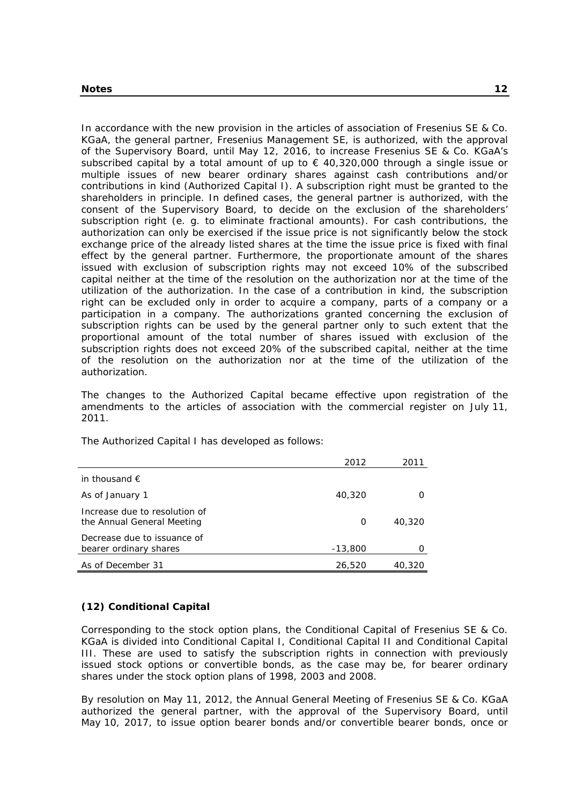In accordance with the new provision in the articles of association of Fresenius SE & Co. KGaA, the general partner, Fresenius Management SE, is authorized, with the approval of the Supervisory Board, until May 12, 2016, to increase Fresenius SE & Co. KGaA's subscribed capital by a total amount of up to  $\epsilon$  40,320,000 through a single issue or multiple issues of new bearer ordinary shares against cash contributions and/or contributions in kind (Authorized Capital I). A subscription right must be granted to the shareholders in principle. In defined cases, the general partner is authorized, with the consent of the Supervisory Board, to decide on the exclusion of the shareholders' subscription right (e. g. to eliminate fractional amounts). For cash contributions, the authorization can only be exercised if the issue price is not significantly below the stock exchange price of the already listed shares at the time the issue price is fixed with final effect by the general partner. Furthermore, the proportionate amount of the shares issued with exclusion of subscription rights may not exceed 10% of the subscribed capital neither at the time of the resolution on the authorization nor at the time of the utilization of the authorization. In the case of a contribution in kind, the subscription right can be excluded only in order to acquire a company, parts of a company or a participation in a company. The authorizations granted concerning the exclusion of subscription rights can be used by the general partner only to such extent that the proportional amount of the total number of shares issued with exclusion of the subscription rights does not exceed 20% of the subscribed capital, neither at the time of the resolution on the authorization nor at the time of the utilization of the authorization.

The changes to the Authorized Capital became effective upon registration of the amendments to the articles of association with the commercial register on July 11, 2011.

|                                                             | 2012      | 2011   |
|-------------------------------------------------------------|-----------|--------|
| in thousand $\epsilon$                                      |           |        |
| As of January 1                                             | 40,320    |        |
| Increase due to resolution of<br>the Annual General Meeting | 0         | 40,320 |
| Decrease due to issuance of<br>bearer ordinary shares       | $-13,800$ |        |
| As of December 31                                           | 26,520    | 40,320 |

The Authorized Capital I has developed as follows:

#### **(12) Conditional Capital**

Corresponding to the stock option plans, the Conditional Capital of Fresenius SE & Co. KGaA is divided into Conditional Capital I, Conditional Capital II and Conditional Capital III. These are used to satisfy the subscription rights in connection with previously issued stock options or convertible bonds, as the case may be, for bearer ordinary shares under the stock option plans of 1998, 2003 and 2008.

By resolution on May 11, 2012, the Annual General Meeting of Fresenius SE & Co. KGaA authorized the general partner, with the approval of the Supervisory Board, until May 10, 2017, to issue option bearer bonds and/or convertible bearer bonds, once or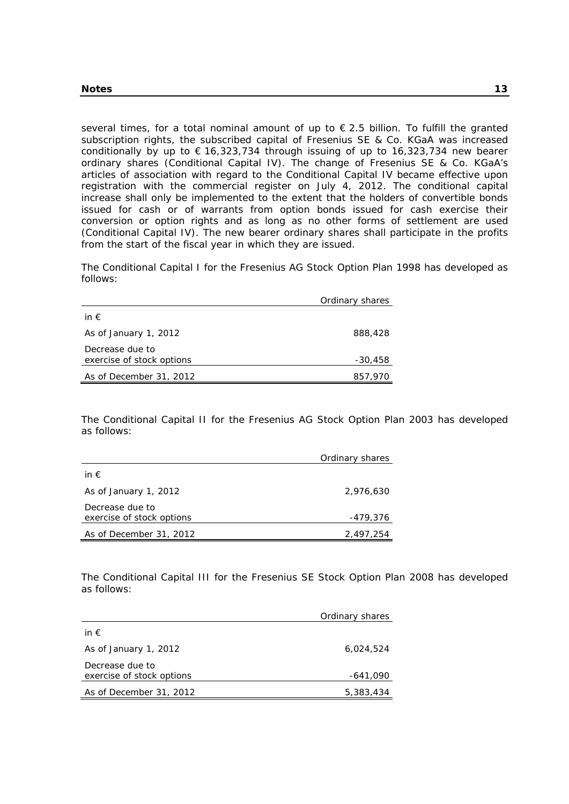several times, for a total nominal amount of up to  $\epsilon$  2.5 billion. To fulfill the granted subscription rights, the subscribed capital of Fresenius SE & Co. KGaA was increased conditionally by up to  $\epsilon$  16,323,734 through issuing of up to 16,323,734 new bearer ordinary shares (Conditional Capital IV). The change of Fresenius SE & Co. KGaA's articles of association with regard to the Conditional Capital IV became effective upon registration with the commercial register on July 4, 2012. The conditional capital increase shall only be implemented to the extent that the holders of convertible bonds issued for cash or of warrants from option bonds issued for cash exercise their conversion or option rights and as long as no other forms of settlement are used (Conditional Capital IV). The new bearer ordinary shares shall participate in the profits from the start of the fiscal year in which they are issued.

The Conditional Capital I for the Fresenius AG Stock Option Plan 1998 has developed as follows:

|                                              | Ordinary shares |
|----------------------------------------------|-----------------|
| in $\epsilon$                                |                 |
| As of January 1, 2012                        | 888,428         |
| Decrease due to<br>exercise of stock options | $-30,458$       |
| As of December 31, 2012                      | 857,970         |

The Conditional Capital II for the Fresenius AG Stock Option Plan 2003 has developed as follows:

|                                              | Ordinary shares |
|----------------------------------------------|-----------------|
| in $\epsilon$                                |                 |
| As of January 1, 2012                        | 2,976,630       |
| Decrease due to<br>exercise of stock options | -479,376        |
| As of December 31, 2012                      | 2.497.254       |

The Conditional Capital III for the Fresenius SE Stock Option Plan 2008 has developed as follows:

|                                              | Ordinary shares |
|----------------------------------------------|-----------------|
| in $\epsilon$                                |                 |
| As of January 1, 2012                        | 6,024,524       |
| Decrease due to<br>exercise of stock options | -641,090        |
| As of December 31, 2012                      | 5,383,434       |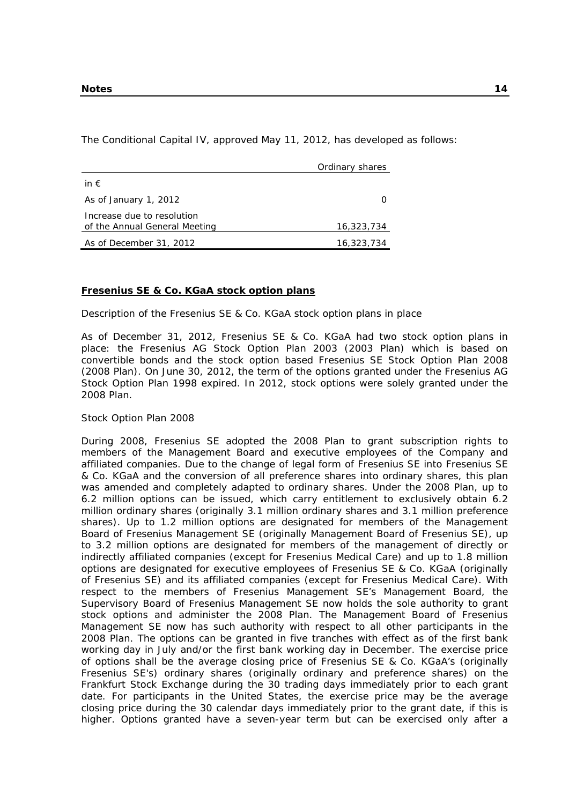The Conditional Capital IV, approved May 11, 2012, has developed as follows:

|                                                             | Ordinary shares |
|-------------------------------------------------------------|-----------------|
| in $\epsilon$                                               |                 |
| As of January 1, 2012                                       |                 |
| Increase due to resolution<br>of the Annual General Meeting | 16,323,734      |
| As of December 31, 2012                                     | 16,323,734      |

#### **Fresenius SE & Co. KGaA stock option plans**

Description of the Fresenius SE & Co. KGaA stock option plans in place

As of December 31, 2012, Fresenius SE & Co. KGaA had two stock option plans in place: the Fresenius AG Stock Option Plan 2003 (2003 Plan) which is based on convertible bonds and the stock option based Fresenius SE Stock Option Plan 2008 (2008 Plan). On June 30, 2012, the term of the options granted under the Fresenius AG Stock Option Plan 1998 expired. In 2012, stock options were solely granted under the 2008 Plan.

#### Stock Option Plan 2008

During 2008, Fresenius SE adopted the 2008 Plan to grant subscription rights to members of the Management Board and executive employees of the Company and affiliated companies. Due to the change of legal form of Fresenius SE into Fresenius SE & Co. KGaA and the conversion of all preference shares into ordinary shares, this plan was amended and completely adapted to ordinary shares. Under the 2008 Plan, up to 6.2 million options can be issued, which carry entitlement to exclusively obtain 6.2 million ordinary shares (originally 3.1 million ordinary shares and 3.1 million preference shares). Up to 1.2 million options are designated for members of the Management Board of Fresenius Management SE (originally Management Board of Fresenius SE), up to 3.2 million options are designated for members of the management of directly or indirectly affiliated companies (except for Fresenius Medical Care) and up to 1.8 million options are designated for executive employees of Fresenius SE & Co. KGaA (originally of Fresenius SE) and its affiliated companies (except for Fresenius Medical Care). With respect to the members of Fresenius Management SE's Management Board, the Supervisory Board of Fresenius Management SE now holds the sole authority to grant stock options and administer the 2008 Plan. The Management Board of Fresenius Management SE now has such authority with respect to all other participants in the 2008 Plan. The options can be granted in five tranches with effect as of the first bank working day in July and/or the first bank working day in December. The exercise price of options shall be the average closing price of Fresenius SE & Co. KGaA's (originally Fresenius SE's) ordinary shares (originally ordinary and preference shares) on the Frankfurt Stock Exchange during the 30 trading days immediately prior to each grant date. For participants in the United States, the exercise price may be the average closing price during the 30 calendar days immediately prior to the grant date, if this is higher. Options granted have a seven-year term but can be exercised only after a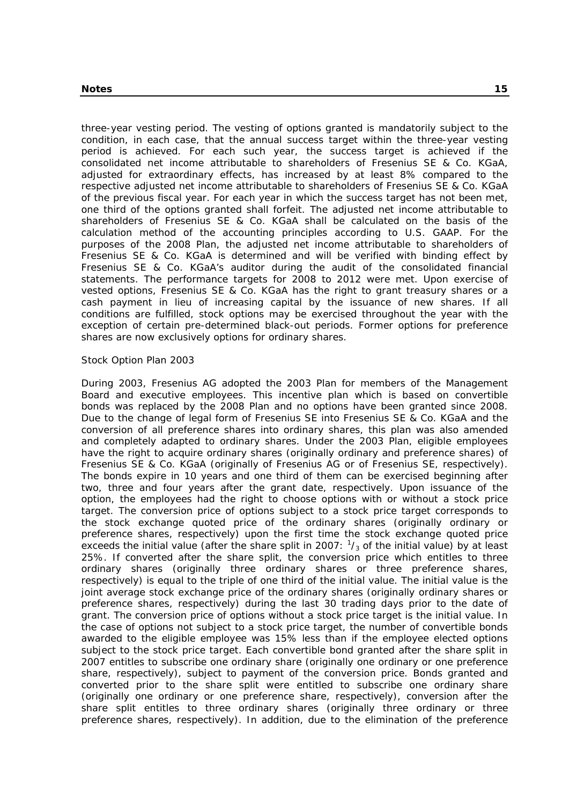three-year vesting period. The vesting of options granted is mandatorily subject to the condition, in each case, that the annual success target within the three-year vesting period is achieved. For each such year, the success target is achieved if the consolidated net income attributable to shareholders of Fresenius SE & Co. KGaA, adjusted for extraordinary effects, has increased by at least 8% compared to the respective adjusted net income attributable to shareholders of Fresenius SE & Co. KGaA of the previous fiscal year. For each year in which the success target has not been met, one third of the options granted shall forfeit. The adjusted net income attributable to shareholders of Fresenius SE & Co. KGaA shall be calculated on the basis of the calculation method of the accounting principles according to U.S. GAAP. For the purposes of the 2008 Plan, the adjusted net income attributable to shareholders of Fresenius SE & Co. KGaA is determined and will be verified with binding effect by Fresenius SE & Co. KGaA's auditor during the audit of the consolidated financial statements. The performance targets for 2008 to 2012 were met. Upon exercise of vested options, Fresenius SE & Co. KGaA has the right to grant treasury shares or a cash payment in lieu of increasing capital by the issuance of new shares. If all conditions are fulfilled, stock options may be exercised throughout the year with the exception of certain pre-determined black-out periods. Former options for preference shares are now exclusively options for ordinary shares.

#### Stock Option Plan 2003

During 2003, Fresenius AG adopted the 2003 Plan for members of the Management Board and executive employees. This incentive plan which is based on convertible bonds was replaced by the 2008 Plan and no options have been granted since 2008. Due to the change of legal form of Fresenius SE into Fresenius SE & Co. KGaA and the conversion of all preference shares into ordinary shares, this plan was also amended and completely adapted to ordinary shares. Under the 2003 Plan, eligible employees have the right to acquire ordinary shares (originally ordinary and preference shares) of Fresenius SE & Co. KGaA (originally of Fresenius AG or of Fresenius SE, respectively). The bonds expire in 10 years and one third of them can be exercised beginning after two, three and four years after the grant date, respectively. Upon issuance of the option, the employees had the right to choose options with or without a stock price target. The conversion price of options subject to a stock price target corresponds to the stock exchange quoted price of the ordinary shares (originally ordinary or preference shares, respectively) upon the first time the stock exchange quoted price exceeds the initial value (after the share split in 2007:  $\frac{1}{3}$  of the initial value) by at least 25%. If converted after the share split, the conversion price which entitles to three ordinary shares (originally three ordinary shares or three preference shares, respectively) is equal to the triple of one third of the initial value. The initial value is the joint average stock exchange price of the ordinary shares (originally ordinary shares or preference shares, respectively) during the last 30 trading days prior to the date of grant. The conversion price of options without a stock price target is the initial value. In the case of options not subject to a stock price target, the number of convertible bonds awarded to the eligible employee was 15% less than if the employee elected options subject to the stock price target. Each convertible bond granted after the share split in 2007 entitles to subscribe one ordinary share (originally one ordinary or one preference share, respectively), subject to payment of the conversion price. Bonds granted and converted prior to the share split were entitled to subscribe one ordinary share (originally one ordinary or one preference share, respectively), conversion after the share split entitles to three ordinary shares (originally three ordinary or three preference shares, respectively). In addition, due to the elimination of the preference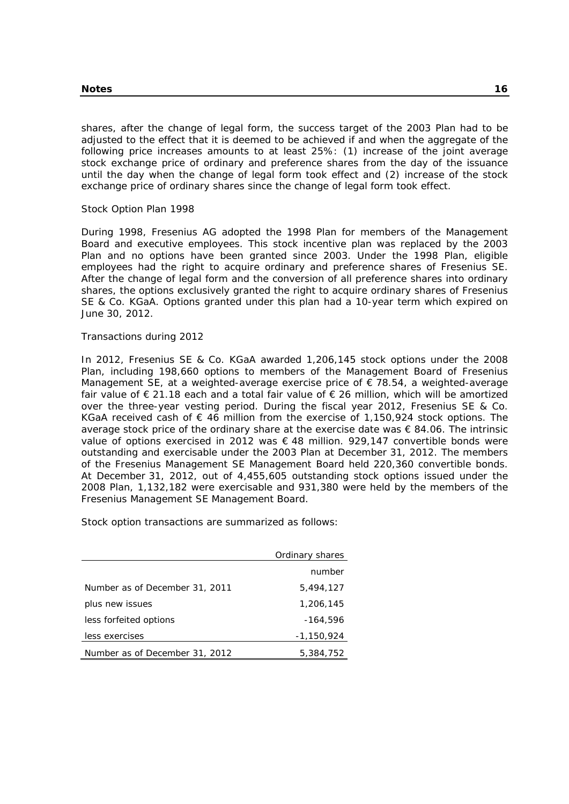shares, after the change of legal form, the success target of the 2003 Plan had to be adjusted to the effect that it is deemed to be achieved if and when the aggregate of the following price increases amounts to at least 25%: (1) increase of the joint average stock exchange price of ordinary and preference shares from the day of the issuance until the day when the change of legal form took effect and (2) increase of the stock exchange price of ordinary shares since the change of legal form took effect.

Stock Option Plan 1998

During 1998, Fresenius AG adopted the 1998 Plan for members of the Management Board and executive employees. This stock incentive plan was replaced by the 2003 Plan and no options have been granted since 2003. Under the 1998 Plan, eligible employees had the right to acquire ordinary and preference shares of Fresenius SE. After the change of legal form and the conversion of all preference shares into ordinary shares, the options exclusively granted the right to acquire ordinary shares of Fresenius SE & Co. KGaA. Options granted under this plan had a 10-year term which expired on June 30, 2012.

#### Transactions during 2012

In 2012, Fresenius SE & Co. KGaA awarded 1,206,145 stock options under the 2008 Plan, including 198,660 options to members of the Management Board of Fresenius Management SE, at a weighted-average exercise price of  $\epsilon$  78.54, a weighted-average fair value of  $\epsilon$  21.18 each and a total fair value of  $\epsilon$  26 million, which will be amortized over the three-year vesting period. During the fiscal year 2012, Fresenius SE & Co. KGaA received cash of  $\epsilon$  46 million from the exercise of 1,150,924 stock options. The average stock price of the ordinary share at the exercise date was  $\epsilon$  84.06. The intrinsic value of options exercised in 2012 was € 48 million. 929,147 convertible bonds were outstanding and exercisable under the 2003 Plan at December 31, 2012. The members of the Fresenius Management SE Management Board held 220,360 convertible bonds. At December 31, 2012, out of 4,455,605 outstanding stock options issued under the 2008 Plan, 1,132,182 were exercisable and 931,380 were held by the members of the Fresenius Management SE Management Board.

Stock option transactions are summarized as follows:

| Ordinary shares                |            |
|--------------------------------|------------|
|                                | number     |
| Number as of December 31, 2011 | 5,494,127  |
| plus new issues                | 1,206,145  |
| less forfeited options         | $-164.596$ |
| less exercises                 | -1,150,924 |
| Number as of December 31, 2012 | 5,384,752  |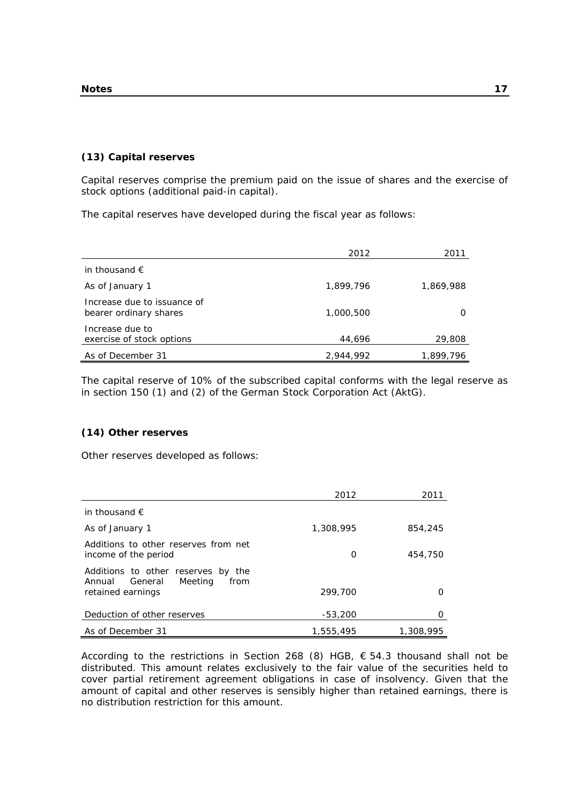#### **(13) Capital reserves**

Capital reserves comprise the premium paid on the issue of shares and the exercise of stock options (additional paid-in capital).

The capital reserves have developed during the fiscal year as follows:

|                                                       | 2012      | 2011      |
|-------------------------------------------------------|-----------|-----------|
| in thousand $\epsilon$                                |           |           |
| As of January 1                                       | 1,899,796 | 1,869,988 |
| Increase due to issuance of<br>bearer ordinary shares | 1,000,500 |           |
| Increase due to<br>exercise of stock options          | 44,696    | 29,808    |
| As of December 31                                     | 2,944,992 | 1,899,796 |

The capital reserve of 10% of the subscribed capital conforms with the legal reserve as in section 150 (1) and (2) of the German Stock Corporation Act (AktG).

## **(14) Other reserves**

Other reserves developed as follows:

|                                                                            | 2012      | 2011      |
|----------------------------------------------------------------------------|-----------|-----------|
| in thousand $\epsilon$                                                     |           |           |
| As of January 1                                                            | 1,308,995 | 854,245   |
| Additions to other reserves from net<br>income of the period               | O         | 454,750   |
| Additions to other reserves by the<br>General<br>Meeting<br>Annual<br>from |           |           |
| retained earnings                                                          | 299,700   |           |
| Deduction of other reserves                                                | $-53,200$ |           |
| As of December 31                                                          | 1,555,495 | 1,308,995 |

According to the restrictions in Section 268 (8) HGB,  $\epsilon$  54.3 thousand shall not be distributed. This amount relates exclusively to the fair value of the securities held to cover partial retirement agreement obligations in case of insolvency. Given that the amount of capital and other reserves is sensibly higher than retained earnings, there is no distribution restriction for this amount.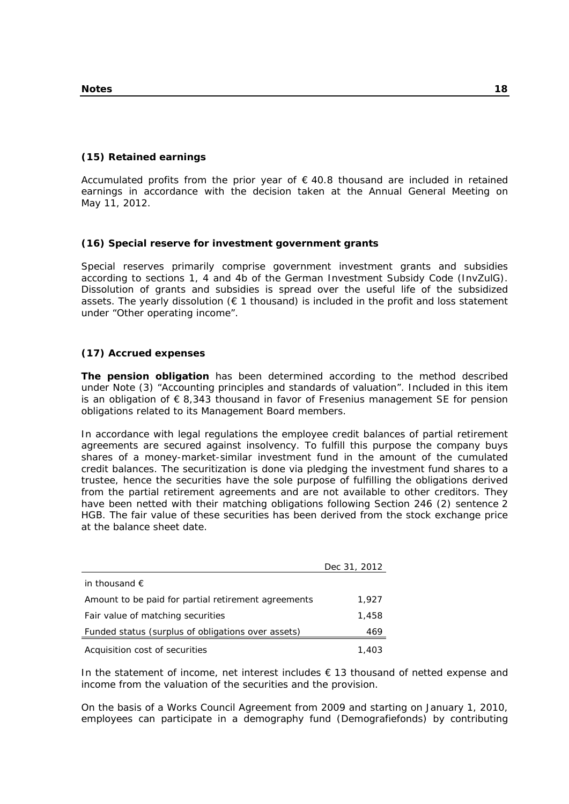## **(15) Retained earnings**

Accumulated profits from the prior year of  $\epsilon$  40.8 thousand are included in retained earnings in accordance with the decision taken at the Annual General Meeting on May 11, 2012.

## **(16) Special reserve for investment government grants**

Special reserves primarily comprise government investment grants and subsidies according to sections 1, 4 and 4b of the German Investment Subsidy Code (InvZulG). Dissolution of grants and subsidies is spread over the useful life of the subsidized assets. The yearly dissolution ( $\epsilon$  1 thousand) is included in the profit and loss statement under "Other operating income".

## **(17) Accrued expenses**

**The pension obligation** has been determined according to the method described under Note (3) "Accounting principles and standards of valuation". Included in this item is an obligation of  $\epsilon$  8,343 thousand in favor of Fresenius management SE for pension obligations related to its Management Board members.

In accordance with legal regulations the employee credit balances of partial retirement agreements are secured against insolvency. To fulfill this purpose the company buys shares of a money-market-similar investment fund in the amount of the cumulated credit balances. The securitization is done via pledging the investment fund shares to a trustee, hence the securities have the sole purpose of fulfilling the obligations derived from the partial retirement agreements and are not available to other creditors. They have been netted with their matching obligations following Section 246 (2) sentence 2 HGB. The fair value of these securities has been derived from the stock exchange price at the balance sheet date.

|                                                     | Dec 31, 2012 |
|-----------------------------------------------------|--------------|
| in thousand $\epsilon$                              |              |
| Amount to be paid for partial retirement agreements | 1,927        |
| Fair value of matching securities                   | 1,458        |
| Funded status (surplus of obligations over assets)  | 469          |
| Acquisition cost of securities                      | 1,403        |

In the statement of income, net interest includes  $\epsilon$  13 thousand of netted expense and income from the valuation of the securities and the provision.

On the basis of a Works Council Agreement from 2009 and starting on January 1, 2010, employees can participate in a demography fund (Demografiefonds) by contributing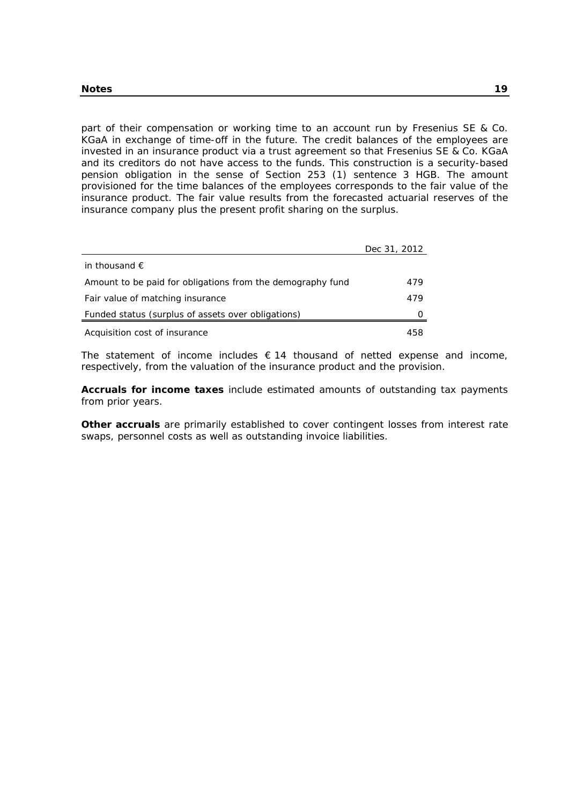part of their compensation or working time to an account run by Fresenius SE & Co. KGaA in exchange of time-off in the future. The credit balances of the employees are invested in an insurance product via a trust agreement so that Fresenius SE & Co. KGaA and its creditors do not have access to the funds. This construction is a security-based pension obligation in the sense of Section 253 (1) sentence 3 HGB. The amount provisioned for the time balances of the employees corresponds to the fair value of the insurance product. The fair value results from the forecasted actuarial reserves of the insurance company plus the present profit sharing on the surplus.

|                                                            | Dec 31, 2012 |
|------------------------------------------------------------|--------------|
| in thousand $\epsilon$                                     |              |
| Amount to be paid for obligations from the demography fund | 479          |
| Fair value of matching insurance                           | 479          |
| Funded status (surplus of assets over obligations)         |              |
| Acquisition cost of insurance                              | 458          |

The statement of income includes  $\epsilon$  14 thousand of netted expense and income, respectively, from the valuation of the insurance product and the provision.

**Accruals for income taxes** include estimated amounts of outstanding tax payments from prior years.

**Other accruals** are primarily established to cover contingent losses from interest rate swaps, personnel costs as well as outstanding invoice liabilities.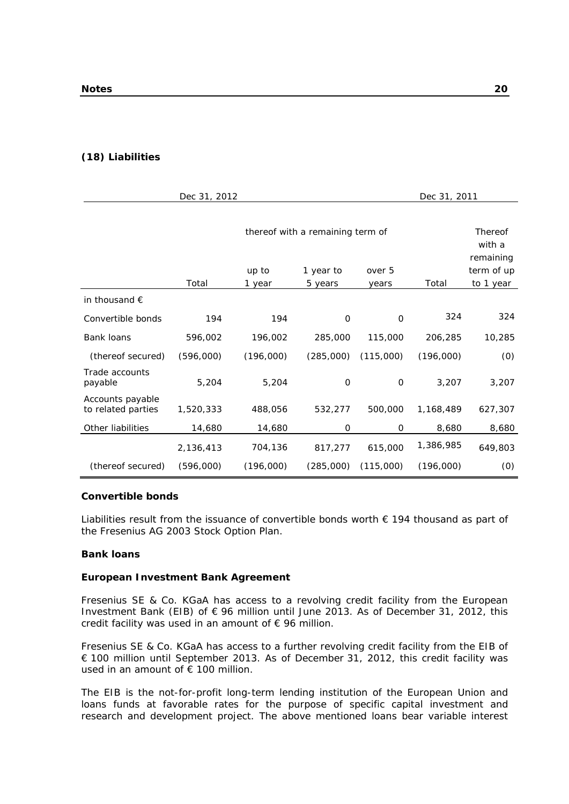## **(18) Liabilities**

|                                        | Dec 31, 2012 |                 |                                  |                 | Dec 31, 2011 |                                      |
|----------------------------------------|--------------|-----------------|----------------------------------|-----------------|--------------|--------------------------------------|
|                                        |              |                 | thereof with a remaining term of |                 |              | Thereof<br>with a                    |
|                                        | Total        | up to<br>1 year | 1 year to<br>5 years             | over 5<br>years | Total        | remaining<br>term of up<br>to 1 year |
| in thousand $\epsilon$                 |              |                 |                                  |                 |              |                                      |
| Convertible bonds                      | 194          | 194             | $\mathbf 0$                      | $\mathbf 0$     | 324          | 324                                  |
| Bank loans                             | 596,002      | 196,002         | 285,000                          | 115,000         | 206,285      | 10,285                               |
| (thereof secured)                      | (596,000)    | (196,000)       | (285,000)                        | (115,000)       | (196,000)    | (0)                                  |
| Trade accounts<br>payable              | 5,204        | 5,204           | $\mathbf 0$                      | 0               | 3,207        | 3,207                                |
| Accounts payable<br>to related parties | 1,520,333    | 488,056         | 532,277                          | 500,000         | 1,168,489    | 627,307                              |
| Other liabilities                      | 14,680       | 14,680          | 0                                | 0               | 8,680        | 8,680                                |
|                                        | 2,136,413    | 704,136         | 817,277                          | 615,000         | 1,386,985    | 649,803                              |
| (thereof secured)                      | (596,000)    | (196,000)       | (285,000)                        | (115,000)       | (196,000)    | (0)                                  |

#### **Convertible bonds**

Liabilities result from the issuance of convertible bonds worth  $\epsilon$  194 thousand as part of the Fresenius AG 2003 Stock Option Plan.

#### **Bank loans**

## **European Investment Bank Agreement**

Fresenius SE & Co. KGaA has access to a revolving credit facility from the European Investment Bank (EIB) of € 96 million until June 2013. As of December 31, 2012, this credit facility was used in an amount of  $\epsilon$  96 million.

Fresenius SE & Co. KGaA has access to a further revolving credit facility from the EIB of € 100 million until September 2013. As of December 31, 2012, this credit facility was used in an amount of  $€ 100$  million.

The EIB is the not-for-profit long-term lending institution of the European Union and loans funds at favorable rates for the purpose of specific capital investment and research and development project. The above mentioned loans bear variable interest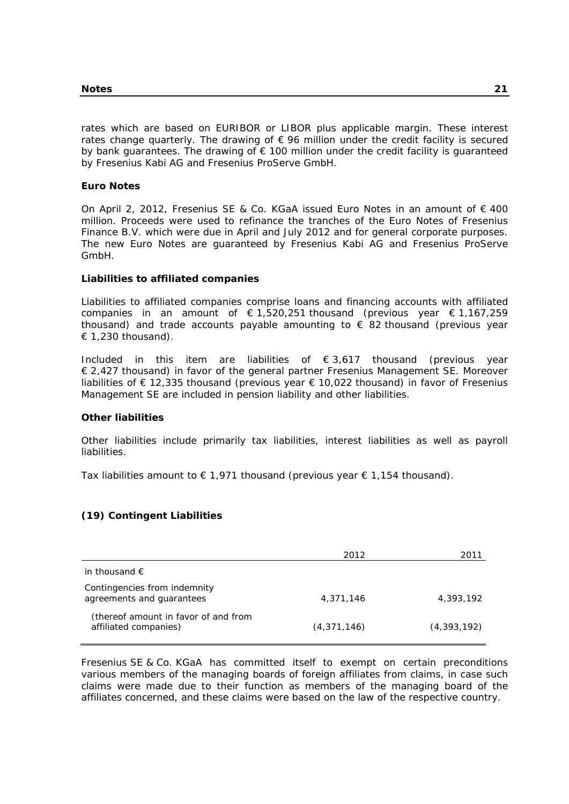rates which are based on EURIBOR or LIBOR plus applicable margin. These interest rates change quarterly. The drawing of  $\epsilon$  96 million under the credit facility is secured by bank guarantees. The drawing of  $\epsilon$  100 million under the credit facility is guaranteed by Fresenius Kabi AG and Fresenius ProServe GmbH.

#### **Euro Notes**

On April 2, 2012, Fresenius SE & Co. KGaA issued Euro Notes in an amount of € 400 million. Proceeds were used to refinance the tranches of the Euro Notes of Fresenius Finance B.V. which were due in April and July 2012 and for general corporate purposes. The new Euro Notes are guaranteed by Fresenius Kabi AG and Fresenius ProServe GmbH.

#### **Liabilities to affiliated companies**

Liabilities to affiliated companies comprise loans and financing accounts with affiliated companies in an amount of  $\epsilon$  1,520,251 thousand (previous year  $\epsilon$  1,167,259 thousand) and trade accounts payable amounting to  $\epsilon$  82 thousand (previous year  $\in$  1,230 thousand).

Included in this item are liabilities of € 3,617 thousand (previous year € 2,427 thousand) in favor of the general partner Fresenius Management SE. Moreover liabilities of € 12,335 thousand (previous year € 10,022 thousand) in favor of Fresenius Management SE are included in pension liability and other liabilities.

#### **Other liabilities**

Other liabilities include primarily tax liabilities, interest liabilities as well as payroll liabilities.

Tax liabilities amount to  $\epsilon$  1,971 thousand (previous year  $\epsilon$  1,154 thousand).

## **(19) Contingent Liabilities**

|                                                               | 2012          | 2011          |
|---------------------------------------------------------------|---------------|---------------|
| in thousand $\epsilon$                                        |               |               |
| Contingencies from indemnity<br>agreements and guarantees     | 4,371,146     | 4,393,192     |
| (thereof amount in favor of and from<br>affiliated companies) | (4, 371, 146) | (4, 393, 192) |

Fresenius SE & Co. KGaA has committed itself to exempt on certain preconditions various members of the managing boards of foreign affiliates from claims, in case such claims were made due to their function as members of the managing board of the affiliates concerned, and these claims were based on the law of the respective country.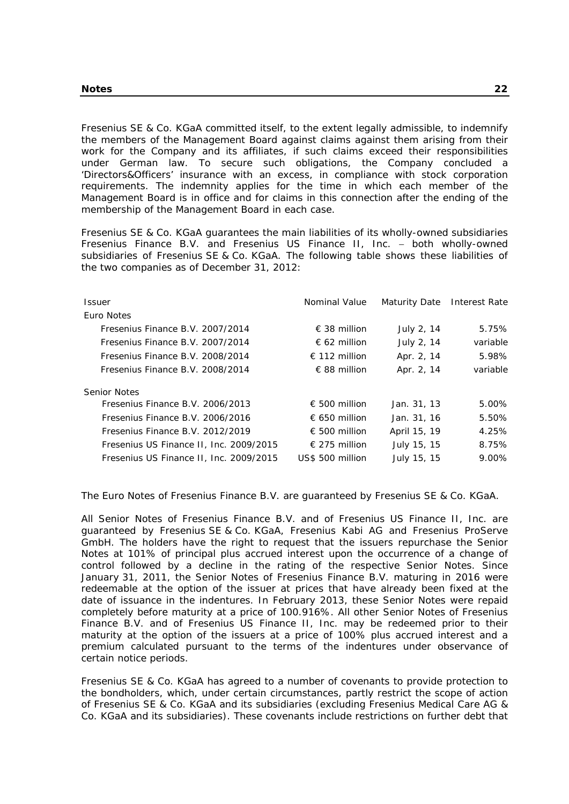Fresenius SE & Co. KGaA committed itself, to the extent legally admissible, to indemnify the members of the Management Board against claims against them arising from their work for the Company and its affiliates, if such claims exceed their responsibilities under German law. To secure such obligations, the Company concluded a 'Directors&Officers' insurance with an excess, in compliance with stock corporation requirements. The indemnity applies for the time in which each member of the Management Board is in office and for claims in this connection after the ending of the membership of the Management Board in each case.

Fresenius SE & Co. KGaA guarantees the main liabilities of its wholly-owned subsidiaries Fresenius Finance B.V. and Fresenius US Finance II, Inc. - both wholly-owned subsidiaries of Fresenius SE & Co. KGaA. The following table shows these liabilities of the two companies as of December 31, 2012:

| <b>Issuer</b>                           | Nominal Value          | Maturity Date | Interest Rate |
|-----------------------------------------|------------------------|---------------|---------------|
| Euro Notes                              |                        |               |               |
| Fresenius Finance B.V. 2007/2014        | $\epsilon$ 38 million  | July 2, 14    | 5.75%         |
| Fresenius Finance B.V. 2007/2014        | $\epsilon$ 62 million  | July 2, 14    | variable      |
| Fresenius Finance B.V. 2008/2014        | € 112 million          | Apr. 2, 14    | 5.98%         |
| Fresenius Finance B.V. 2008/2014        | $\epsilon$ 88 million  | Apr. 2, 14    | variable      |
| <b>Senior Notes</b>                     |                        |               |               |
| Fresenius Finance B.V. 2006/2013        | € 500 million          | Jan. 31, 13   | 5.00%         |
| Fresenius Finance B.V. 2006/2016        | € 650 million          | Jan. 31, 16   | 5.50%         |
| Fresenius Finance B.V. 2012/2019        | € 500 million          | April 15, 19  | 4.25%         |
| Fresenius US Finance II, Inc. 2009/2015 | $\epsilon$ 275 million | July 15, 15   | 8.75%         |
| Fresenius US Finance II, Inc. 2009/2015 | US\$ 500 million       | July 15, 15   | 9.00%         |

The Euro Notes of Fresenius Finance B.V. are guaranteed by Fresenius SE & Co. KGaA.

All Senior Notes of Fresenius Finance B.V. and of Fresenius US Finance II, Inc. are guaranteed by Fresenius SE & Co. KGaA, Fresenius Kabi AG and Fresenius ProServe GmbH. The holders have the right to request that the issuers repurchase the Senior Notes at 101% of principal plus accrued interest upon the occurrence of a change of control followed by a decline in the rating of the respective Senior Notes. Since January 31, 2011, the Senior Notes of Fresenius Finance B.V. maturing in 2016 were redeemable at the option of the issuer at prices that have already been fixed at the date of issuance in the indentures. In February 2013, these Senior Notes were repaid completely before maturity at a price of 100.916%. All other Senior Notes of Fresenius Finance B.V. and of Fresenius US Finance II, Inc. may be redeemed prior to their maturity at the option of the issuers at a price of 100% plus accrued interest and a premium calculated pursuant to the terms of the indentures under observance of certain notice periods.

Fresenius SE & Co. KGaA has agreed to a number of covenants to provide protection to the bondholders, which, under certain circumstances, partly restrict the scope of action of Fresenius SE & Co. KGaA and its subsidiaries (excluding Fresenius Medical Care AG & Co. KGaA and its subsidiaries). These covenants include restrictions on further debt that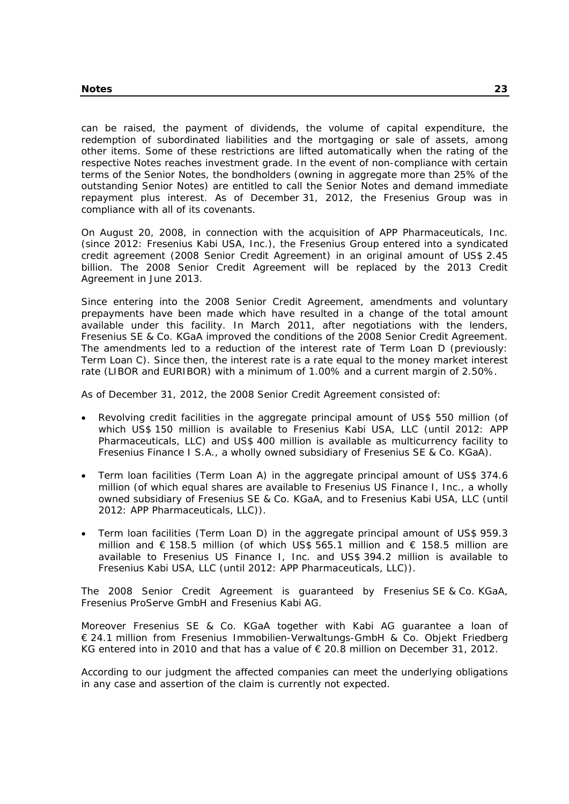can be raised, the payment of dividends, the volume of capital expenditure, the redemption of subordinated liabilities and the mortgaging or sale of assets, among other items. Some of these restrictions are lifted automatically when the rating of the respective Notes reaches investment grade. In the event of non-compliance with certain terms of the Senior Notes, the bondholders (owning in aggregate more than 25% of the outstanding Senior Notes) are entitled to call the Senior Notes and demand immediate repayment plus interest. As of December 31, 2012, the Fresenius Group was in compliance with all of its covenants.

On August 20, 2008, in connection with the acquisition of APP Pharmaceuticals, Inc. (since 2012: Fresenius Kabi USA, Inc.), the Fresenius Group entered into a syndicated credit agreement (2008 Senior Credit Agreement) in an original amount of US\$ 2.45 billion. The 2008 Senior Credit Agreement will be replaced by the 2013 Credit Agreement in June 2013.

Since entering into the 2008 Senior Credit Agreement, amendments and voluntary prepayments have been made which have resulted in a change of the total amount available under this facility. In March 2011, after negotiations with the lenders, Fresenius SE & Co. KGaA improved the conditions of the 2008 Senior Credit Agreement. The amendments led to a reduction of the interest rate of Term Loan D (previously: Term Loan C). Since then, the interest rate is a rate equal to the money market interest rate (LIBOR and EURIBOR) with a minimum of 1.00% and a current margin of 2.50%.

As of December 31, 2012, the 2008 Senior Credit Agreement consisted of:

- Revolving credit facilities in the aggregate principal amount of US\$ 550 million (of which US\$ 150 million is available to Fresenius Kabi USA, LLC (until 2012: APP Pharmaceuticals, LLC) and US\$ 400 million is available as multicurrency facility to Fresenius Finance I S.A., a wholly owned subsidiary of Fresenius SE & Co. KGaA).
- Term loan facilities (Term Loan A) in the aggregate principal amount of US\$ 374.6 million (of which equal shares are available to Fresenius US Finance I, Inc., a wholly owned subsidiary of Fresenius SE & Co. KGaA, and to Fresenius Kabi USA, LLC (until 2012: APP Pharmaceuticals, LLC)).
- Term loan facilities (Term Loan D) in the aggregate principal amount of US\$ 959.3 million and € 158.5 million (of which US\$ 565.1 million and € 158.5 million are available to Fresenius US Finance I, Inc. and US\$ 394.2 million is available to Fresenius Kabi USA, LLC (until 2012: APP Pharmaceuticals, LLC)).

The 2008 Senior Credit Agreement is guaranteed by Fresenius SE & Co. KGaA, Fresenius ProServe GmbH and Fresenius Kabi AG.

Moreover Fresenius SE & Co. KGaA together with Kabi AG guarantee a loan of € 24.1 million from Fresenius Immobilien-Verwaltungs-GmbH & Co. Objekt Friedberg KG entered into in 2010 and that has a value of  $\epsilon$  20.8 million on December 31, 2012.

According to our judgment the affected companies can meet the underlying obligations in any case and assertion of the claim is currently not expected.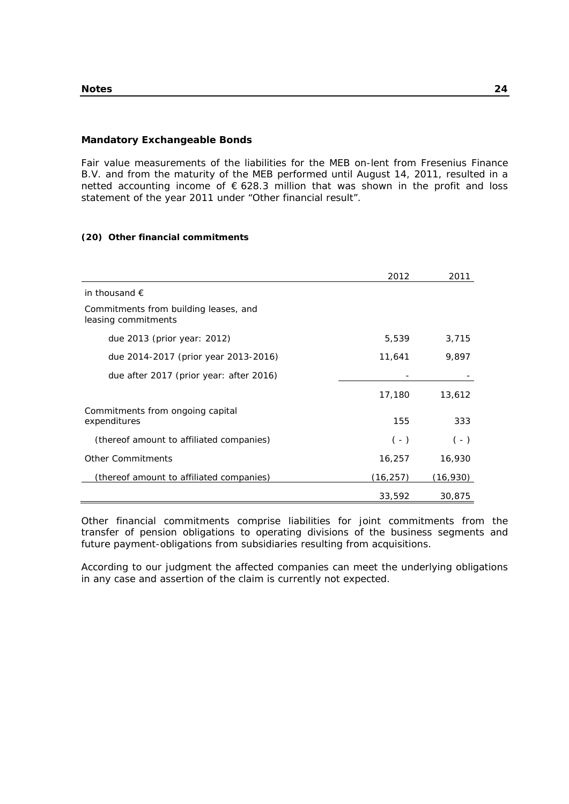#### **Mandatory Exchangeable Bonds**

Fair value measurements of the liabilities for the MEB on-lent from Fresenius Finance B.V. and from the maturity of the MEB performed until August 14, 2011, resulted in a netted accounting income of € 628.3 million that was shown in the profit and loss statement of the year 2011 under "Other financial result".

#### **(20) Other financial commitments**

|                                                              | 2012     | 2011     |
|--------------------------------------------------------------|----------|----------|
| in thousand $\epsilon$                                       |          |          |
| Commitments from building leases, and<br>leasing commitments |          |          |
| due $2013$ (prior year: $2012$ )                             | 5,539    | 3,715    |
| due 2014-2017 (prior year 2013-2016)                         | 11,641   | 9,897    |
| due after 2017 (prior year: after 2016)                      |          |          |
|                                                              | 17,180   | 13,612   |
| Commitments from ongoing capital<br>expenditures             | 155      | 333      |
| (thereof amount to affiliated companies)                     | $(-)$    | $(-)$    |
| <b>Other Commitments</b>                                     | 16,257   | 16,930   |
| (thereof amount to affiliated companies)                     | (16,257) | (16,930) |
|                                                              | 33,592   | 30,875   |

Other financial commitments comprise liabilities for joint commitments from the transfer of pension obligations to operating divisions of the business segments and future payment-obligations from subsidiaries resulting from acquisitions.

According to our judgment the affected companies can meet the underlying obligations in any case and assertion of the claim is currently not expected.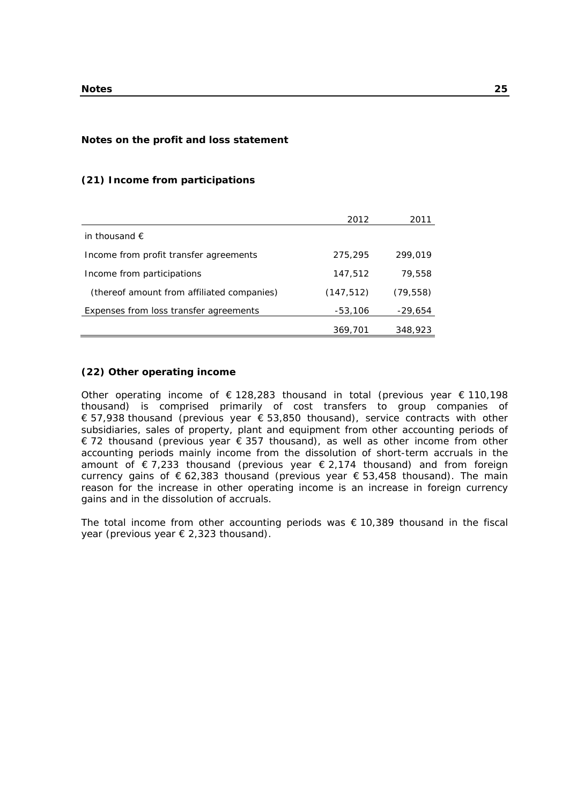#### **Notes on the profit and loss statement**

#### **(21) Income from participations**

|                                            | 2012       | 2011      |
|--------------------------------------------|------------|-----------|
| in thousand $\epsilon$                     |            |           |
| Income from profit transfer agreements     | 275,295    | 299,019   |
| Income from participations                 | 147,512    | 79,558    |
| (thereof amount from affiliated companies) | (147, 512) | (79, 558) |
| Expenses from loss transfer agreements     | $-53,106$  | -29,654   |
|                                            | 369,701    | 348,923   |

#### **(22) Other operating income**

Other operating income of  $\epsilon$  128,283 thousand in total (previous year  $\epsilon$  110,198 thousand) is comprised primarily of cost transfers to group companies of € 57,938 thousand (previous year € 53,850 thousand), service contracts with other subsidiaries, sales of property, plant and equipment from other accounting periods of € 72 thousand (previous year € 357 thousand), as well as other income from other accounting periods mainly income from the dissolution of short-term accruals in the amount of  $\epsilon$  7,233 thousand (previous year  $\epsilon$  2,174 thousand) and from foreign currency gains of  $\epsilon$  62,383 thousand (previous year  $\epsilon$  53,458 thousand). The main reason for the increase in other operating income is an increase in foreign currency gains and in the dissolution of accruals.

The total income from other accounting periods was  $\epsilon$  10,389 thousand in the fiscal year (previous year € 2,323 thousand).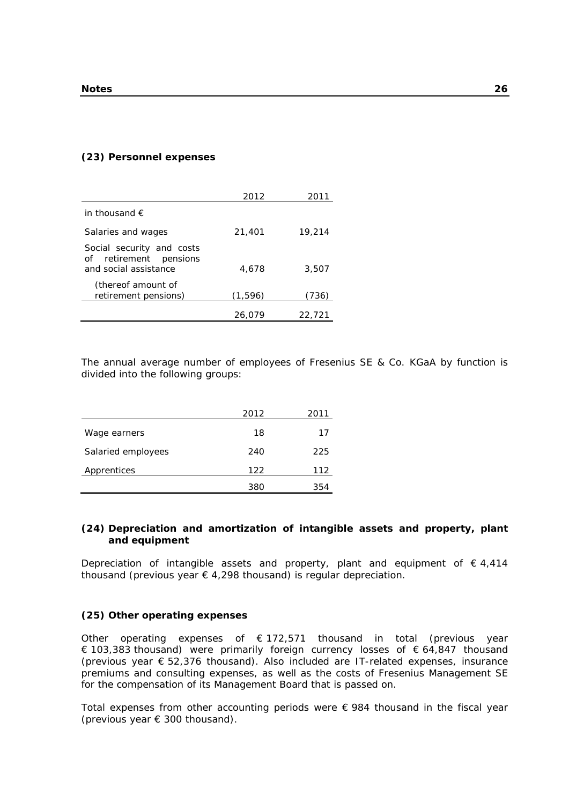#### **(23) Personnel expenses**

|                                                                              | 2012    | 2011   |
|------------------------------------------------------------------------------|---------|--------|
| in thousand $\epsilon$                                                       |         |        |
| Salaries and wages                                                           | 21,401  | 19,214 |
| Social security and costs<br>of retirement pensions<br>and social assistance | 4,678   | 3,507  |
| (thereof amount of<br>retirement pensions)                                   | (1,596) | 736)   |
|                                                                              | 26.079  | 22.721 |

The annual average number of employees of Fresenius SE & Co. KGaA by function is divided into the following groups:

|                    | 2012 | 2011 |
|--------------------|------|------|
| Wage earners       | 18   | 17   |
| Salaried employees | 240  | 225  |
| Apprentices        | 122  | 112  |
|                    | 380  | 354  |

## **(24) Depreciation and amortization of intangible assets and property, plant and equipment**

Depreciation of intangible assets and property, plant and equipment of  $\epsilon$  4,414 thousand (previous year  $\epsilon$  4,298 thousand) is regular depreciation.

#### **(25) Other operating expenses**

Other operating expenses of  $\epsilon$  172,571 thousand in total (previous year € 103,383 thousand) were primarily foreign currency losses of € 64,847 thousand (previous year  $\epsilon$  52,376 thousand). Also included are IT-related expenses, insurance premiums and consulting expenses, as well as the costs of Fresenius Management SE for the compensation of its Management Board that is passed on.

Total expenses from other accounting periods were  $\epsilon$  984 thousand in the fiscal year (previous year € 300 thousand).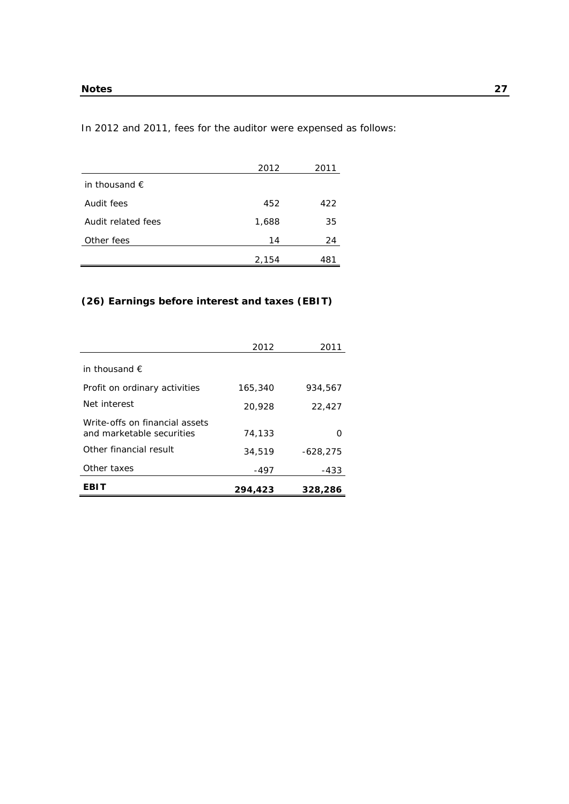In 2012 and 2011, fees for the auditor were expensed as follows:

|                        | 2012  | 2011 |
|------------------------|-------|------|
| in thousand $\epsilon$ |       |      |
| Audit fees             | 452   | 422  |
| Audit related fees     | 1,688 | 35   |
| Other fees             | 14    | 24   |
|                        | 2,154 | 481  |

## **(26) Earnings before interest and taxes (EBIT)**

|                                                             | 2012    | 2011           |
|-------------------------------------------------------------|---------|----------------|
| in thousand $\epsilon$                                      |         |                |
| Profit on ordinary activities                               | 165,340 | 934,567        |
| Net interest                                                | 20,928  | 22,427         |
| Write-offs on financial assets<br>and marketable securities | 74,133  | $\mathfrak{g}$ |
| Other financial result                                      | 34,519  | $-628.275$     |
| Other taxes                                                 | -497    | -433           |
| EBIT                                                        | 294.423 | 328,286        |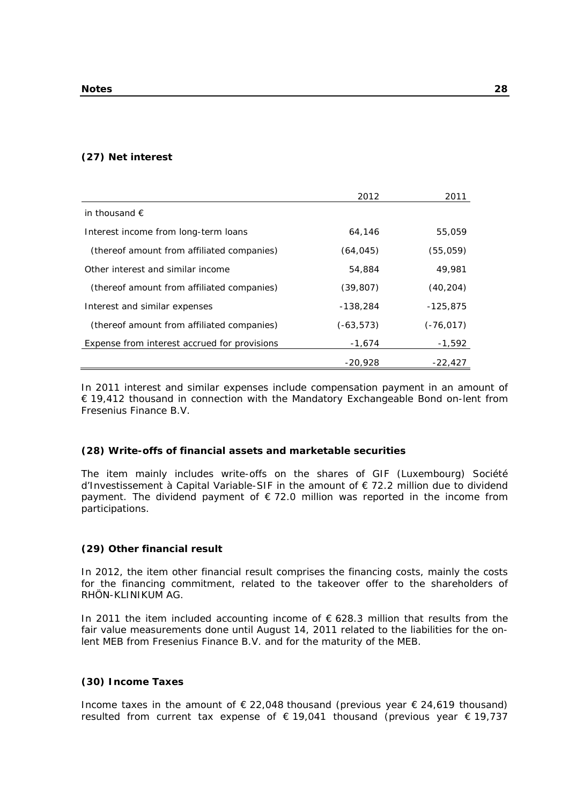#### **(27) Net interest**

|                                              | 2012         | 2011         |
|----------------------------------------------|--------------|--------------|
| in thousand $\epsilon$                       |              |              |
| Interest income from long-term loans         | 64,146       | 55,059       |
| (thereof amount from affiliated companies)   | (64, 045)    | (55,059)     |
| Other interest and similar income            | 54,884       | 49,981       |
| (thereof amount from affiliated companies)   | (39, 807)    | (40, 204)    |
| Interest and similar expenses                | $-138.284$   | $-125.875$   |
| (thereof amount from affiliated companies)   | $(-63, 573)$ | $(-76, 017)$ |
| Expense from interest accrued for provisions | $-1.674$     | $-1,592$     |
|                                              | $-20.928$    | $-22,427$    |

In 2011 interest and similar expenses include compensation payment in an amount of € 19,412 thousand in connection with the Mandatory Exchangeable Bond on-lent from Fresenius Finance B.V.

#### **(28) Write-offs of financial assets and marketable securities**

The item mainly includes write-offs on the shares of GIF (Luxembourg) Société d'Investissement à Capital Variable-SIF in the amount of € 72.2 million due to dividend payment. The dividend payment of  $\epsilon$  72.0 million was reported in the income from participations.

#### **(29) Other financial result**

In 2012, the item other financial result comprises the financing costs, mainly the costs for the financing commitment, related to the takeover offer to the shareholders of RHÖN-KLINIKUM AG.

In 2011 the item included accounting income of  $\epsilon$  628.3 million that results from the fair value measurements done until August 14, 2011 related to the liabilities for the onlent MEB from Fresenius Finance B.V. and for the maturity of the MEB.

#### **(30) Income Taxes**

Income taxes in the amount of  $\epsilon$  22,048 thousand (previous year  $\epsilon$  24,619 thousand) resulted from current tax expense of € 19,041 thousand (previous year € 19,737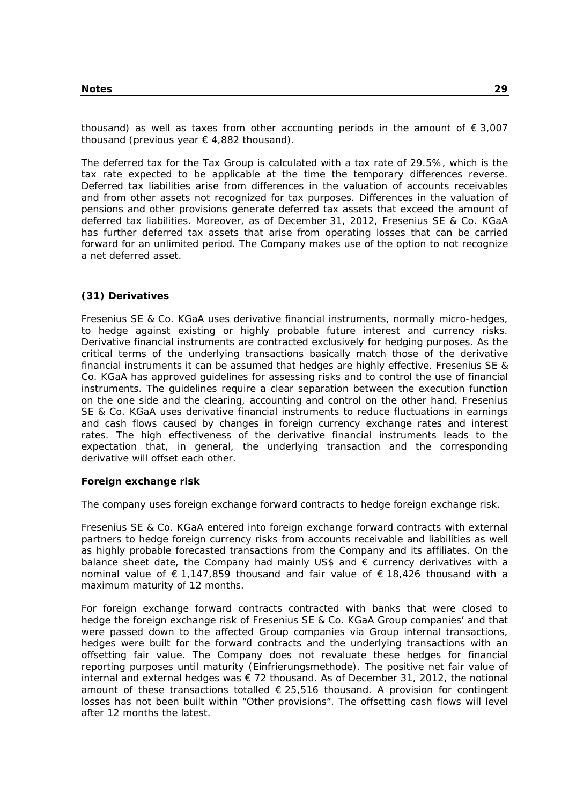thousand) as well as taxes from other accounting periods in the amount of  $\epsilon$  3,007 thousand (previous year  $\epsilon$  4,882 thousand).

The deferred tax for the Tax Group is calculated with a tax rate of 29.5%, which is the tax rate expected to be applicable at the time the temporary differences reverse. Deferred tax liabilities arise from differences in the valuation of accounts receivables and from other assets not recognized for tax purposes. Differences in the valuation of pensions and other provisions generate deferred tax assets that exceed the amount of deferred tax liabilities. Moreover, as of December 31, 2012, Fresenius SE & Co. KGaA has further deferred tax assets that arise from operating losses that can be carried forward for an unlimited period. The Company makes use of the option to not recognize a net deferred asset.

## **(31) Derivatives**

Fresenius SE & Co. KGaA uses derivative financial instruments, normally micro-hedges, to hedge against existing or highly probable future interest and currency risks. Derivative financial instruments are contracted exclusively for hedging purposes. As the critical terms of the underlying transactions basically match those of the derivative financial instruments it can be assumed that hedges are highly effective. Fresenius SE & Co. KGaA has approved guidelines for assessing risks and to control the use of financial instruments. The guidelines require a clear separation between the execution function on the one side and the clearing, accounting and control on the other hand. Fresenius SE & Co. KGaA uses derivative financial instruments to reduce fluctuations in earnings and cash flows caused by changes in foreign currency exchange rates and interest rates. The high effectiveness of the derivative financial instruments leads to the expectation that, in general, the underlying transaction and the corresponding derivative will offset each other.

#### **Foreign exchange risk**

The company uses foreign exchange forward contracts to hedge foreign exchange risk.

Fresenius SE & Co. KGaA entered into foreign exchange forward contracts with external partners to hedge foreign currency risks from accounts receivable and liabilities as well as highly probable forecasted transactions from the Company and its affiliates. On the balance sheet date, the Company had mainly US\$ and  $\epsilon$  currency derivatives with a nominal value of € 1,147,859 thousand and fair value of € 18,426 thousand with a maximum maturity of 12 months.

For foreign exchange forward contracts contracted with banks that were closed to hedge the foreign exchange risk of Fresenius SE & Co. KGaA Group companies' and that were passed down to the affected Group companies via Group internal transactions, hedges were built for the forward contracts and the underlying transactions with an offsetting fair value. The Company does not revaluate these hedges for financial reporting purposes until maturity (Einfrierungsmethode). The positive net fair value of internal and external hedges was  $\epsilon$  72 thousand. As of December 31, 2012, the notional amount of these transactions totalled  $\epsilon$  25,516 thousand. A provision for contingent losses has not been built within "Other provisions". The offsetting cash flows will level after 12 months the latest.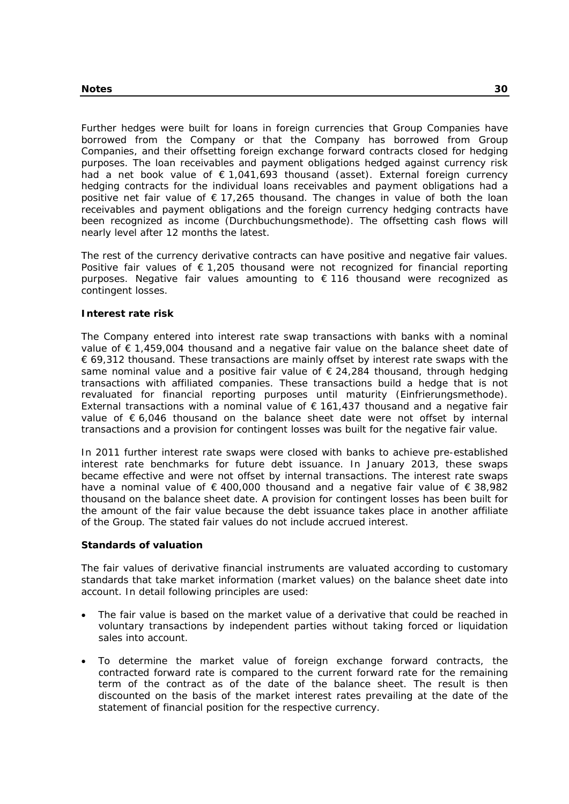Further hedges were built for loans in foreign currencies that Group Companies have borrowed from the Company or that the Company has borrowed from Group Companies, and their offsetting foreign exchange forward contracts closed for hedging purposes. The loan receivables and payment obligations hedged against currency risk had a net book value of € 1,041,693 thousand (asset). External foreign currency hedging contracts for the individual loans receivables and payment obligations had a positive net fair value of  $\epsilon$  17,265 thousand. The changes in value of both the loan receivables and payment obligations and the foreign currency hedging contracts have been recognized as income (Durchbuchungsmethode). The offsetting cash flows will nearly level after 12 months the latest.

The rest of the currency derivative contracts can have positive and negative fair values. Positive fair values of  $\epsilon$  1,205 thousand were not recognized for financial reporting purposes. Negative fair values amounting to € 116 thousand were recognized as contingent losses.

#### **Interest rate risk**

The Company entered into interest rate swap transactions with banks with a nominal value of € 1,459,004 thousand and a negative fair value on the balance sheet date of € 69,312 thousand. These transactions are mainly offset by interest rate swaps with the same nominal value and a positive fair value of  $\epsilon$  24,284 thousand, through hedging transactions with affiliated companies. These transactions build a hedge that is not revaluated for financial reporting purposes until maturity (Einfrierungsmethode). External transactions with a nominal value of  $\epsilon$  161,437 thousand and a negative fair value of  $\epsilon$  6,046 thousand on the balance sheet date were not offset by internal transactions and a provision for contingent losses was built for the negative fair value.

In 2011 further interest rate swaps were closed with banks to achieve pre-established interest rate benchmarks for future debt issuance. In January 2013, these swaps became effective and were not offset by internal transactions. The interest rate swaps have a nominal value of  $\epsilon$  400,000 thousand and a negative fair value of  $\epsilon$  38,982 thousand on the balance sheet date. A provision for contingent losses has been built for the amount of the fair value because the debt issuance takes place in another affiliate of the Group. The stated fair values do not include accrued interest.

#### **Standards of valuation**

The fair values of derivative financial instruments are valuated according to customary standards that take market information (market values) on the balance sheet date into account. In detail following principles are used:

- The fair value is based on the market value of a derivative that could be reached in voluntary transactions by independent parties without taking forced or liquidation sales into account.
- To determine the market value of foreign exchange forward contracts, the contracted forward rate is compared to the current forward rate for the remaining term of the contract as of the date of the balance sheet. The result is then discounted on the basis of the market interest rates prevailing at the date of the statement of financial position for the respective currency.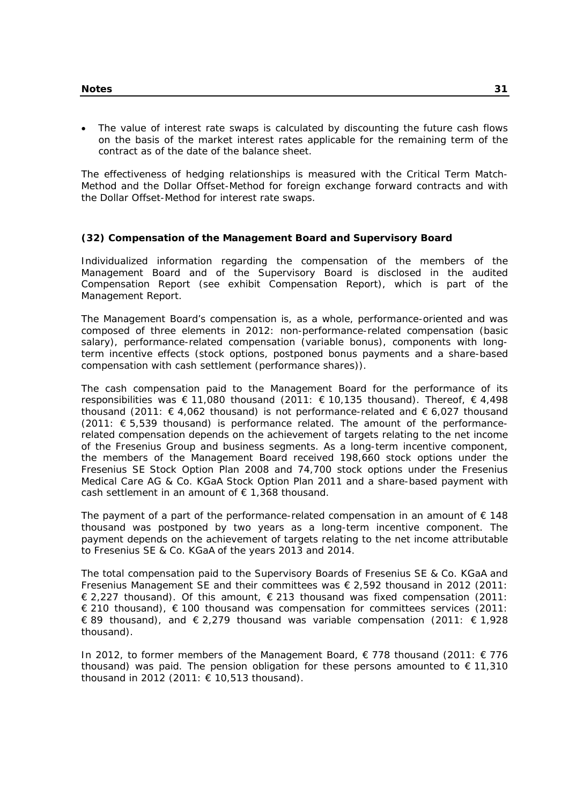The value of interest rate swaps is calculated by discounting the future cash flows on the basis of the market interest rates applicable for the remaining term of the contract as of the date of the balance sheet.

The effectiveness of hedging relationships is measured with the Critical Term Match-Method and the Dollar Offset-Method for foreign exchange forward contracts and with the Dollar Offset-Method for interest rate swaps.

#### **(32) Compensation of the Management Board and Supervisory Board**

Individualized information regarding the compensation of the members of the Management Board and of the Supervisory Board is disclosed in the audited Compensation Report (see exhibit Compensation Report), which is part of the Management Report.

The Management Board's compensation is, as a whole, performance-oriented and was composed of three elements in 2012: non-performance-related compensation (basic salary), performance-related compensation (variable bonus), components with longterm incentive effects (stock options, postponed bonus payments and a share-based compensation with cash settlement (performance shares)).

The cash compensation paid to the Management Board for the performance of its responsibilities was € 11,080 thousand (2011: € 10,135 thousand). Thereof,  $∈$  4,498 thousand (2011:  $\epsilon$  4,062 thousand) is not performance-related and  $\epsilon$  6,027 thousand  $(2011: \text{ } \in 5,539 \text{ thousand})$  is performance related. The amount of the performancerelated compensation depends on the achievement of targets relating to the net income of the Fresenius Group and business segments. As a long-term incentive component, the members of the Management Board received 198,660 stock options under the Fresenius SE Stock Option Plan 2008 and 74,700 stock options under the Fresenius Medical Care AG & Co. KGaA Stock Option Plan 2011 and a share-based payment with cash settlement in an amount of  $\epsilon$  1,368 thousand.

The payment of a part of the performance-related compensation in an amount of  $\epsilon$  148 thousand was postponed by two years as a long-term incentive component. The payment depends on the achievement of targets relating to the net income attributable to Fresenius SE & Co. KGaA of the years 2013 and 2014.

The total compensation paid to the Supervisory Boards of Fresenius SE & Co. KGaA and Fresenius Management SE and their committees was  $\epsilon$  2,592 thousand in 2012 (2011:  $\in$  2,227 thousand). Of this amount,  $\in$  213 thousand was fixed compensation (2011:  $\in$  210 thousand),  $\in$  100 thousand was compensation for committees services (2011: € 89 thousand), and  $€ 2,279$  thousand was variable compensation (2011:  $€ 1,928$ thousand).

In 2012, to former members of the Management Board, € 778 thousand (2011: € 776 thousand) was paid. The pension obligation for these persons amounted to  $\epsilon$  11,310 thousand in 2012 (2011:  $\epsilon$  10,513 thousand).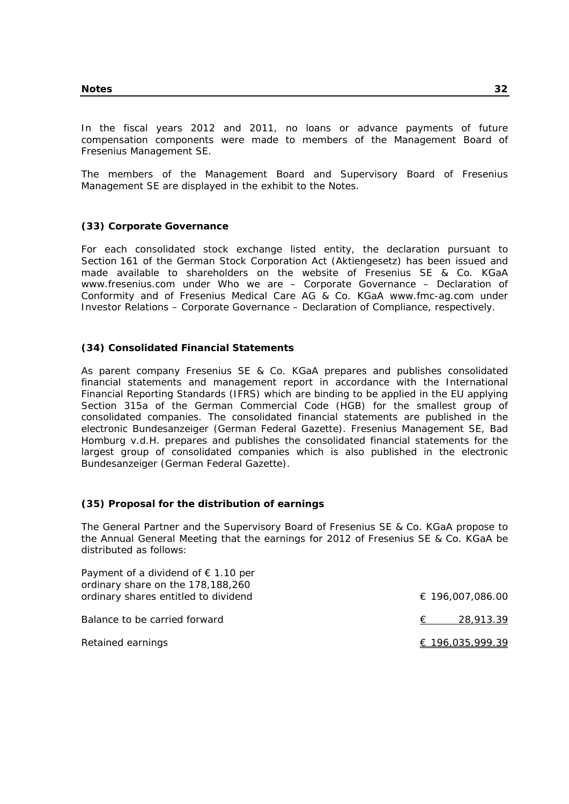In the fiscal years 2012 and 2011, no loans or advance payments of future compensation components were made to members of the Management Board of Fresenius Management SE.

The members of the Management Board and Supervisory Board of Fresenius Management SE are displayed in the exhibit to the Notes.

#### **(33) Corporate Governance**

For each consolidated stock exchange listed entity, the declaration pursuant to Section 161 of the German Stock Corporation Act (Aktiengesetz) has been issued and made available to shareholders on the website of Fresenius SE & Co. KGaA www.fresenius.com under Who we are – Corporate Governance – Declaration of Conformity and of Fresenius Medical Care AG & Co. KGaA www.fmc-ag.com under Investor Relations – Corporate Governance – Declaration of Compliance, respectively.

#### **(34) Consolidated Financial Statements**

As parent company Fresenius SE & Co. KGaA prepares and publishes consolidated financial statements and management report in accordance with the International Financial Reporting Standards (IFRS) which are binding to be applied in the EU applying Section 315a of the German Commercial Code (HGB) for the smallest group of consolidated companies. The consolidated financial statements are published in the electronic Bundesanzeiger (German Federal Gazette). Fresenius Management SE, Bad Homburg v.d.H. prepares and publishes the consolidated financial statements for the largest group of consolidated companies which is also published in the electronic Bundesanzeiger (German Federal Gazette).

#### **(35) Proposal for the distribution of earnings**

The General Partner and the Supervisory Board of Fresenius SE & Co. KGaA propose to the Annual General Meeting that the earnings for 2012 of Fresenius SE & Co. KGaA be distributed as follows:

| Payment of a dividend of $\epsilon$ 1.10 per<br>ordinary share on the 178,188,260 |                  |
|-----------------------------------------------------------------------------------|------------------|
| ordinary shares entitled to dividend                                              | € 196,007,086.00 |
| Balance to be carried forward                                                     | 28,913.39<br>€   |
| Retained earnings                                                                 | € 196,035,999.39 |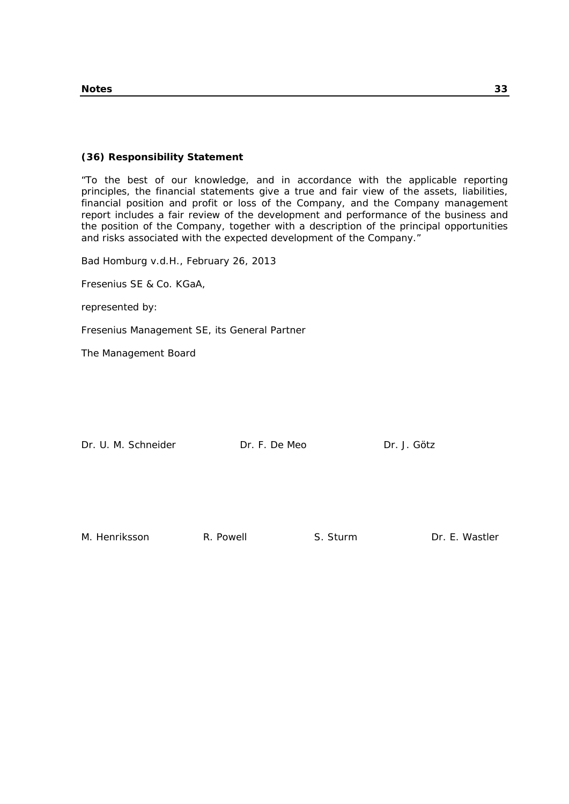# **(36) Responsibility Statement**

"To the best of our knowledge, and in accordance with the applicable reporting principles, the financial statements give a true and fair view of the assets, liabilities, financial position and profit or loss of the Company, and the Company management report includes a fair review of the development and performance of the business and the position of the Company, together with a description of the principal opportunities and risks associated with the expected development of the Company."

Bad Homburg v.d.H., February 26, 2013

Fresenius SE & Co. KGaA,

represented by:

Fresenius Management SE, its General Partner

The Management Board

| Dr. U. M. Schneider | Dr. F. De Meo | Dr. J. Götz |
|---------------------|---------------|-------------|
|                     |               |             |

M. Henriksson R. Powell S. Sturm Dr. E. Wastler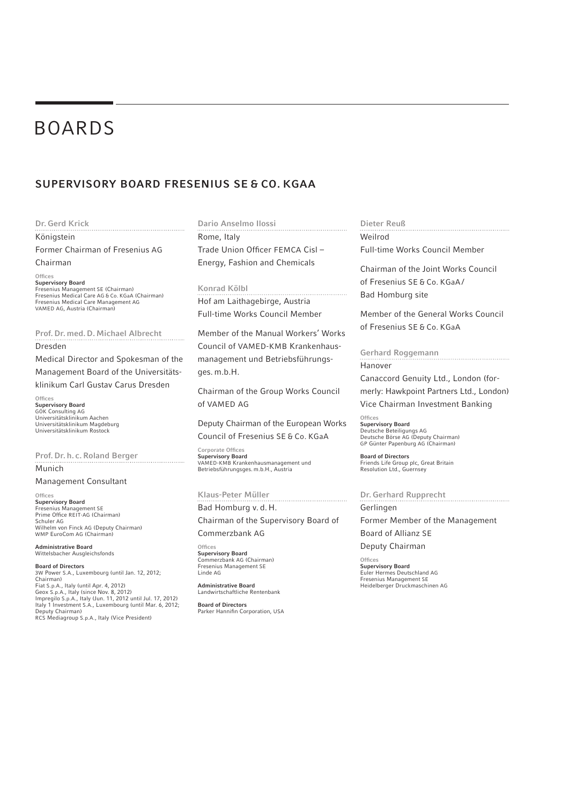# BOARDS

# SUPERVISORY BOARD FRESENIUS SE & CO. KGAA

#### Dr. Gerd Krick

Königstein

Former Chairman of Fresenius AG Chairman

#### **Offices**

**Supervisory Board**<br>Fresenius Management SE (Chairman) Fresenius Medical Care AG & Co. KGaA (Chairman) Fresenius Medical Care Management AG VAMED AG, Austria (Chairman)

Prof. Dr. med. D. Michael Albrecht Dresden

Medical Director and Spokesman of the Management Board of the Universitäts-

klinikum Carl Gustav Carus Dresden

 $Off$ res

Supervisory Board GÖK Consulting AG Universitätsklinikum Aachen Universitätsklinikum Magdeburg Universitätsklinikum Rostock

Prof. Dr. h. c. Roland Berger Munich

#### Management Consultant

**Offices** Supervisory Board Fresenius Management SE<br>Prime Office REIT-AG (Chairman) Schuler AG Wilhelm von Finck AG (Deputy Chairman) WMP EuroCom AG (Chairman)

Administrative Board Wittelsbacher Ausgleichsfonds

Board of Directors 3W Power S.A., Luxembourg (until Jan. 12, 2012; Chairman) Fiat S.p.A., Italy (until Apr. 4, 2012) Geox S.p.A., Italy (since Nov. 8, 2012) Impregilo S.p.A., Italy (Jun. 11, 2012 until Jul. 17, 2012) Italy 1 Investment S.A., Luxembourg (until Mar. 6, 2012; Deputy Chairman) RCS Mediagroup S.p.A., Italy (Vice President)

#### Dario Anselmo Ilossi

Rome, Italy Trade Union Officer FEMCA Cisl-Energy, Fashion and Chemicals

#### Konrad Kölbl

Hof am Laithagebirge, Austria Full-time Works Council Member

Member of the Manual Workers' Works Council of VAMED-KMB Krankenhausmanagement und Betriebsführungsges. m.b.H.

Chairman of the Group Works Council of VAMED AG

Deputy Chairman of the European Works Council of Fresenius SE & Co. KGaA

Corporate Offices Supervisory Board VAMED-KMB Krankenhausmanagement und Betriebsführungsges. m.b.H., Austria

#### Klaus-Peter Müller

Bad Homburg v. d. H. Chairman of the Supervisory Board of

Commerzbank AG

**Offices** Supervisory Board Commerzbank AG (Chairman) Fresenius Management SE Linde AG

Administrative Board Landwirtschaftliche Rentenbank

Board of Directors Parker Hannifin Corporation, USA

#### Dieter Reuß

Weilrod Full-time Works Council Member

Chairman of the Joint Works Council of Fresenius SE & Co. KGaA / Bad Homburg site

Member of the General Works Council of Fresenius SE & Co. KGaA

Gerhard Roggemann Hanover

Canaccord Genuity Ltd., London (formerly: Hawkpoint Partners Ltd., London) Vice Chairman Investment Banking

**Offices** Supervisory Board Deutsche Beteiligungs AG Deutsche Börse AG (Deputy Chairman) GP Günter Papenburg AG (Chairman)

Board of Directors Friends Life Group plc, Great Britain Resolution Ltd., Guernsey

Dr. Gerhard Rupprecht Gerlingen Former Member of the Management Board of Allianz SE

Deputy Chairman

Offices Supervisory Board Euler Hermes Deutschland AG Fresenius Management SE Heidelberger Druckmaschinen AG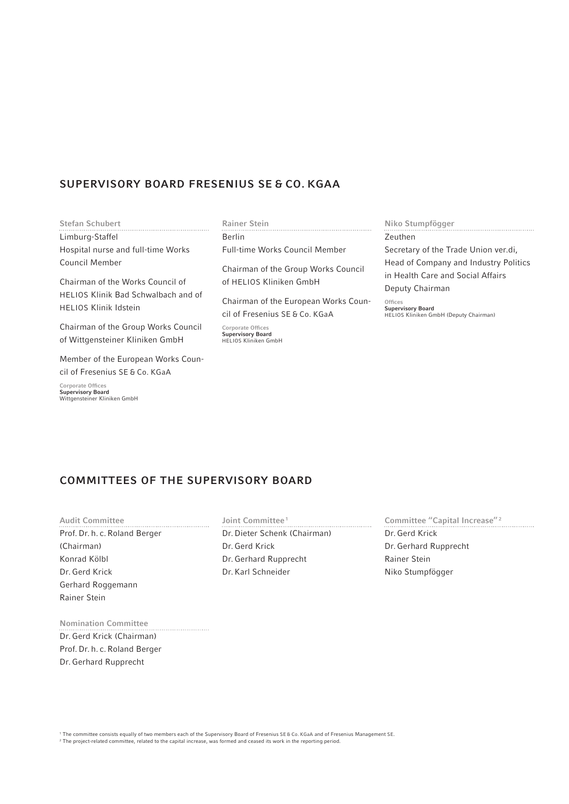# SUPERVISORY BOARD FRESENIUS SE & CO. KGAA

#### Stefan Schubert

Limburg-Staffel Hospital nurse and full-time Works Council Member

Chairman of the Works Council of HELIOS Klinik Bad Schwalbach and of HELIOS Klinik Idstein

Chairman of the Group Works Council of Wittgensteiner Kliniken GmbH

Member of the European Works Council of Fresenius SE & Co. KGaA

Corporate Offices Supervisory Board Wittgensteiner Kliniken GmbH

#### Rainer Stein

Berlin Full-time Works Council Member

Chairman of the Group Works Council of HELIOS Kliniken GmbH

Chairman of the European Works Council of Fresenius SE & Co. KGaA

Corporate Offices Supervisory Board HELIOS Kliniken GmbH

#### Niko Stumpfögger

Zeuthen Secretary of the Trade Union ver.di, Head of Company and Industry Politics in Health Care and Social Affairs Deputy Chairman

Offices Supervisory Board HELIOS Kliniken GmbH (Deputy Chairman)

# COMMITTEES OF THE SUPERVISORY BOARD

Audit Committee Prof. Dr. h. c. Roland Berger (Chairman) Konrad Kölbl Dr. Gerd Krick Gerhard Roggemann Rainer Stein

Joint Committee<sup>1</sup> Dr. Dieter Schenk (Chairman) Dr. Gerd Krick Dr. Gerhard Rupprecht Dr. Karl Schneider

Committee "Capital Increase" 2 Dr. Gerd Krick Dr. Gerhard Rupprecht Rainer Stein Niko Stumpfögger

#### Nomination Committee

Dr. Gerd Krick (Chairman) Prof. Dr. h. c. Roland Berger Dr. Gerhard Rupprecht

1 The committee consists equally of two members each of the Supervisory Board of Fresenius SE & Co. KGaA and of Fresenius Management SE.

2 The project-related committee, related to the capital increase, was formed and ceased its work in the reporting period.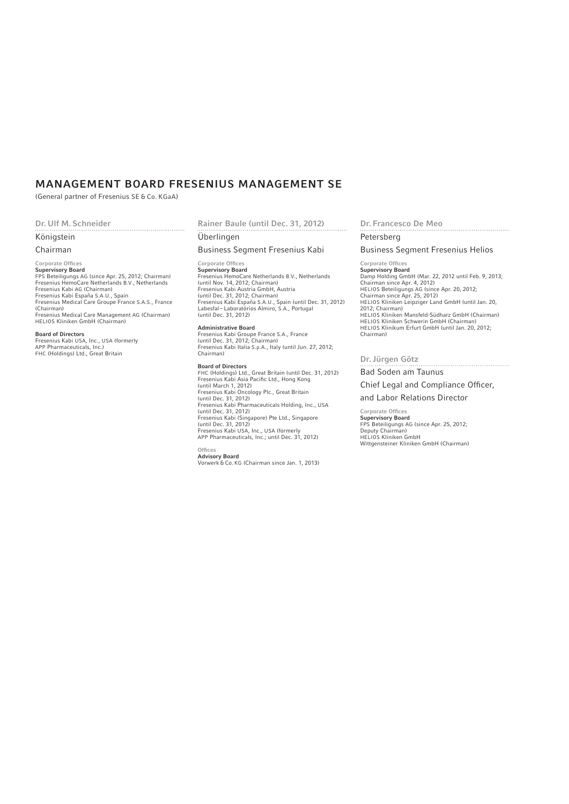# MANAGEMENT BOARD FRESENIUS MANAGEMENT SE

(General partner of Fresenius SE & Co. KGaA)

#### Dr. Ulf M. Schneider

#### Königstein

#### Chairman

### Corporate Offices

**Supervisory Board**<br>FPS Beteiligungs AG (since Apr. 25, 2012; Chairman) Fresenius HemoCare Netherlands B.V., Netherlands Fresenius Kabi AG (Chairman) Fresenius Kabi España S.A.U., Spain Fresenius Medical Care Groupe France S.A.S., France (Chairman) Fresenius Medical Care Management AG (Chairman) HELIOS Kliniken GmbH (Chairman)

Board of Directors Fresenius Kabi USA, Inc., USA (formerly APP Pharmaceuticals, Inc.) FHC (Holdings) Ltd., Great Britain

#### Rainer Baule (until Dec. 31, 2012)

#### Überlingen

#### Business Segment Fresenius Kabi

### Corporate Offices

Supervisory Board Fresenius HemoCare Netherlands B.V., Netherlands (until Nov. 14, 2012; Chairman) Fresenius Kabi Austria GmbH, Austria (until Dec. 31, 2012; Chairman) Fresenius Kabi España S.A.U., Spain (until Dec. 31, 2012) Labesfal – Laboratórios Almiro, S.A., Portugal (until Dec. 31, 2012)

#### Administrative Board

Fresenius Kabi Groupe France S.A., France (until Dec. 31, 2012; Chairman) Fresenius Kabi Italia S.p.A., Italy (until Jun. 27, 2012; Chairman)

Board of Directors FHC (Holdings) Ltd., Great Britain (until Dec. 31, 2012) Fresenius Kabi Asia Pacific Ltd., Hong Kong<br>(until March 1, 2012) Fresenius Kabi Oncology Plc., Great Britain (until Dec. 31, 2012) Fresenius Kabi Pharmaceuticals Holding, Inc., USA (until Dec. 31, 2012) Fresenius Kabi (Singapore) Pte Ltd., Singapore (until Dec. 31, 2012) Fresenius Kabi USA, Inc., USA (formerly APP Pharmaceuticals, Inc.; until Dec. 31, 2012)

# **Offices**

**Advisory Board**<br>Vorwerk & Co. KG (Chairman since Jan. 1, 2013)

Dr. Francesco De Meo

#### Petersberg

Business Segment Fresenius Helios

### Corporate Offices

Supervisory Board Damp Holding GmbH (Mar. 22, 2012 until Feb. 9, 2013; Chairman since Apr. 4, 2012) HELIOS Beteiligungs AG (since Apr. 20, 2012; Chairman since Apr. 25, 2012) HELIOS Kliniken Leipziger Land GmbH (until Jan. 20, 2012; Chairman) HELIOS Kliniken Mansfeld-Südharz GmbH (Chairman) HELIOS Kliniken Schwerin GmbH (Chairman) HELIOS Klinikum Erfurt GmbH (until Jan. 20, 2012; Chairman)

#### Dr. Jürgen Götz

#### Bad Soden am Taunus

Chief Legal and Compliance Officer,

#### and Labor Relations Director

Corporate Offices Supervisory Board FPS Beteiligungs AG (since Apr. 25, 2012; Deputy Chairman) HELIOS Kliniken GmbH Wittgensteiner Kliniken GmbH (Chairman)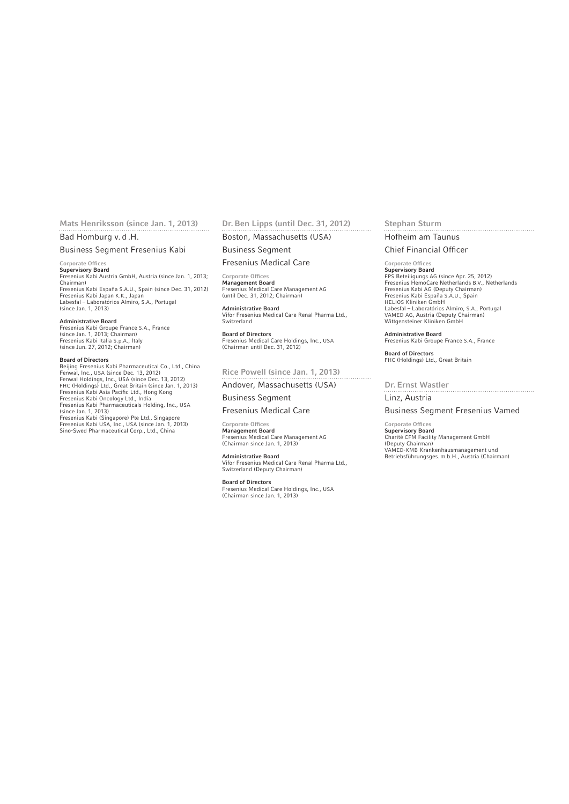# Mats Henriksson (since Jan. 1, 2013)

Bad Homburg v. d .H.

#### Business Segment Fresenius Kabi

#### Corporate Offices

**Supervisory Board**<br>Fresenius Kabi Austria GmbH, Austria (since Jan. 1, 2013; Chairman) Fresenius Kabi España S.A.U., Spain (since Dec. 31, 2012) Fresenius Kabi Japan K.K., Japan Labesfal – Laboratórios Almiro, S.A., Portugal (since Jan. 1, 2013)

#### Administrative Board

Fresenius Kabi Groupe France S.A., France (since Jan. 1, 2013; Chairman) Fresenius Kabi Italia S.p.A., Italy (since Jun. 27, 2012; Chairman)

**Board of Directors**<br>Beijing Fresenius Kabi Pharmaceutical Co., Ltd., China<br>Fenwal, Inc., USA (since Dec. 13, 2012)<br>Fenwal Holdings, Inc., USA (since Dec. 13, 2012)<br>FHC (Holdings) Ltd., Great Britain (since Jan. 1, 2013)<br>F (since Jan. 1, 2013) Fresenius Kabi (Singapore) Pte Ltd., Singapore Fresenius Kabi USA, Inc., USA (since Jan. 1, 2013) Sino-Swed Pharmaceutical Corp., Ltd., China

#### Dr. Ben Lipps (until Dec. 31, 2012)

Boston, Massachusetts (USA) Business Segment

Fresenius Medical Care

Corporate Offices

Management Board Fresenius Medical Care Management AG (until Dec. 31, 2012; Chairman)

Administrative Board Vifor Fresenius Medical Care Renal Pharma Ltd., Switzerland

Board of Directors Fresenius Medical Care Holdings, Inc., USA (Chairman until Dec. 31, 2012)

Rice Powell (since Jan. 1, 2013)

Andover, Massachusetts (USA) Business Segment

#### Fresenius Medical Care

Corporate Offices Management Board Fresenius Medical Care Management AG (Chairman since Jan. 1, 2013)

#### Administrative Board

Vifor Fresenius Medical Care Renal Pharma Ltd., Switzerland (Deputy Chairman)

Board of Directors Fresenius Medical Care Holdings, Inc., USA (Chairman since Jan. 1, 2013)

#### Stephan Sturm

Hofheim am Taunus

#### Chief Financial Officer

### Corporate Offices

**Supervisory Board**<br>FPS Beteiligungs AG (since Apr. 25, 2012)<br>Fresenius HemoCare Netherlands B.V., Netherlands<br>Fresenius Kabi AG (Deputy Chairman) Fresenius Kabi España S.A.U., Spain HELIOS Kliniken GmbH Labesfal – Laboratórios Almiro, S.A., Portugal VAMED AG, Austria (Deputy Chairman) Wittgensteiner Kliniken GmbH

Administrative Board Fresenius Kabi Groupe France S.A., France

Board of Directors FHC (Holdings) Ltd., Great Britain

#### Dr. Ernst Wastler

Linz, Austria

#### Business Segment Fresenius Vamed

Corporate Offices Supervisory Board Charité CFM Facility Management GmbH (Deputy Chairman) VAMED-KMB Krankenhausmanagement und Betriebsführungsges. m.b.H., Austria (Chairman)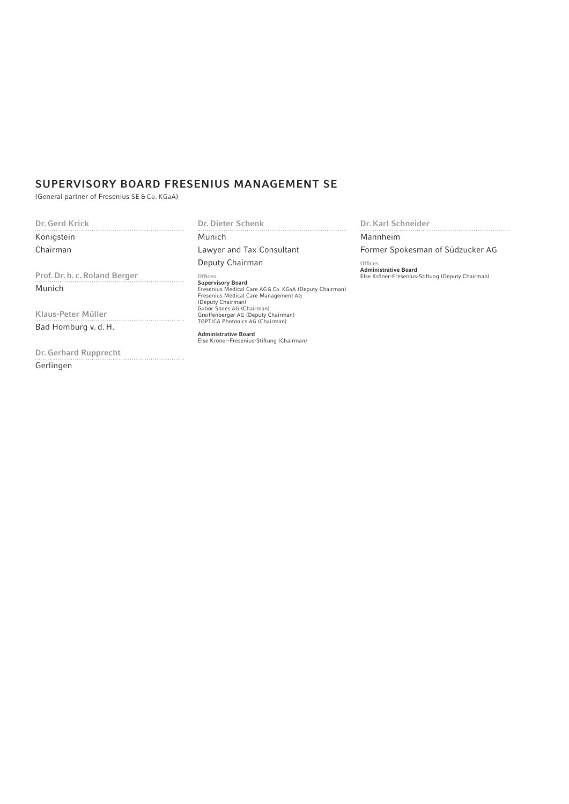# SUPERVISORY BOARD FRESENIUS MANAGEMENT SE

(General partner of Fresenius SE & Co. KGaA)

Dr. Gerd Krick

Königstein Chairman

Prof. Dr. h. c. Roland Berger Munich

Klaus-Peter Müller Bad Homburg v. d. H.

Dr. Gerhard Rupprecht Gerlingen

Dr. Dieter Schenk 

Munich Lawyer and Tax Consultant

Deputy Chairman

**Offices Supervisory Board**<br>Fresenius Medical Care AG & Co. KGaA (Deputy Chairman)<br>Fresenius Medical Care Management AG (Deputy Chairman) Gabor Shoes AG (Chairman) Greiffenberger AG (Deputy Chairman) TOPTICA Photonics AG (Chairman)

Administrative Board Else Kröner-Fresenius-Stiftung (Chairman)

Dr. Karl Schneider

Mannheim

Former Spokesman of Südzucker AG

Offices<br>**Administrative Board**<br>Else Kröner-Fresenius-Stiftung (Deputy Chairman)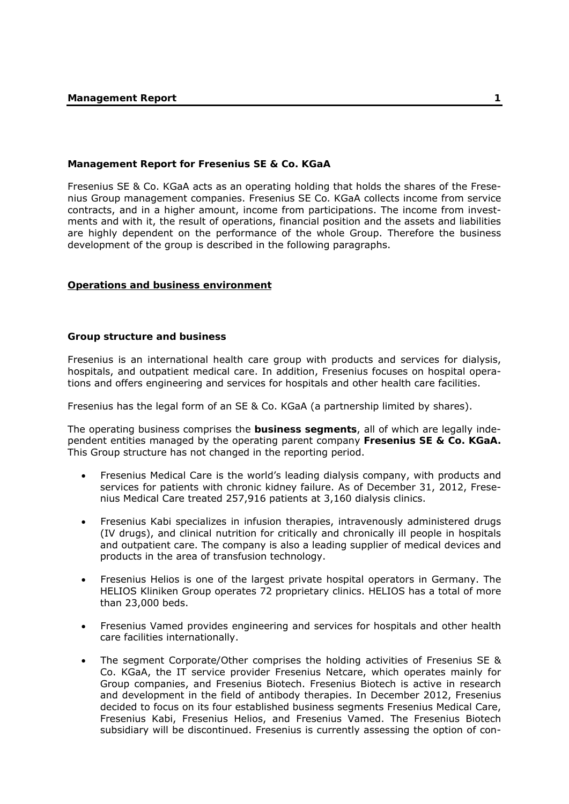# **Management Report for Fresenius SE & Co. KGaA**

Fresenius SE & Co. KGaA acts as an operating holding that holds the shares of the Fresenius Group management companies. Fresenius SE Co. KGaA collects income from service contracts, and in a higher amount, income from participations. The income from investments and with it, the result of operations, financial position and the assets and liabilities are highly dependent on the performance of the whole Group. Therefore the business development of the group is described in the following paragraphs.

### **Operations and business environment**

#### **Group structure and business**

Fresenius is an international health care group with products and services for dialysis, hospitals, and outpatient medical care. In addition, Fresenius focuses on hospital operations and offers engineering and services for hospitals and other health care facilities.

Fresenius has the legal form of an SE & Co. KGaA (a partnership limited by shares).

The operating business comprises the **business segments**, all of which are legally independent entities managed by the operating parent company **Fresenius SE & Co. KGaA.**  This Group structure has not changed in the reporting period.

- Fresenius Medical Care is the world's leading dialysis company, with products and services for patients with chronic kidney failure. As of December 31, 2012, Fresenius Medical Care treated 257,916 patients at 3,160 dialysis clinics.
- Fresenius Kabi specializes in infusion therapies, intravenously administered drugs (IV drugs), and clinical nutrition for critically and chronically ill people in hospitals and outpatient care. The company is also a leading supplier of medical devices and products in the area of transfusion technology.
- Fresenius Helios is one of the largest private hospital operators in Germany. The HELIOS Kliniken Group operates 72 proprietary clinics. HELIOS has a total of more than 23,000 beds.
- Fresenius Vamed provides engineering and services for hospitals and other health care facilities internationally.
- The segment Corporate/Other comprises the holding activities of Fresenius SE & Co. KGaA, the IT service provider Fresenius Netcare, which operates mainly for Group companies, and Fresenius Biotech. Fresenius Biotech is active in research and development in the field of antibody therapies. In December 2012, Fresenius decided to focus on its four established business segments Fresenius Medical Care, Fresenius Kabi, Fresenius Helios, and Fresenius Vamed. The Fresenius Biotech subsidiary will be discontinued. Fresenius is currently assessing the option of con-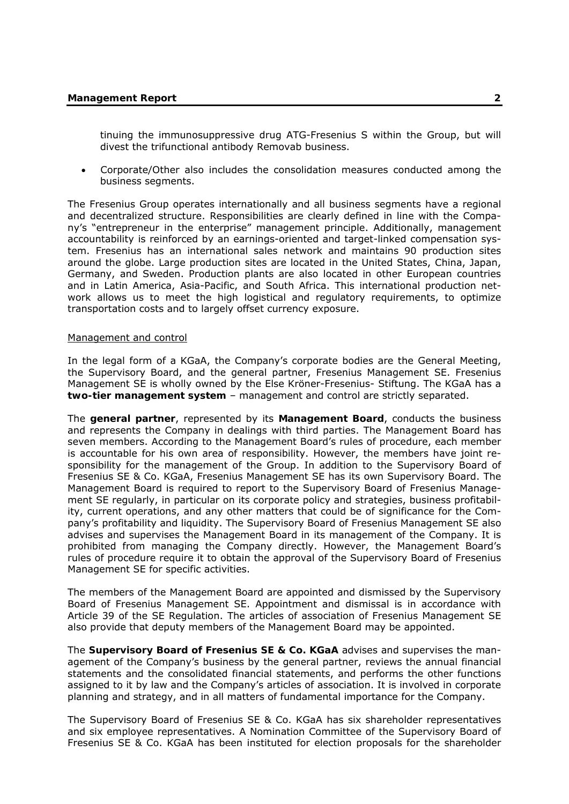tinuing the immunosuppressive drug ATG-Fresenius S within the Group, but will divest the trifunctional antibody Removab business.

 Corporate/Other also includes the consolidation measures conducted among the business segments.

The Fresenius Group operates internationally and all business segments have a regional and decentralized structure. Responsibilities are clearly defined in line with the Company's "entrepreneur in the enterprise" management principle. Additionally, management accountability is reinforced by an earnings-oriented and target-linked compensation system. Fresenius has an international sales network and maintains 90 production sites around the globe. Large production sites are located in the United States, China, Japan, Germany, and Sweden. Production plants are also located in other European countries and in Latin America, Asia-Pacific, and South Africa. This international production network allows us to meet the high logistical and regulatory requirements, to optimize transportation costs and to largely offset currency exposure.

#### Management and control

In the legal form of a KGaA, the Company's corporate bodies are the General Meeting, the Supervisory Board, and the general partner, Fresenius Management SE. Fresenius Management SE is wholly owned by the Else Kröner-Fresenius- Stiftung. The KGaA has a **two-tier management system** – management and control are strictly separated.

The **general partner**, represented by its **Management Board**, conducts the business and represents the Company in dealings with third parties. The Management Board has seven members. According to the Management Board's rules of procedure, each member is accountable for his own area of responsibility. However, the members have joint responsibility for the management of the Group. In addition to the Supervisory Board of Fresenius SE & Co. KGaA, Fresenius Management SE has its own Supervisory Board. The Management Board is required to report to the Supervisory Board of Fresenius Management SE regularly, in particular on its corporate policy and strategies, business profitability, current operations, and any other matters that could be of significance for the Company's profitability and liquidity. The Supervisory Board of Fresenius Management SE also advises and supervises the Management Board in its management of the Company. It is prohibited from managing the Company directly. However, the Management Board's rules of procedure require it to obtain the approval of the Supervisory Board of Fresenius Management SE for specific activities.

The members of the Management Board are appointed and dismissed by the Supervisory Board of Fresenius Management SE. Appointment and dismissal is in accordance with Article 39 of the SE Regulation. The articles of association of Fresenius Management SE also provide that deputy members of the Management Board may be appointed.

The **Supervisory Board of Fresenius SE & Co. KGaA** advises and supervises the management of the Company's business by the general partner, reviews the annual financial statements and the consolidated financial statements, and performs the other functions assigned to it by law and the Company's articles of association. It is involved in corporate planning and strategy, and in all matters of fundamental importance for the Company.

The Supervisory Board of Fresenius SE & Co. KGaA has six shareholder representatives and six employee representatives. A Nomination Committee of the Supervisory Board of Fresenius SE & Co. KGaA has been instituted for election proposals for the shareholder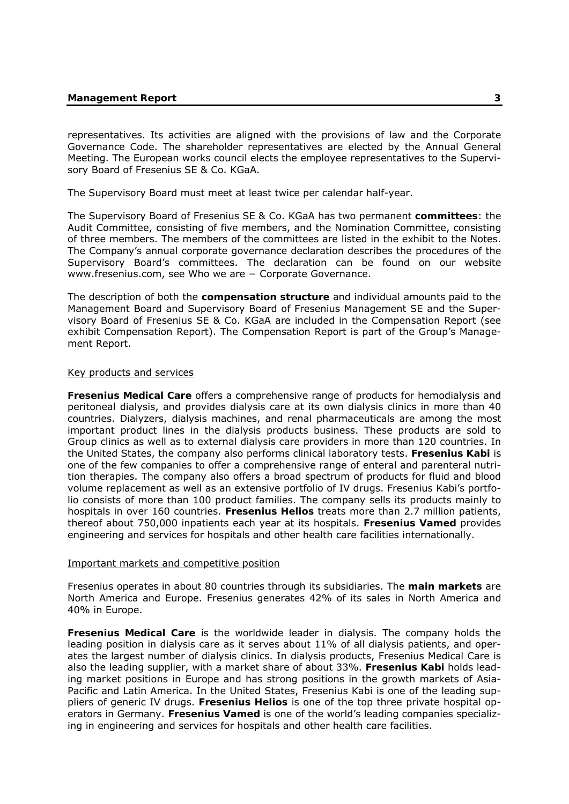representatives. Its activities are aligned with the provisions of law and the Corporate Governance Code. The shareholder representatives are elected by the Annual General Meeting. The European works council elects the employee representatives to the Supervisory Board of Fresenius SE & Co. KGaA.

The Supervisory Board must meet at least twice per calendar half-year.

The Supervisory Board of Fresenius SE & Co. KGaA has two permanent **committees**: the Audit Committee, consisting of five members, and the Nomination Committee, consisting of three members. The members of the committees are listed in the exhibit to the Notes. The Company's annual corporate governance declaration describes the procedures of the Supervisory Board's committees. The declaration can be found on our website www.fresenius.com, see Who we are − Corporate Governance.

The description of both the **compensation structure** and individual amounts paid to the Management Board and Supervisory Board of Fresenius Management SE and the Supervisory Board of Fresenius SE & Co. KGaA are included in the Compensation Report (see exhibit Compensation Report). The Compensation Report is part of the Group's Management Report.

#### Key products and services

**Fresenius Medical Care** offers a comprehensive range of products for hemodialysis and peritoneal dialysis, and provides dialysis care at its own dialysis clinics in more than 40 countries. Dialyzers, dialysis machines, and renal pharmaceuticals are among the most important product lines in the dialysis products business. These products are sold to Group clinics as well as to external dialysis care providers in more than 120 countries. In the United States, the company also performs clinical laboratory tests. **Fresenius Kabi** is one of the few companies to offer a comprehensive range of enteral and parenteral nutrition therapies. The company also offers a broad spectrum of products for fluid and blood volume replacement as well as an extensive portfolio of IV drugs. Fresenius Kabi's portfolio consists of more than 100 product families. The company sells its products mainly to hospitals in over 160 countries. **Fresenius Helios** treats more than 2.7 million patients, thereof about 750,000 inpatients each year at its hospitals. **Fresenius Vamed** provides engineering and services for hospitals and other health care facilities internationally.

#### Important markets and competitive position

Fresenius operates in about 80 countries through its subsidiaries. The **main markets** are North America and Europe. Fresenius generates 42% of its sales in North America and 40% in Europe.

**Fresenius Medical Care** is the worldwide leader in dialysis. The company holds the leading position in dialysis care as it serves about 11% of all dialysis patients, and operates the largest number of dialysis clinics. In dialysis products, Fresenius Medical Care is also the leading supplier, with a market share of about 33%. **Fresenius Kabi** holds leading market positions in Europe and has strong positions in the growth markets of Asia-Pacific and Latin America. In the United States, Fresenius Kabi is one of the leading suppliers of generic IV drugs. **Fresenius Helios** is one of the top three private hospital operators in Germany. **Fresenius Vamed** is one of the world's leading companies specializing in engineering and services for hospitals and other health care facilities.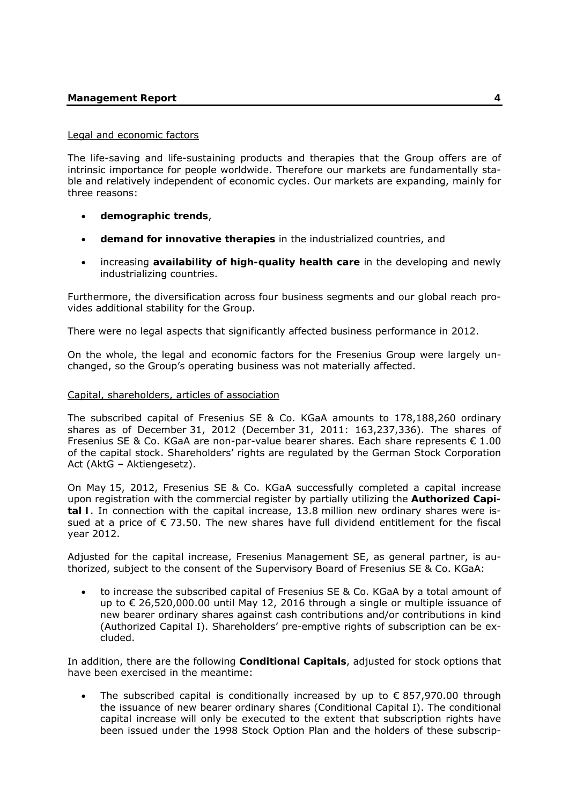# **Management Report 4**

#### Legal and economic factors

The life-saving and life-sustaining products and therapies that the Group offers are of intrinsic importance for people worldwide. Therefore our markets are fundamentally stable and relatively independent of economic cycles. Our markets are expanding, mainly for three reasons:

- **demographic trends**,
- **demand for innovative therapies** in the industrialized countries, and
- increasing **availability of high-quality health care** in the developing and newly industrializing countries.

Furthermore, the diversification across four business segments and our global reach provides additional stability for the Group.

There were no legal aspects that significantly affected business performance in 2012.

On the whole, the legal and economic factors for the Fresenius Group were largely unchanged, so the Group's operating business was not materially affected.

# Capital, shareholders, articles of association

The subscribed capital of Fresenius SE & Co. KGaA amounts to 178,188,260 ordinary shares as of December 31, 2012 (December 31, 2011: 163,237,336). The shares of Fresenius SE & Co. KGaA are non-par-value bearer shares. Each share represents  $\epsilon$  1.00 of the capital stock. Shareholders' rights are regulated by the German Stock Corporation Act (AktG – Aktiengesetz).

On May 15, 2012, Fresenius SE & Co. KGaA successfully completed a capital increase upon registration with the commercial register by partially utilizing the **Authorized Capital I**. In connection with the capital increase, 13.8 million new ordinary shares were issued at a price of € 73.50. The new shares have full dividend entitlement for the fiscal year 2012.

Adjusted for the capital increase, Fresenius Management SE, as general partner, is authorized, subject to the consent of the Supervisory Board of Fresenius SE & Co. KGaA:

 to increase the subscribed capital of Fresenius SE & Co. KGaA by a total amount of up to € 26,520,000.00 until May 12, 2016 through a single or multiple issuance of new bearer ordinary shares against cash contributions and/or contributions in kind (Authorized Capital I). Shareholders' pre-emptive rights of subscription can be excluded.

In addition, there are the following **Conditional Capitals**, adjusted for stock options that have been exercised in the meantime:

The subscribed capital is conditionally increased by up to  $\epsilon$  857,970.00 through the issuance of new bearer ordinary shares (Conditional Capital I). The conditional capital increase will only be executed to the extent that subscription rights have been issued under the 1998 Stock Option Plan and the holders of these subscrip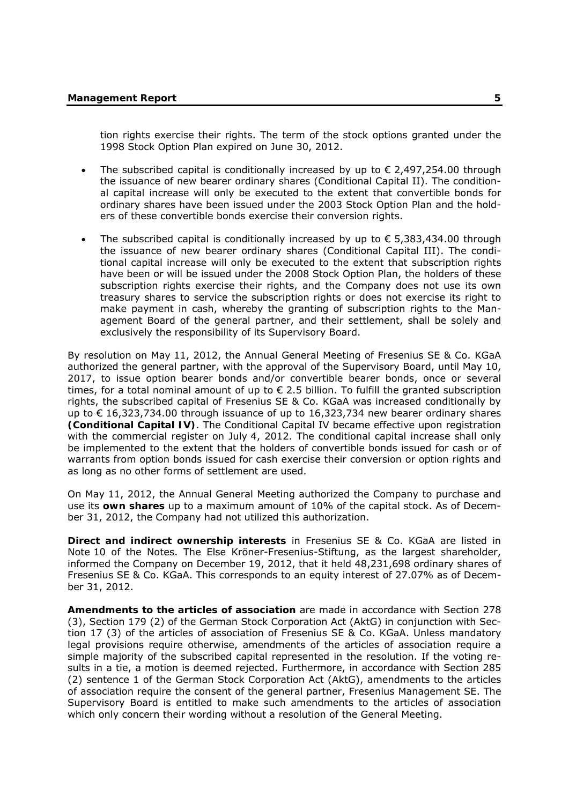tion rights exercise their rights. The term of the stock options granted under the 1998 Stock Option Plan expired on June 30, 2012.

- The subscribed capital is conditionally increased by up to  $\epsilon$  2,497,254.00 through the issuance of new bearer ordinary shares (Conditional Capital II). The conditional capital increase will only be executed to the extent that convertible bonds for ordinary shares have been issued under the 2003 Stock Option Plan and the holders of these convertible bonds exercise their conversion rights.
- The subscribed capital is conditionally increased by up to  $\epsilon$  5,383,434.00 through the issuance of new bearer ordinary shares (Conditional Capital III). The conditional capital increase will only be executed to the extent that subscription rights have been or will be issued under the 2008 Stock Option Plan, the holders of these subscription rights exercise their rights, and the Company does not use its own treasury shares to service the subscription rights or does not exercise its right to make payment in cash, whereby the granting of subscription rights to the Management Board of the general partner, and their settlement, shall be solely and exclusively the responsibility of its Supervisory Board.

By resolution on May 11, 2012, the Annual General Meeting of Fresenius SE & Co. KGaA authorized the general partner, with the approval of the Supervisory Board, until May 10, 2017, to issue option bearer bonds and/or convertible bearer bonds, once or several times, for a total nominal amount of up to € 2.5 billion. To fulfill the granted subscription rights, the subscribed capital of Fresenius SE & Co. KGaA was increased conditionally by up to € 16,323,734.00 through issuance of up to  $16,323,734$  new bearer ordinary shares **(Conditional Capital IV)**. The Conditional Capital IV became effective upon registration with the commercial register on July 4, 2012. The conditional capital increase shall only be implemented to the extent that the holders of convertible bonds issued for cash or of warrants from option bonds issued for cash exercise their conversion or option rights and as long as no other forms of settlement are used.

On May 11, 2012, the Annual General Meeting authorized the Company to purchase and use its **own shares** up to a maximum amount of 10% of the capital stock. As of December 31, 2012, the Company had not utilized this authorization.

**Direct and indirect ownership interests** in Fresenius SE & Co. KGaA are listed in Note 10 of the Notes. The Else Kröner-Fresenius-Stiftung, as the largest shareholder, informed the Company on December 19, 2012, that it held 48,231,698 ordinary shares of Fresenius SE & Co. KGaA. This corresponds to an equity interest of 27.07% as of December 31, 2012.

**Amendments to the articles of association** are made in accordance with Section 278 (3), Section 179 (2) of the German Stock Corporation Act (AktG) in conjunction with Section 17 (3) of the articles of association of Fresenius SE & Co. KGaA. Unless mandatory legal provisions require otherwise, amendments of the articles of association require a simple majority of the subscribed capital represented in the resolution. If the voting results in a tie, a motion is deemed rejected. Furthermore, in accordance with Section 285 (2) sentence 1 of the German Stock Corporation Act (AktG), amendments to the articles of association require the consent of the general partner, Fresenius Management SE. The Supervisory Board is entitled to make such amendments to the articles of association which only concern their wording without a resolution of the General Meeting.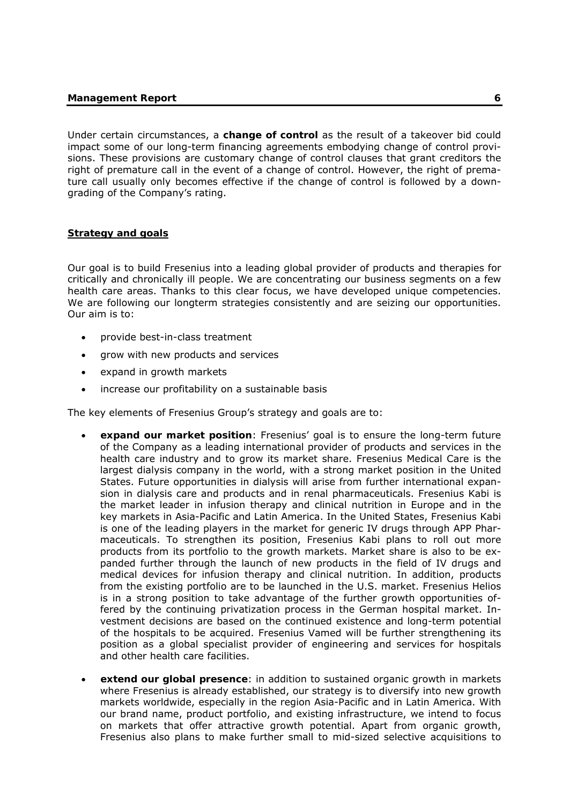Under certain circumstances, a **change of control** as the result of a takeover bid could impact some of our long-term financing agreements embodying change of control provisions. These provisions are customary change of control clauses that grant creditors the right of premature call in the event of a change of control. However, the right of premature call usually only becomes effective if the change of control is followed by a downgrading of the Company's rating.

### **Strategy and goals**

Our goal is to build Fresenius into a leading global provider of products and therapies for critically and chronically ill people. We are concentrating our business segments on a few health care areas. Thanks to this clear focus, we have developed unique competencies. We are following our longterm strategies consistently and are seizing our opportunities. Our aim is to:

- provide best-in-class treatment
- grow with new products and services
- expand in growth markets
- increase our profitability on a sustainable basis

The key elements of Fresenius Group's strategy and goals are to:

- **expand our market position**: Fresenius' goal is to ensure the long-term future of the Company as a leading international provider of products and services in the health care industry and to grow its market share. Fresenius Medical Care is the largest dialysis company in the world, with a strong market position in the United States. Future opportunities in dialysis will arise from further international expansion in dialysis care and products and in renal pharmaceuticals. Fresenius Kabi is the market leader in infusion therapy and clinical nutrition in Europe and in the key markets in Asia-Pacific and Latin America. In the United States, Fresenius Kabi is one of the leading players in the market for generic IV drugs through APP Pharmaceuticals. To strengthen its position, Fresenius Kabi plans to roll out more products from its portfolio to the growth markets. Market share is also to be expanded further through the launch of new products in the field of IV drugs and medical devices for infusion therapy and clinical nutrition. In addition, products from the existing portfolio are to be launched in the U.S. market. Fresenius Helios is in a strong position to take advantage of the further growth opportunities offered by the continuing privatization process in the German hospital market. Investment decisions are based on the continued existence and long-term potential of the hospitals to be acquired. Fresenius Vamed will be further strengthening its position as a global specialist provider of engineering and services for hospitals and other health care facilities.
- **extend our global presence**: in addition to sustained organic growth in markets where Fresenius is already established, our strategy is to diversify into new growth markets worldwide, especially in the region Asia-Pacific and in Latin America. With our brand name, product portfolio, and existing infrastructure, we intend to focus on markets that offer attractive growth potential. Apart from organic growth, Fresenius also plans to make further small to mid-sized selective acquisitions to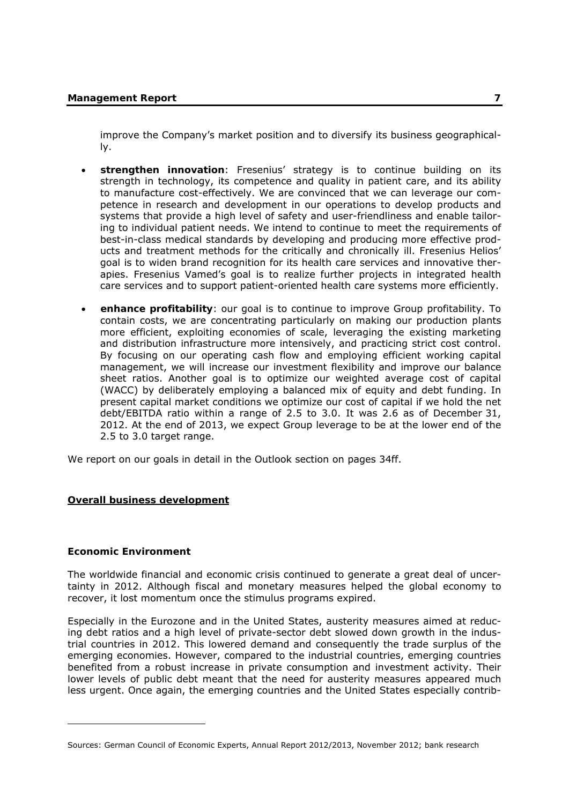improve the Company's market position and to diversify its business geographically.

- strengthen innovation: Fresenius' strategy is to continue building on its strength in technology, its competence and quality in patient care, and its ability to manufacture cost-effectively. We are convinced that we can leverage our competence in research and development in our operations to develop products and systems that provide a high level of safety and user-friendliness and enable tailoring to individual patient needs. We intend to continue to meet the requirements of best-in-class medical standards by developing and producing more effective products and treatment methods for the critically and chronically ill. Fresenius Helios' goal is to widen brand recognition for its health care services and innovative therapies. Fresenius Vamed's goal is to realize further projects in integrated health care services and to support patient-oriented health care systems more efficiently.
- **enhance profitability**: our goal is to continue to improve Group profitability. To contain costs, we are concentrating particularly on making our production plants more efficient, exploiting economies of scale, leveraging the existing marketing and distribution infrastructure more intensively, and practicing strict cost control. By focusing on our operating cash flow and employing efficient working capital management, we will increase our investment flexibility and improve our balance sheet ratios. Another goal is to optimize our weighted average cost of capital (WACC) by deliberately employing a balanced mix of equity and debt funding. In present capital market conditions we optimize our cost of capital if we hold the net debt/EBITDA ratio within a range of 2.5 to 3.0. It was 2.6 as of December 31, 2012. At the end of 2013, we expect Group leverage to be at the lower end of the 2.5 to 3.0 target range.

We report on our goals in detail in the Outlook section on pages 34ff.

# **Overall business development**

# **Economic Environment**

-

The worldwide financial and economic crisis continued to generate a great deal of uncertainty in 2012. Although fiscal and monetary measures helped the global economy to recover, it lost momentum once the stimulus programs expired.

Especially in the Eurozone and in the United States, austerity measures aimed at reducing debt ratios and a high level of private-sector debt slowed down growth in the industrial countries in 2012. This lowered demand and consequently the trade surplus of the emerging economies. However, compared to the industrial countries, emerging countries benefited from a robust increase in private consumption and investment activity. Their lower levels of public debt meant that the need for austerity measures appeared much less urgent. Once again, the emerging countries and the United States especially contrib-

Sources: German Council of Economic Experts, Annual Report 2012/2013, November 2012; bank research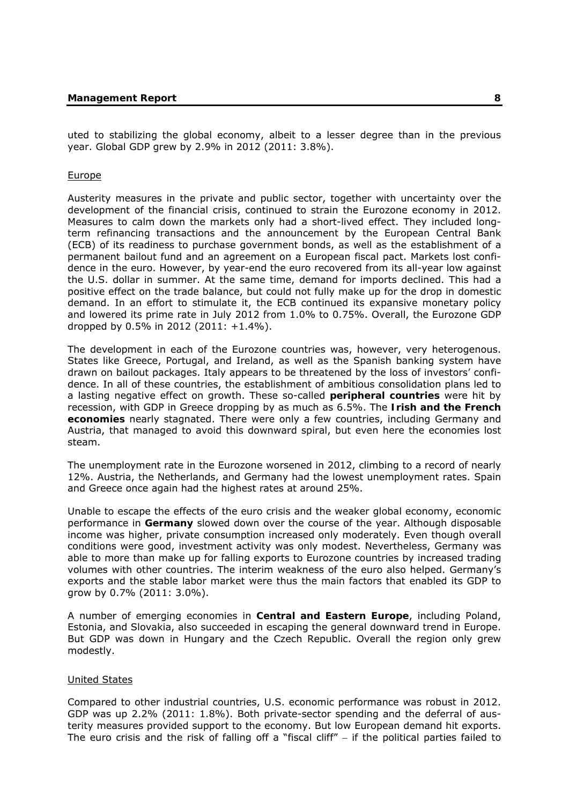uted to stabilizing the global economy, albeit to a lesser degree than in the previous year. Global GDP grew by 2.9% in 2012 (2011: 3.8%).

#### Europe

Austerity measures in the private and public sector, together with uncertainty over the development of the financial crisis, continued to strain the Eurozone economy in 2012. Measures to calm down the markets only had a short-lived effect. They included longterm refinancing transactions and the announcement by the European Central Bank (ECB) of its readiness to purchase government bonds, as well as the establishment of a permanent bailout fund and an agreement on a European fiscal pact. Markets lost confidence in the euro. However, by year-end the euro recovered from its all-year low against the U.S. dollar in summer. At the same time, demand for imports declined. This had a positive effect on the trade balance, but could not fully make up for the drop in domestic demand. In an effort to stimulate it, the ECB continued its expansive monetary policy and lowered its prime rate in July 2012 from 1.0% to 0.75%. Overall, the Eurozone GDP dropped by 0.5% in 2012 (2011: +1.4%).

The development in each of the Eurozone countries was, however, very heterogenous. States like Greece, Portugal, and Ireland, as well as the Spanish banking system have drawn on bailout packages. Italy appears to be threatened by the loss of investors' confidence. In all of these countries, the establishment of ambitious consolidation plans led to a lasting negative effect on growth. These so-called **peripheral countries** were hit by recession, with GDP in Greece dropping by as much as 6.5%. The **Irish and the French economies** nearly stagnated. There were only a few countries, including Germany and Austria, that managed to avoid this downward spiral, but even here the economies lost steam.

The unemployment rate in the Eurozone worsened in 2012, climbing to a record of nearly 12%. Austria, the Netherlands, and Germany had the lowest unemployment rates. Spain and Greece once again had the highest rates at around 25%.

Unable to escape the effects of the euro crisis and the weaker global economy, economic performance in **Germany** slowed down over the course of the year. Although disposable income was higher, private consumption increased only moderately. Even though overall conditions were good, investment activity was only modest. Nevertheless, Germany was able to more than make up for falling exports to Eurozone countries by increased trading volumes with other countries. The interim weakness of the euro also helped. Germany's exports and the stable labor market were thus the main factors that enabled its GDP to grow by 0.7% (2011: 3.0%).

A number of emerging economies in **Central and Eastern Europe**, including Poland, Estonia, and Slovakia, also succeeded in escaping the general downward trend in Europe. But GDP was down in Hungary and the Czech Republic. Overall the region only grew modestly.

#### United States

Compared to other industrial countries, U.S. economic performance was robust in 2012. GDP was up 2.2% (2011: 1.8%). Both private-sector spending and the deferral of austerity measures provided support to the economy. But low European demand hit exports. The euro crisis and the risk of falling off a "fiscal cliff"  $-$  if the political parties failed to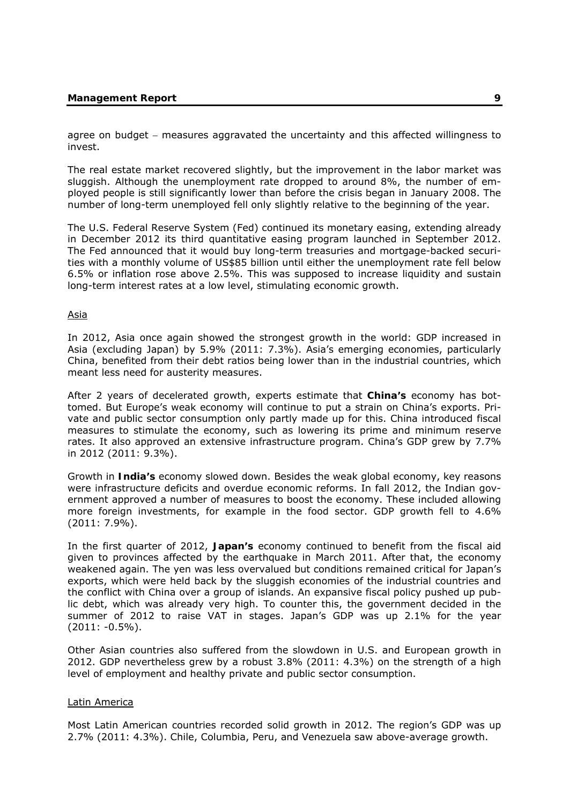agree on budget – measures aggravated the uncertainty and this affected willingness to invest.

The real estate market recovered slightly, but the improvement in the labor market was sluggish. Although the unemployment rate dropped to around 8%, the number of employed people is still significantly lower than before the crisis began in January 2008. The number of long-term unemployed fell only slightly relative to the beginning of the year.

The U.S. Federal Reserve System (Fed) continued its monetary easing, extending already in December 2012 its third quantitative easing program launched in September 2012. The Fed announced that it would buy long-term treasuries and mortgage-backed securities with a monthly volume of US\$85 billion until either the unemployment rate fell below 6.5% or inflation rose above 2.5%. This was supposed to increase liquidity and sustain long-term interest rates at a low level, stimulating economic growth.

#### Asia

In 2012, Asia once again showed the strongest growth in the world: GDP increased in Asia (excluding Japan) by 5.9% (2011: 7.3%). Asia's emerging economies, particularly China, benefited from their debt ratios being lower than in the industrial countries, which meant less need for austerity measures.

After 2 years of decelerated growth, experts estimate that **China's** economy has bottomed. But Europe's weak economy will continue to put a strain on China's exports. Private and public sector consumption only partly made up for this. China introduced fiscal measures to stimulate the economy, such as lowering its prime and minimum reserve rates. It also approved an extensive infrastructure program. China's GDP grew by 7.7% in 2012 (2011: 9.3%).

Growth in **India's** economy slowed down. Besides the weak global economy, key reasons were infrastructure deficits and overdue economic reforms. In fall 2012, the Indian government approved a number of measures to boost the economy. These included allowing more foreign investments, for example in the food sector. GDP growth fell to 4.6% (2011: 7.9%).

In the first quarter of 2012, **Japan's** economy continued to benefit from the fiscal aid given to provinces affected by the earthquake in March 2011. After that, the economy weakened again. The yen was less overvalued but conditions remained critical for Japan's exports, which were held back by the sluggish economies of the industrial countries and the conflict with China over a group of islands. An expansive fiscal policy pushed up public debt, which was already very high. To counter this, the government decided in the summer of 2012 to raise VAT in stages. Japan's GDP was up 2.1% for the year (2011: -0.5%).

Other Asian countries also suffered from the slowdown in U.S. and European growth in 2012. GDP nevertheless grew by a robust 3.8% (2011: 4.3%) on the strength of a high level of employment and healthy private and public sector consumption.

#### Latin America

Most Latin American countries recorded solid growth in 2012. The region's GDP was up 2.7% (2011: 4.3%). Chile, Columbia, Peru, and Venezuela saw above-average growth.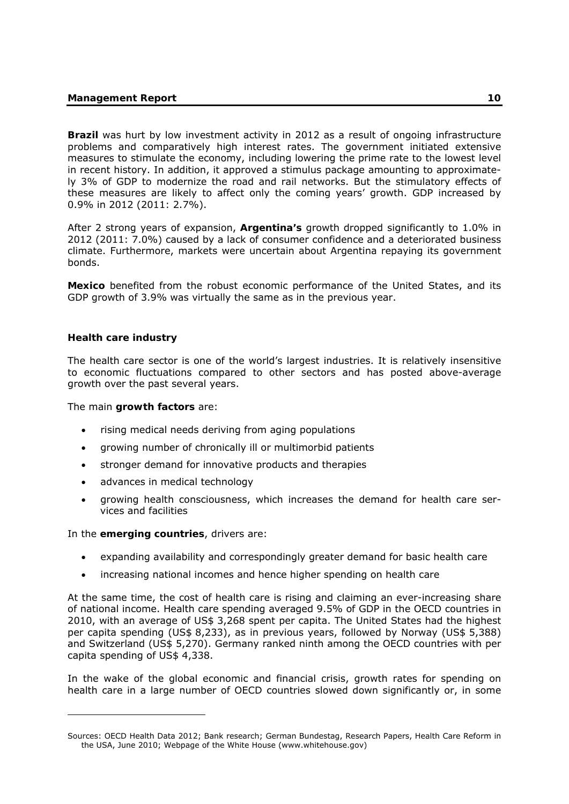**Brazil** was hurt by low investment activity in 2012 as a result of ongoing infrastructure problems and comparatively high interest rates. The government initiated extensive measures to stimulate the economy, including lowering the prime rate to the lowest level in recent history. In addition, it approved a stimulus package amounting to approximately 3% of GDP to modernize the road and rail networks. But the stimulatory effects of these measures are likely to affect only the coming years' growth. GDP increased by 0.9% in 2012 (2011: 2.7%).

After 2 strong years of expansion, **Argentina's** growth dropped significantly to 1.0% in 2012 (2011: 7.0%) caused by a lack of consumer confidence and a deteriorated business climate. Furthermore, markets were uncertain about Argentina repaying its government bonds.

**Mexico** benefited from the robust economic performance of the United States, and its GDP growth of 3.9% was virtually the same as in the previous year.

# **Health care industry**

-

The health care sector is one of the world's largest industries. It is relatively insensitive to economic fluctuations compared to other sectors and has posted above-average growth over the past several years.

The main **growth factors** are:

- rising medical needs deriving from aging populations
- growing number of chronically ill or multimorbid patients
- stronger demand for innovative products and therapies
- advances in medical technology
- growing health consciousness, which increases the demand for health care services and facilities

In the **emerging countries**, drivers are:

- expanding availability and correspondingly greater demand for basic health care
- increasing national incomes and hence higher spending on health care

At the same time, the cost of health care is rising and claiming an ever-increasing share of national income. Health care spending averaged 9.5% of GDP in the OECD countries in 2010, with an average of US\$ 3,268 spent per capita. The United States had the highest per capita spending (US\$ 8,233), as in previous years, followed by Norway (US\$ 5,388) and Switzerland (US\$ 5,270). Germany ranked ninth among the OECD countries with per capita spending of US\$ 4,338.

In the wake of the global economic and financial crisis, growth rates for spending on health care in a large number of OECD countries slowed down significantly or, in some

Sources: OECD Health Data 2012; Bank research; German Bundestag, Research Papers, Health Care Reform in the USA, June 2010; Webpage of the White House (www.whitehouse.gov)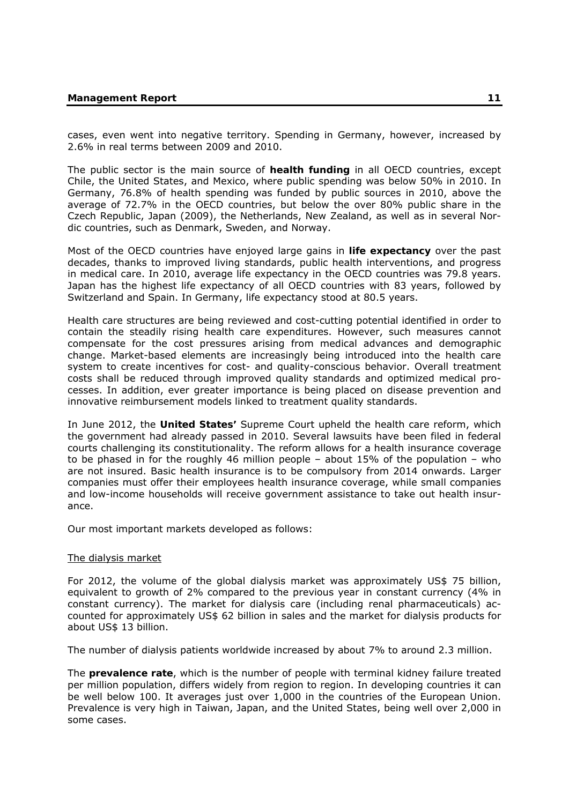cases, even went into negative territory. Spending in Germany, however, increased by 2.6% in real terms between 2009 and 2010.

The public sector is the main source of **health funding** in all OECD countries, except Chile, the United States, and Mexico, where public spending was below 50% in 2010. In Germany, 76.8% of health spending was funded by public sources in 2010, above the average of 72.7% in the OECD countries, but below the over 80% public share in the Czech Republic, Japan (2009), the Netherlands, New Zealand, as well as in several Nordic countries, such as Denmark, Sweden, and Norway.

Most of the OECD countries have enjoyed large gains in **life expectancy** over the past decades, thanks to improved living standards, public health interventions, and progress in medical care. In 2010, average life expectancy in the OECD countries was 79.8 years. Japan has the highest life expectancy of all OECD countries with 83 years, followed by Switzerland and Spain. In Germany, life expectancy stood at 80.5 years.

Health care structures are being reviewed and cost-cutting potential identified in order to contain the steadily rising health care expenditures. However, such measures cannot compensate for the cost pressures arising from medical advances and demographic change. Market-based elements are increasingly being introduced into the health care system to create incentives for cost- and quality-conscious behavior. Overall treatment costs shall be reduced through improved quality standards and optimized medical processes. In addition, ever greater importance is being placed on disease prevention and innovative reimbursement models linked to treatment quality standards.

In June 2012, the **United States'** Supreme Court upheld the health care reform, which the government had already passed in 2010. Several lawsuits have been filed in federal courts challenging its constitutionality. The reform allows for a health insurance coverage to be phased in for the roughly 46 million people – about 15% of the population – who are not insured. Basic health insurance is to be compulsory from 2014 onwards. Larger companies must offer their employees health insurance coverage, while small companies and low-income households will receive government assistance to take out health insurance.

Our most important markets developed as follows:

#### The dialysis market

For 2012, the volume of the global dialysis market was approximately US\$ 75 billion, equivalent to growth of 2% compared to the previous year in constant currency (4% in constant currency). The market for dialysis care (including renal pharmaceuticals) accounted for approximately US\$ 62 billion in sales and the market for dialysis products for about US\$ 13 billion.

The number of dialysis patients worldwide increased by about 7% to around 2.3 million.

The **prevalence rate**, which is the number of people with terminal kidney failure treated per million population, differs widely from region to region. In developing countries it can be well below 100. It averages just over 1,000 in the countries of the European Union. Prevalence is very high in Taiwan, Japan, and the United States, being well over 2,000 in some cases.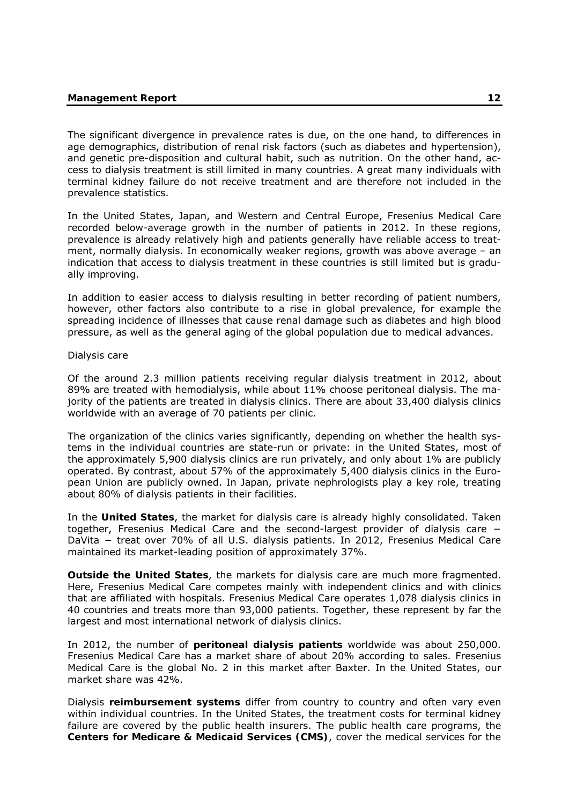The significant divergence in prevalence rates is due, on the one hand, to differences in age demographics, distribution of renal risk factors (such as diabetes and hypertension), and genetic pre-disposition and cultural habit, such as nutrition. On the other hand, access to dialysis treatment is still limited in many countries. A great many individuals with terminal kidney failure do not receive treatment and are therefore not included in the prevalence statistics.

In the United States, Japan, and Western and Central Europe, Fresenius Medical Care recorded below-average growth in the number of patients in 2012. In these regions, prevalence is already relatively high and patients generally have reliable access to treatment, normally dialysis. In economically weaker regions, growth was above average – an indication that access to dialysis treatment in these countries is still limited but is gradually improving.

In addition to easier access to dialysis resulting in better recording of patient numbers, however, other factors also contribute to a rise in global prevalence, for example the spreading incidence of illnesses that cause renal damage such as diabetes and high blood pressure, as well as the general aging of the global population due to medical advances.

#### Dialysis care

Of the around 2.3 million patients receiving regular dialysis treatment in 2012, about 89% are treated with hemodialysis, while about 11% choose peritoneal dialysis. The majority of the patients are treated in dialysis clinics. There are about 33,400 dialysis clinics worldwide with an average of 70 patients per clinic.

The organization of the clinics varies significantly, depending on whether the health systems in the individual countries are state-run or private: in the United States, most of the approximately 5,900 dialysis clinics are run privately, and only about 1% are publicly operated. By contrast, about 57% of the approximately 5,400 dialysis clinics in the European Union are publicly owned. In Japan, private nephrologists play a key role, treating about 80% of dialysis patients in their facilities.

In the **United States**, the market for dialysis care is already highly consolidated. Taken together, Fresenius Medical Care and the second-largest provider of dialysis care − DaVita − treat over 70% of all U.S. dialysis patients. In 2012, Fresenius Medical Care maintained its market-leading position of approximately 37%.

**Outside the United States**, the markets for dialysis care are much more fragmented. Here, Fresenius Medical Care competes mainly with independent clinics and with clinics that are affiliated with hospitals. Fresenius Medical Care operates 1,078 dialysis clinics in 40 countries and treats more than 93,000 patients. Together, these represent by far the largest and most international network of dialysis clinics.

In 2012, the number of **peritoneal dialysis patients** worldwide was about 250,000. Fresenius Medical Care has a market share of about 20% according to sales. Fresenius Medical Care is the global No. 2 in this market after Baxter. In the United States, our market share was 42%.

Dialysis **reimbursement systems** differ from country to country and often vary even within individual countries. In the United States, the treatment costs for terminal kidney failure are covered by the public health insurers. The public health care programs, the **Centers for Medicare & Medicaid Services (CMS)**, cover the medical services for the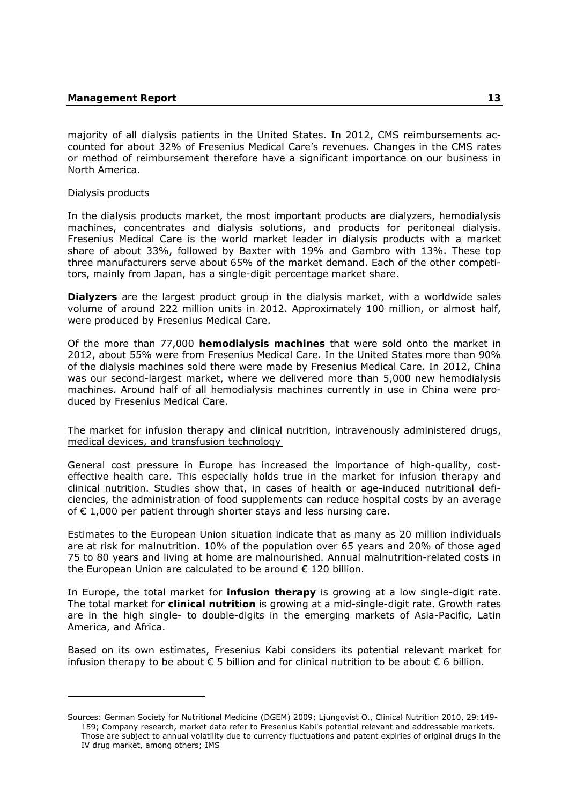majority of all dialysis patients in the United States. In 2012, CMS reimbursements accounted for about 32% of Fresenius Medical Care's revenues. Changes in the CMS rates or method of reimbursement therefore have a significant importance on our business in North America.

Dialysis products

-

In the dialysis products market, the most important products are dialyzers, hemodialysis machines, concentrates and dialysis solutions, and products for peritoneal dialysis. Fresenius Medical Care is the world market leader in dialysis products with a market share of about 33%, followed by Baxter with 19% and Gambro with 13%. These top three manufacturers serve about 65% of the market demand. Each of the other competitors, mainly from Japan, has a single-digit percentage market share.

**Dialyzers** are the largest product group in the dialysis market, with a worldwide sales volume of around 222 million units in 2012. Approximately 100 million, or almost half, were produced by Fresenius Medical Care.

Of the more than 77,000 **hemodialysis machines** that were sold onto the market in 2012, about 55% were from Fresenius Medical Care. In the United States more than 90% of the dialysis machines sold there were made by Fresenius Medical Care. In 2012, China was our second-largest market, where we delivered more than 5,000 new hemodialysis machines. Around half of all hemodialysis machines currently in use in China were produced by Fresenius Medical Care.

### The market for infusion therapy and clinical nutrition, intravenously administered drugs, medical devices, and transfusion technology

General cost pressure in Europe has increased the importance of high-quality, costeffective health care. This especially holds true in the market for infusion therapy and clinical nutrition. Studies show that, in cases of health or age-induced nutritional deficiencies, the administration of food supplements can reduce hospital costs by an average of € 1,000 per patient through shorter stays and less nursing care.

Estimates to the European Union situation indicate that as many as 20 million individuals are at risk for malnutrition. 10% of the population over 65 years and 20% of those aged 75 to 80 years and living at home are malnourished. Annual malnutrition-related costs in the European Union are calculated to be around € 120 billion.

In Europe, the total market for **infusion therapy** is growing at a low single-digit rate. The total market for **clinical nutrition** is growing at a mid-single-digit rate. Growth rates are in the high single- to double-digits in the emerging markets of Asia-Pacific, Latin America, and Africa.

Based on its own estimates, Fresenius Kabi considers its potential relevant market for infusion therapy to be about  $\epsilon$  5 billion and for clinical nutrition to be about  $\epsilon$  6 billion.

Sources: German Society for Nutritional Medicine (DGEM) 2009; Ljungqvist O., Clinical Nutrition 2010, 29:149- 159; Company research, market data refer to Fresenius Kabi's potential relevant and addressable markets. Those are subject to annual volatility due to currency fluctuations and patent expiries of original drugs in the IV drug market, among others; IMS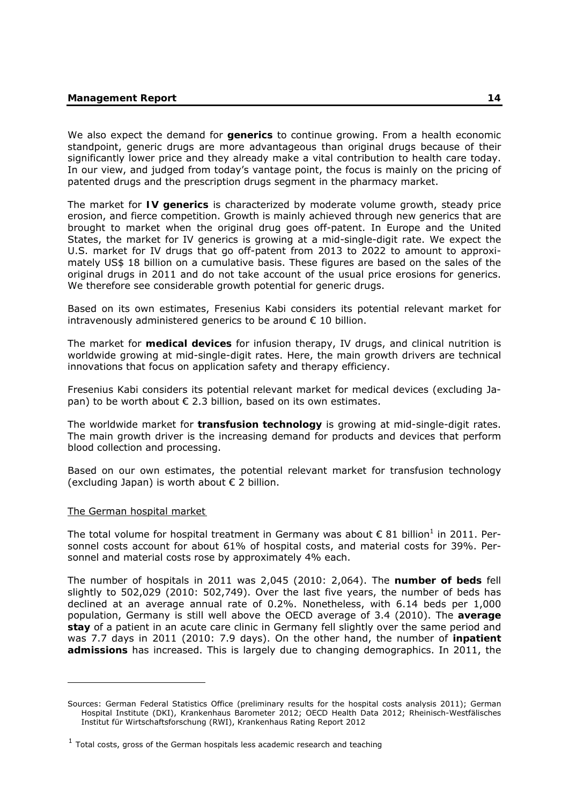We also expect the demand for **generics** to continue growing. From a health economic standpoint, generic drugs are more advantageous than original drugs because of their significantly lower price and they already make a vital contribution to health care today. In our view, and judged from today's vantage point, the focus is mainly on the pricing of patented drugs and the prescription drugs segment in the pharmacy market.

The market for **IV generics** is characterized by moderate volume growth, steady price erosion, and fierce competition. Growth is mainly achieved through new generics that are brought to market when the original drug goes off-patent. In Europe and the United States, the market for IV generics is growing at a mid-single-digit rate. We expect the U.S. market for IV drugs that go off-patent from 2013 to 2022 to amount to approximately US\$ 18 billion on a cumulative basis. These figures are based on the sales of the original drugs in 2011 and do not take account of the usual price erosions for generics. We therefore see considerable growth potential for generic drugs.

Based on its own estimates, Fresenius Kabi considers its potential relevant market for intravenously administered generics to be around  $\epsilon$  10 billion.

The market for **medical devices** for infusion therapy, IV drugs, and clinical nutrition is worldwide growing at mid-single-digit rates. Here, the main growth drivers are technical innovations that focus on application safety and therapy efficiency.

Fresenius Kabi considers its potential relevant market for medical devices (excluding Japan) to be worth about  $\epsilon$  2.3 billion, based on its own estimates.

The worldwide market for **transfusion technology** is growing at mid-single-digit rates. The main growth driver is the increasing demand for products and devices that perform blood collection and processing.

Based on our own estimates, the potential relevant market for transfusion technology (excluding Japan) is worth about  $\epsilon$  2 billion.

#### The German hospital market

-

The total volume for hospital treatment in Germany was about  $\epsilon$  81 billion<sup>1</sup> in 2011. Personnel costs account for about 61% of hospital costs, and material costs for 39%. Personnel and material costs rose by approximately 4% each.

The number of hospitals in 2011 was 2,045 (2010: 2,064). The **number of beds** fell slightly to 502,029 (2010: 502,749). Over the last five years, the number of beds has declined at an average annual rate of 0.2%. Nonetheless, with 6.14 beds per 1,000 population, Germany is still well above the OECD average of 3.4 (2010). The **average stay** of a patient in an acute care clinic in Germany fell slightly over the same period and was 7.7 days in 2011 (2010: 7.9 days). On the other hand, the number of **inpatient admissions** has increased. This is largely due to changing demographics. In 2011, the

Sources: German Federal Statistics Office (preliminary results for the hospital costs analysis 2011); German Hospital Institute (DKI), Krankenhaus Barometer 2012; OECD Health Data 2012; Rheinisch-Westfälisches Institut für Wirtschaftsforschung (RWI), Krankenhaus Rating Report 2012

 $1$  Total costs, gross of the German hospitals less academic research and teaching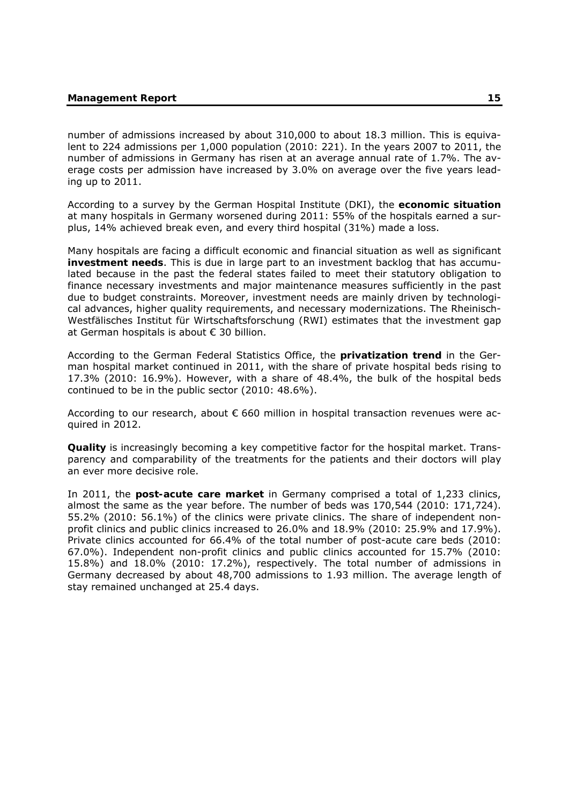number of admissions increased by about 310,000 to about 18.3 million. This is equivalent to 224 admissions per 1,000 population (2010: 221). In the years 2007 to 2011, the number of admissions in Germany has risen at an average annual rate of 1.7%. The average costs per admission have increased by 3.0% on average over the five years leading up to 2011.

According to a survey by the German Hospital Institute (DKI), the **economic situation** at many hospitals in Germany worsened during 2011: 55% of the hospitals earned a surplus, 14% achieved break even, and every third hospital (31%) made a loss.

Many hospitals are facing a difficult economic and financial situation as well as significant **investment needs**. This is due in large part to an investment backlog that has accumulated because in the past the federal states failed to meet their statutory obligation to finance necessary investments and major maintenance measures sufficiently in the past due to budget constraints. Moreover, investment needs are mainly driven by technological advances, higher quality requirements, and necessary modernizations. The Rheinisch-Westfälisches Institut für Wirtschaftsforschung (RWI) estimates that the investment gap at German hospitals is about € 30 billion.

According to the German Federal Statistics Office, the **privatization trend** in the German hospital market continued in 2011, with the share of private hospital beds rising to 17.3% (2010: 16.9%). However, with a share of 48.4%, the bulk of the hospital beds continued to be in the public sector (2010: 48.6%).

According to our research, about  $\epsilon$  660 million in hospital transaction revenues were acquired in 2012.

**Quality** is increasingly becoming a key competitive factor for the hospital market. Transparency and comparability of the treatments for the patients and their doctors will play an ever more decisive role.

In 2011, the **post-acute care market** in Germany comprised a total of 1,233 clinics, almost the same as the year before. The number of beds was 170,544 (2010: 171,724). 55.2% (2010: 56.1%) of the clinics were private clinics. The share of independent nonprofit clinics and public clinics increased to 26.0% and 18.9% (2010: 25.9% and 17.9%). Private clinics accounted for 66.4% of the total number of post-acute care beds (2010: 67.0%). Independent non-profit clinics and public clinics accounted for 15.7% (2010: 15.8%) and 18.0% (2010: 17.2%), respectively. The total number of admissions in Germany decreased by about 48,700 admissions to 1.93 million. The average length of stay remained unchanged at 25.4 days.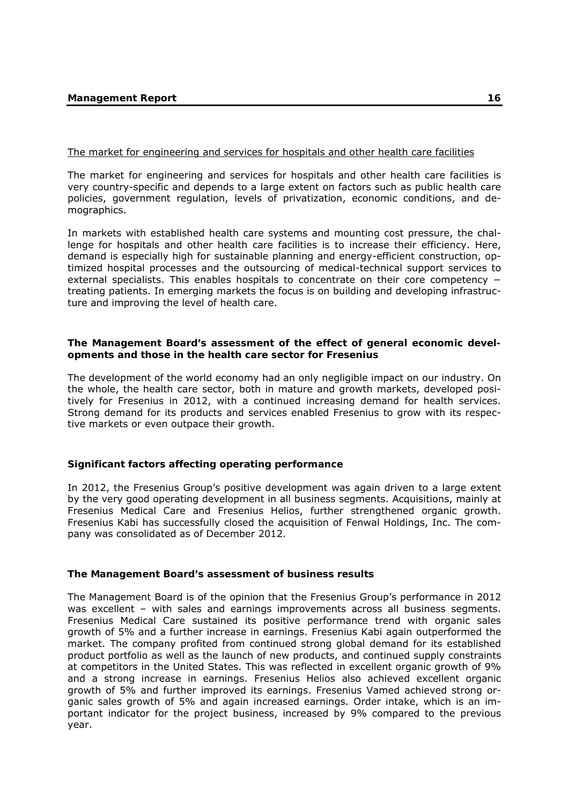# The market for engineering and services for hospitals and other health care facilities

The market for engineering and services for hospitals and other health care facilities is very country-specific and depends to a large extent on factors such as public health care policies, government regulation, levels of privatization, economic conditions, and demographics.

In markets with established health care systems and mounting cost pressure, the challenge for hospitals and other health care facilities is to increase their efficiency. Here, demand is especially high for sustainable planning and energy-efficient construction, optimized hospital processes and the outsourcing of medical-technical support services to external specialists. This enables hospitals to concentrate on their core competency − treating patients. In emerging markets the focus is on building and developing infrastructure and improving the level of health care.

# **The Management Board's assessment of the effect of general economic developments and those in the health care sector for Fresenius**

The development of the world economy had an only negligible impact on our industry. On the whole, the health care sector, both in mature and growth markets, developed positively for Fresenius in 2012, with a continued increasing demand for health services. Strong demand for its products and services enabled Fresenius to grow with its respective markets or even outpace their growth.

# **Significant factors affecting operating performance**

In 2012, the Fresenius Group's positive development was again driven to a large extent by the very good operating development in all business segments. Acquisitions, mainly at Fresenius Medical Care and Fresenius Helios, further strengthened organic growth. Fresenius Kabi has successfully closed the acquisition of Fenwal Holdings, Inc. The company was consolidated as of December 2012.

# **The Management Board's assessment of business results**

The Management Board is of the opinion that the Fresenius Group's performance in 2012 was excellent – with sales and earnings improvements across all business segments. Fresenius Medical Care sustained its positive performance trend with organic sales growth of 5% and a further increase in earnings. Fresenius Kabi again outperformed the market. The company profited from continued strong global demand for its established product portfolio as well as the launch of new products, and continued supply constraints at competitors in the United States. This was reflected in excellent organic growth of 9% and a strong increase in earnings. Fresenius Helios also achieved excellent organic growth of 5% and further improved its earnings. Fresenius Vamed achieved strong organic sales growth of 5% and again increased earnings. Order intake, which is an important indicator for the project business, increased by 9% compared to the previous year.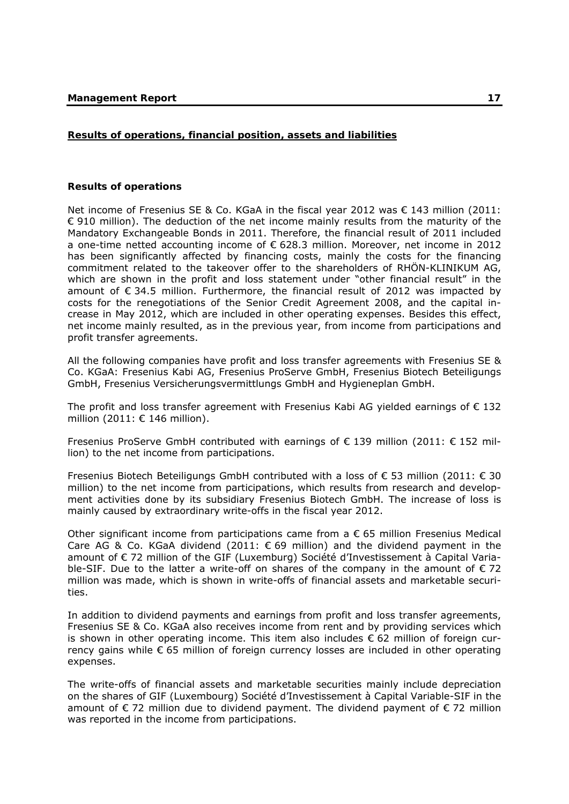# **Results of operations, financial position, assets and liabilities**

#### **Results of operations**

Net income of Fresenius SE & Co. KGaA in the fiscal year 2012 was € 143 million (2011:  $\epsilon$  910 million). The deduction of the net income mainly results from the maturity of the Mandatory Exchangeable Bonds in 2011. Therefore, the financial result of 2011 included a one-time netted accounting income of € 628.3 million. Moreover, net income in 2012 has been significantly affected by financing costs, mainly the costs for the financing commitment related to the takeover offer to the shareholders of RHÖN-KLINIKUM AG, which are shown in the profit and loss statement under "other financial result" in the amount of  $\epsilon$  34.5 million. Furthermore, the financial result of 2012 was impacted by costs for the renegotiations of the Senior Credit Agreement 2008, and the capital increase in May 2012, which are included in other operating expenses. Besides this effect, net income mainly resulted, as in the previous year, from income from participations and profit transfer agreements.

All the following companies have profit and loss transfer agreements with Fresenius SE & Co. KGaA: Fresenius Kabi AG, Fresenius ProServe GmbH, Fresenius Biotech Beteiligungs GmbH, Fresenius Versicherungsvermittlungs GmbH and Hygieneplan GmbH.

The profit and loss transfer agreement with Fresenius Kabi AG yielded earnings of  $\epsilon$  132 million (2011: € 146 million).

Fresenius ProServe GmbH contributed with earnings of  $\epsilon$  139 million (2011:  $\epsilon$  152 million) to the net income from participations.

Fresenius Biotech Beteiligungs GmbH contributed with a loss of € 53 million (2011: € 30 million) to the net income from participations, which results from research and development activities done by its subsidiary Fresenius Biotech GmbH. The increase of loss is mainly caused by extraordinary write-offs in the fiscal year 2012.

Other significant income from participations came from a  $\epsilon$  65 million Fresenius Medical Care AG & Co. KGaA dividend (2011:  $\epsilon$  69 million) and the dividend payment in the amount of € 72 million of the GIF (Luxemburg) Société d'Investissement à Capital Variable-SIF. Due to the latter a write-off on shares of the company in the amount of  $\epsilon$  72 million was made, which is shown in write-offs of financial assets and marketable securities.

In addition to dividend payments and earnings from profit and loss transfer agreements, Fresenius SE & Co. KGaA also receives income from rent and by providing services which is shown in other operating income. This item also includes  $\epsilon$  62 million of foreign currency gains while € 65 million of foreign currency losses are included in other operating expenses.

The write-offs of financial assets and marketable securities mainly include depreciation on the shares of GIF (Luxembourg) Société d'Investissement à Capital Variable-SIF in the amount of  $\epsilon$  72 million due to dividend payment. The dividend payment of  $\epsilon$  72 million was reported in the income from participations.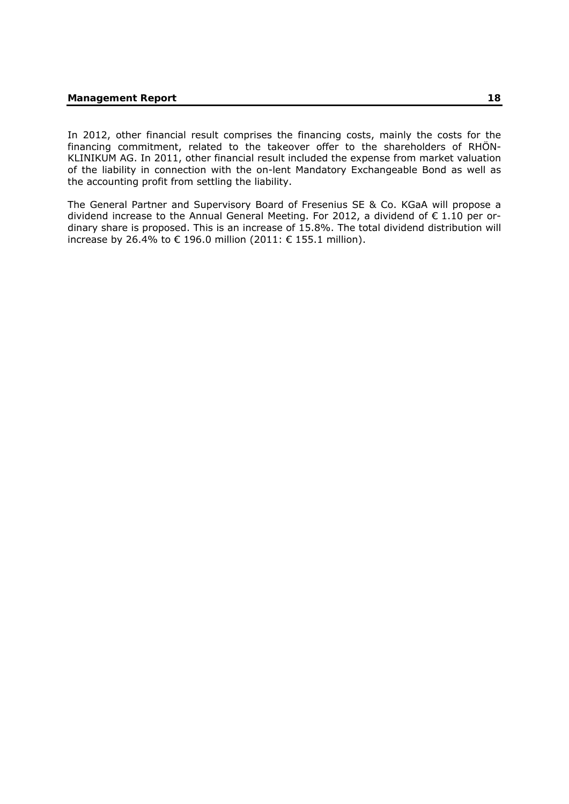In 2012, other financial result comprises the financing costs, mainly the costs for the financing commitment, related to the takeover offer to the shareholders of RHÖN-KLINIKUM AG. In 2011, other financial result included the expense from market valuation of the liability in connection with the on-lent Mandatory Exchangeable Bond as well as the accounting profit from settling the liability.

The General Partner and Supervisory Board of Fresenius SE & Co. KGaA will propose a dividend increase to the Annual General Meeting. For 2012, a dividend of  $\epsilon$  1.10 per ordinary share is proposed. This is an increase of 15.8%. The total dividend distribution will increase by 26.4% to € 196.0 million (2011: € 155.1 million).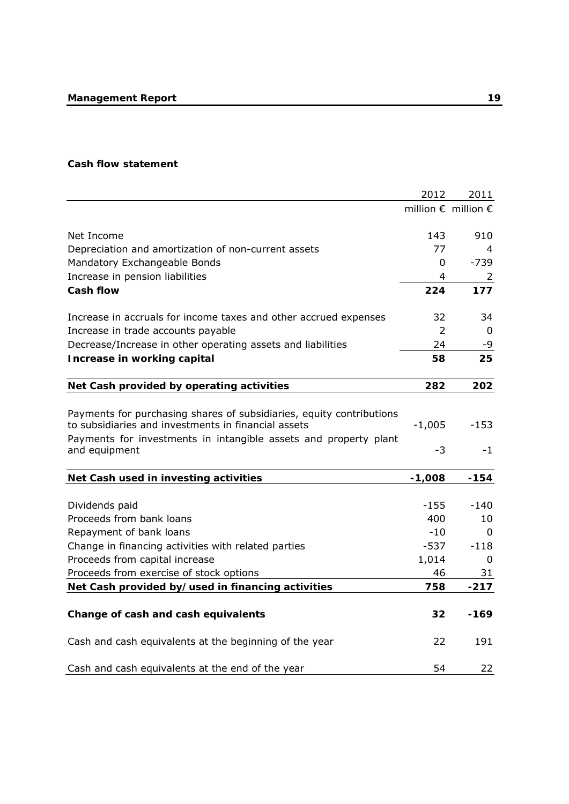# **Cash flow statement**

|                                                                                                                             | 2012     | 2011                                  |
|-----------------------------------------------------------------------------------------------------------------------------|----------|---------------------------------------|
|                                                                                                                             |          | million $\epsilon$ million $\epsilon$ |
| Net Income                                                                                                                  | 143      | 910                                   |
| Depreciation and amortization of non-current assets                                                                         | 77       | 4                                     |
| Mandatory Exchangeable Bonds                                                                                                | 0        | $-739$                                |
| Increase in pension liabilities                                                                                             | 4        | $\overline{2}$                        |
| <b>Cash flow</b>                                                                                                            | 224      | 177                                   |
| Increase in accruals for income taxes and other accrued expenses                                                            | 32       | 34                                    |
| Increase in trade accounts payable                                                                                          | 2        | 0                                     |
| Decrease/Increase in other operating assets and liabilities                                                                 | 24       | -9                                    |
| Increase in working capital                                                                                                 | 58       | 25                                    |
| Net Cash provided by operating activities                                                                                   | 282      | 202                                   |
|                                                                                                                             |          |                                       |
| Payments for purchasing shares of subsidiaries, equity contributions<br>to subsidiaries and investments in financial assets | $-1,005$ | $-153$                                |
| Payments for investments in intangible assets and property plant<br>and equipment                                           | $-3$     | $-1$                                  |
| Net Cash used in investing activities                                                                                       | $-1,008$ | $-154$                                |
| Dividends paid                                                                                                              | -155     | -140                                  |
| Proceeds from bank loans                                                                                                    | 400      | 10                                    |
| Repayment of bank loans                                                                                                     | $-10$    | $\Omega$                              |
| Change in financing activities with related parties                                                                         | $-537$   | -118                                  |
| Proceeds from capital increase                                                                                              | 1,014    | 0                                     |
| Proceeds from exercise of stock options                                                                                     | 46       | 31                                    |
| Net Cash provided by/used in financing activities                                                                           | 758      | $-217$                                |
| Change of cash and cash equivalents                                                                                         | 32       | $-169$                                |
| Cash and cash equivalents at the beginning of the year                                                                      | 22       | 191                                   |
| Cash and cash equivalents at the end of the year                                                                            | 54       | 22                                    |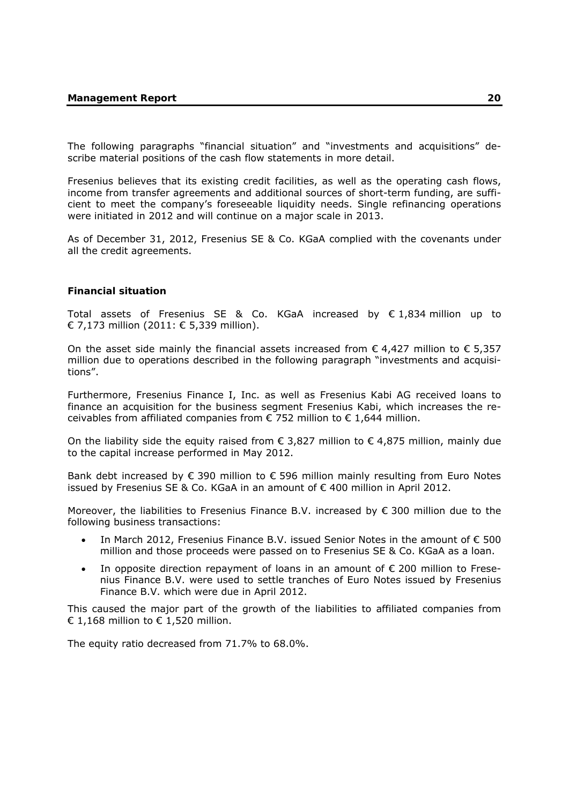The following paragraphs "financial situation" and "investments and acquisitions" describe material positions of the cash flow statements in more detail.

Fresenius believes that its existing credit facilities, as well as the operating cash flows, income from transfer agreements and additional sources of short-term funding, are sufficient to meet the company's foreseeable liquidity needs. Single refinancing operations were initiated in 2012 and will continue on a major scale in 2013.

As of December 31, 2012, Fresenius SE & Co. KGaA complied with the covenants under all the credit agreements.

#### **Financial situation**

Total assets of Fresenius SE & Co. KGaA increased by  $\epsilon$  1,834 million up to € 7,173 million (2011: € 5,339 million).

On the asset side mainly the financial assets increased from  $\epsilon$  4,427 million to  $\epsilon$  5,357 million due to operations described in the following paragraph "investments and acquisitions".

Furthermore, Fresenius Finance I, Inc. as well as Fresenius Kabi AG received loans to finance an acquisition for the business segment Fresenius Kabi, which increases the receivables from affiliated companies from  $\epsilon$  752 million to  $\epsilon$  1,644 million.

On the liability side the equity raised from  $\epsilon$  3,827 million to  $\epsilon$  4,875 million, mainly due to the capital increase performed in May 2012.

Bank debt increased by  $\epsilon$  390 million to  $\epsilon$  596 million mainly resulting from Euro Notes issued by Fresenius SE & Co. KGaA in an amount of € 400 million in April 2012.

Moreover, the liabilities to Fresenius Finance B.V. increased by  $\epsilon$  300 million due to the following business transactions:

- In March 2012, Fresenius Finance B.V. issued Senior Notes in the amount of € 500 million and those proceeds were passed on to Fresenius SE & Co. KGaA as a loan.
- In opposite direction repayment of loans in an amount of  $\epsilon$  200 million to Fresenius Finance B.V. were used to settle tranches of Euro Notes issued by Fresenius Finance B.V. which were due in April 2012.

This caused the major part of the growth of the liabilities to affiliated companies from € 1,168 million to  $€$  1,520 million.

The equity ratio decreased from 71.7% to 68.0%.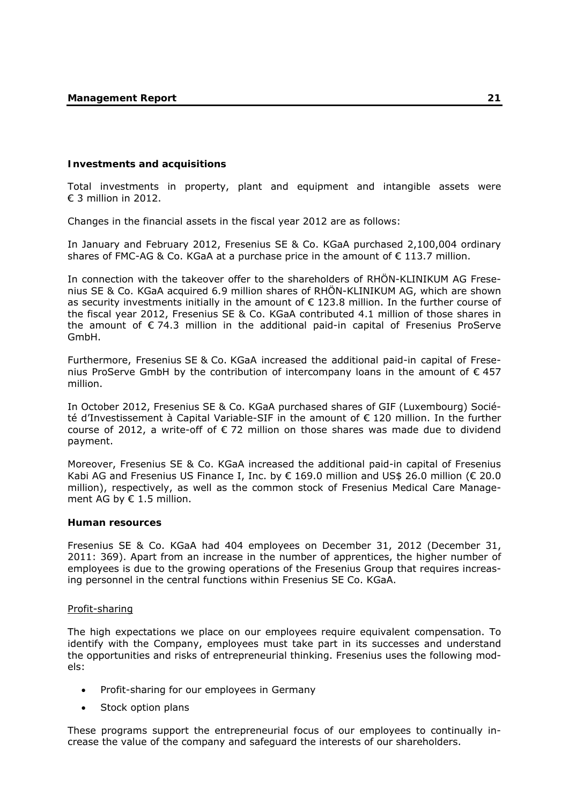#### **Investments and acquisitions**

Total investments in property, plant and equipment and intangible assets were € 3 million in 2012.

Changes in the financial assets in the fiscal year 2012 are as follows:

In January and February 2012, Fresenius SE & Co. KGaA purchased 2,100,004 ordinary shares of FMC-AG & Co. KGaA at a purchase price in the amount of  $\epsilon$  113.7 million.

In connection with the takeover offer to the shareholders of RHÖN-KLINIKUM AG Fresenius SE & Co. KGaA acquired 6.9 million shares of RHÖN-KLINIKUM AG, which are shown as security investments initially in the amount of  $\epsilon$  123.8 million. In the further course of the fiscal year 2012, Fresenius SE & Co. KGaA contributed 4.1 million of those shares in the amount of € 74.3 million in the additional paid-in capital of Fresenius ProServe GmbH.

Furthermore, Fresenius SE & Co. KGaA increased the additional paid-in capital of Fresenius ProServe GmbH by the contribution of intercompany loans in the amount of  $\epsilon$  457 million.

In October 2012, Fresenius SE & Co. KGaA purchased shares of GIF (Luxembourg) Société d'Investissement à Capital Variable-SIF in the amount of € 120 million. In the further course of 2012, a write-off of  $\epsilon$  72 million on those shares was made due to dividend payment.

Moreover, Fresenius SE & Co. KGaA increased the additional paid-in capital of Fresenius Kabi AG and Fresenius US Finance I, Inc. by  $\epsilon$  169.0 million and US\$ 26.0 million ( $\epsilon$  20.0 million), respectively, as well as the common stock of Fresenius Medical Care Management AG by  $\epsilon$  1.5 million.

#### **Human resources**

Fresenius SE & Co. KGaA had 404 employees on December 31, 2012 (December 31, 2011: 369). Apart from an increase in the number of apprentices, the higher number of employees is due to the growing operations of the Fresenius Group that requires increasing personnel in the central functions within Fresenius SE Co. KGaA.

#### Profit-sharing

The high expectations we place on our employees require equivalent compensation. To identify with the Company, employees must take part in its successes and understand the opportunities and risks of entrepreneurial thinking. Fresenius uses the following models:

- Profit-sharing for our employees in Germany
- Stock option plans

These programs support the entrepreneurial focus of our employees to continually increase the value of the company and safeguard the interests of our shareholders.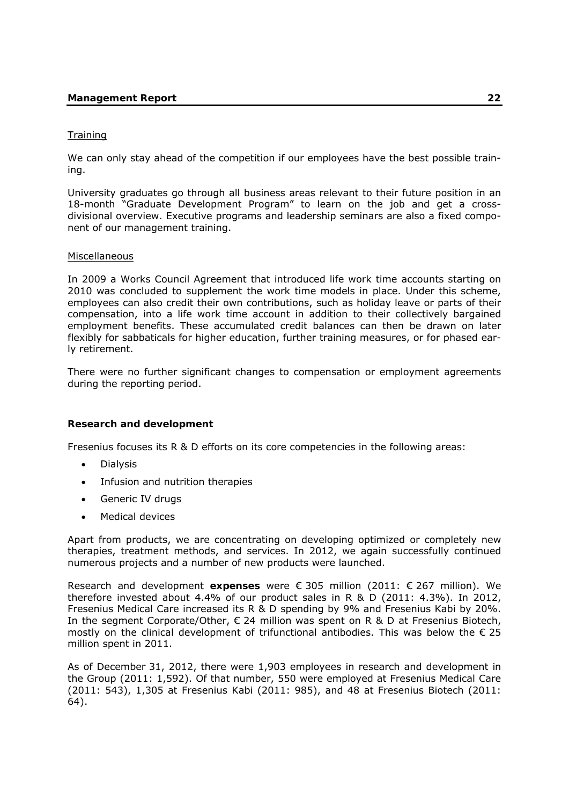# **Training**

We can only stay ahead of the competition if our employees have the best possible training.

University graduates go through all business areas relevant to their future position in an 18-month "Graduate Development Program" to learn on the job and get a crossdivisional overview. Executive programs and leadership seminars are also a fixed component of our management training.

### Miscellaneous

In 2009 a Works Council Agreement that introduced life work time accounts starting on 2010 was concluded to supplement the work time models in place. Under this scheme, employees can also credit their own contributions, such as holiday leave or parts of their compensation, into a life work time account in addition to their collectively bargained employment benefits. These accumulated credit balances can then be drawn on later flexibly for sabbaticals for higher education, further training measures, or for phased early retirement.

There were no further significant changes to compensation or employment agreements during the reporting period.

# **Research and development**

Fresenius focuses its R & D efforts on its core competencies in the following areas:

- Dialysis
- Infusion and nutrition therapies
- Generic IV drugs
- Medical devices

Apart from products, we are concentrating on developing optimized or completely new therapies, treatment methods, and services. In 2012, we again successfully continued numerous projects and a number of new products were launched.

Research and development **expenses** were € 305 million (2011: € 267 million). We therefore invested about 4.4% of our product sales in R & D (2011: 4.3%). In 2012, Fresenius Medical Care increased its R & D spending by 9% and Fresenius Kabi by 20%. In the segment Corporate/Other,  $\epsilon$  24 million was spent on R & D at Fresenius Biotech, mostly on the clinical development of trifunctional antibodies. This was below the  $\epsilon$  25 million spent in 2011.

As of December 31, 2012, there were 1,903 employees in research and development in the Group (2011: 1,592). Of that number, 550 were employed at Fresenius Medical Care (2011: 543), 1,305 at Fresenius Kabi (2011: 985), and 48 at Fresenius Biotech (2011: 64).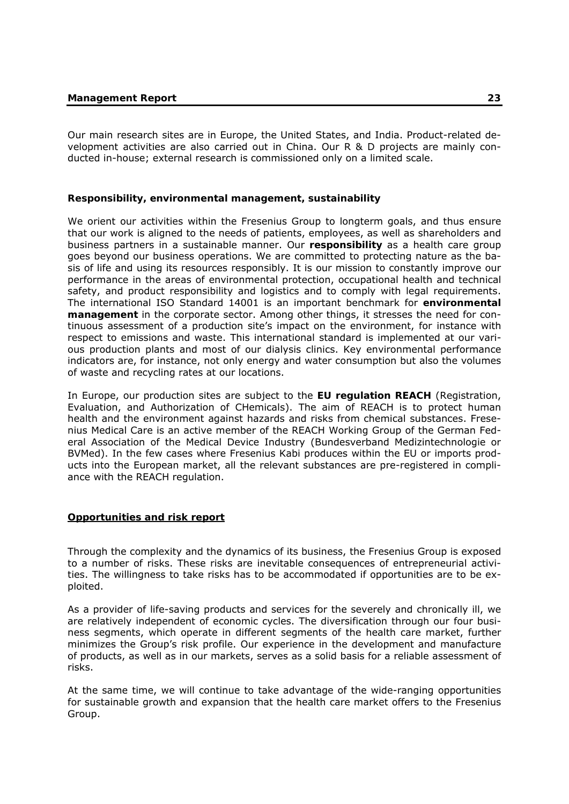Our main research sites are in Europe, the United States, and India. Product-related development activities are also carried out in China. Our R & D projects are mainly conducted in-house; external research is commissioned only on a limited scale.

# **Responsibility, environmental management, sustainability**

We orient our activities within the Fresenius Group to longterm goals, and thus ensure that our work is aligned to the needs of patients, employees, as well as shareholders and business partners in a sustainable manner. Our **responsibility** as a health care group goes beyond our business operations. We are committed to protecting nature as the basis of life and using its resources responsibly. It is our mission to constantly improve our performance in the areas of environmental protection, occupational health and technical safety, and product responsibility and logistics and to comply with legal requirements. The international ISO Standard 14001 is an important benchmark for **environmental management** in the corporate sector. Among other things, it stresses the need for continuous assessment of a production site's impact on the environment, for instance with respect to emissions and waste. This international standard is implemented at our various production plants and most of our dialysis clinics. Key environmental performance indicators are, for instance, not only energy and water consumption but also the volumes of waste and recycling rates at our locations.

In Europe, our production sites are subject to the **EU regulation REACH** (Registration, Evaluation, and Authorization of CHemicals). The aim of REACH is to protect human health and the environment against hazards and risks from chemical substances. Fresenius Medical Care is an active member of the REACH Working Group of the German Federal Association of the Medical Device Industry (Bundesverband Medizintechnologie or BVMed). In the few cases where Fresenius Kabi produces within the EU or imports products into the European market, all the relevant substances are pre-registered in compliance with the REACH regulation.

# **Opportunities and risk report**

Through the complexity and the dynamics of its business, the Fresenius Group is exposed to a number of risks. These risks are inevitable consequences of entrepreneurial activities. The willingness to take risks has to be accommodated if opportunities are to be exploited.

As a provider of life-saving products and services for the severely and chronically ill, we are relatively independent of economic cycles. The diversification through our four business segments, which operate in different segments of the health care market, further minimizes the Group's risk profile. Our experience in the development and manufacture of products, as well as in our markets, serves as a solid basis for a reliable assessment of risks.

At the same time, we will continue to take advantage of the wide-ranging opportunities for sustainable growth and expansion that the health care market offers to the Fresenius Group.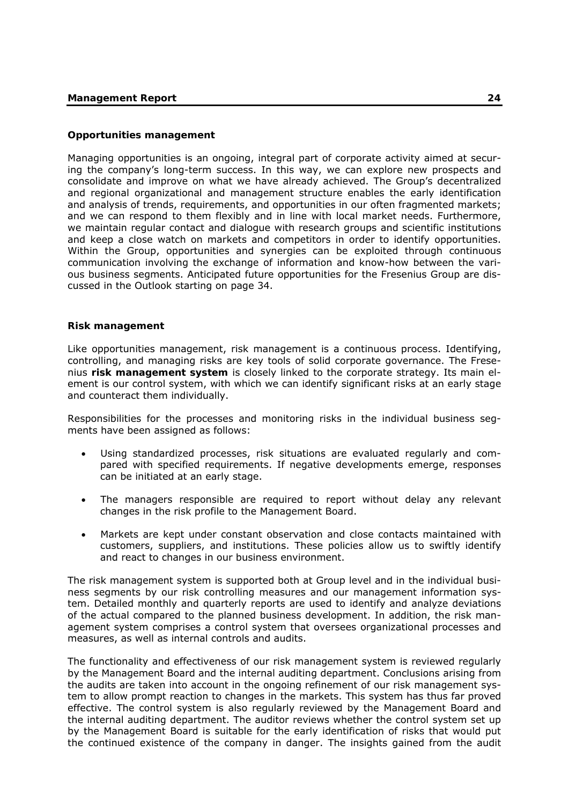#### **Opportunities management**

Managing opportunities is an ongoing, integral part of corporate activity aimed at securing the company's long-term success. In this way, we can explore new prospects and consolidate and improve on what we have already achieved. The Group's decentralized and regional organizational and management structure enables the early identification and analysis of trends, requirements, and opportunities in our often fragmented markets; and we can respond to them flexibly and in line with local market needs. Furthermore, we maintain regular contact and dialogue with research groups and scientific institutions and keep a close watch on markets and competitors in order to identify opportunities. Within the Group, opportunities and synergies can be exploited through continuous communication involving the exchange of information and know-how between the various business segments. Anticipated future opportunities for the Fresenius Group are discussed in the Outlook starting on page 34.

#### **Risk management**

Like opportunities management, risk management is a continuous process. Identifying, controlling, and managing risks are key tools of solid corporate governance. The Fresenius **risk management system** is closely linked to the corporate strategy. Its main element is our control system, with which we can identify significant risks at an early stage and counteract them individually.

Responsibilities for the processes and monitoring risks in the individual business segments have been assigned as follows:

- Using standardized processes, risk situations are evaluated regularly and compared with specified requirements. If negative developments emerge, responses can be initiated at an early stage.
- The managers responsible are required to report without delay any relevant changes in the risk profile to the Management Board.
- Markets are kept under constant observation and close contacts maintained with customers, suppliers, and institutions. These policies allow us to swiftly identify and react to changes in our business environment.

The risk management system is supported both at Group level and in the individual business segments by our risk controlling measures and our management information system. Detailed monthly and quarterly reports are used to identify and analyze deviations of the actual compared to the planned business development. In addition, the risk management system comprises a control system that oversees organizational processes and measures, as well as internal controls and audits.

The functionality and effectiveness of our risk management system is reviewed regularly by the Management Board and the internal auditing department. Conclusions arising from the audits are taken into account in the ongoing refinement of our risk management system to allow prompt reaction to changes in the markets. This system has thus far proved effective. The control system is also regularly reviewed by the Management Board and the internal auditing department. The auditor reviews whether the control system set up by the Management Board is suitable for the early identification of risks that would put the continued existence of the company in danger. The insights gained from the audit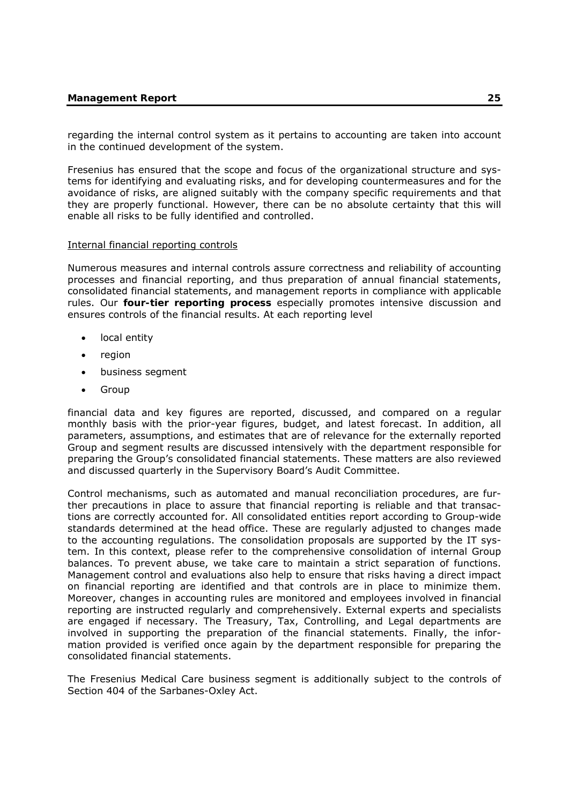regarding the internal control system as it pertains to accounting are taken into account in the continued development of the system.

Fresenius has ensured that the scope and focus of the organizational structure and systems for identifying and evaluating risks, and for developing countermeasures and for the avoidance of risks, are aligned suitably with the company specific requirements and that they are properly functional. However, there can be no absolute certainty that this will enable all risks to be fully identified and controlled.

### Internal financial reporting controls

Numerous measures and internal controls assure correctness and reliability of accounting processes and financial reporting, and thus preparation of annual financial statements, consolidated financial statements, and management reports in compliance with applicable rules. Our **four-tier reporting process** especially promotes intensive discussion and ensures controls of the financial results. At each reporting level

- local entity
- $\bullet$  region
- business segment
- Group

financial data and key figures are reported, discussed, and compared on a regular monthly basis with the prior-year figures, budget, and latest forecast. In addition, all parameters, assumptions, and estimates that are of relevance for the externally reported Group and segment results are discussed intensively with the department responsible for preparing the Group's consolidated financial statements. These matters are also reviewed and discussed quarterly in the Supervisory Board's Audit Committee.

Control mechanisms, such as automated and manual reconciliation procedures, are further precautions in place to assure that financial reporting is reliable and that transactions are correctly accounted for. All consolidated entities report according to Group-wide standards determined at the head office. These are regularly adjusted to changes made to the accounting regulations. The consolidation proposals are supported by the IT system. In this context, please refer to the comprehensive consolidation of internal Group balances. To prevent abuse, we take care to maintain a strict separation of functions. Management control and evaluations also help to ensure that risks having a direct impact on financial reporting are identified and that controls are in place to minimize them. Moreover, changes in accounting rules are monitored and employees involved in financial reporting are instructed regularly and comprehensively. External experts and specialists are engaged if necessary. The Treasury, Tax, Controlling, and Legal departments are involved in supporting the preparation of the financial statements. Finally, the information provided is verified once again by the department responsible for preparing the consolidated financial statements.

The Fresenius Medical Care business segment is additionally subject to the controls of Section 404 of the Sarbanes-Oxley Act.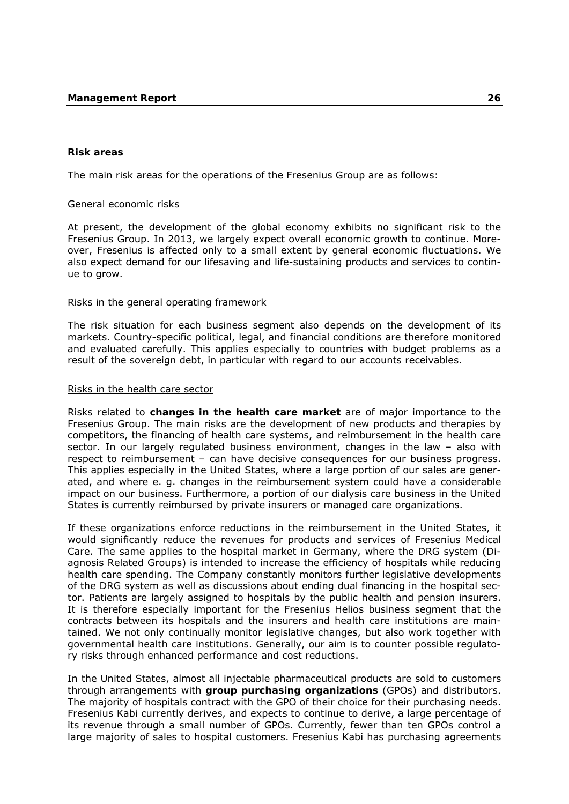#### **Risk areas**

The main risk areas for the operations of the Fresenius Group are as follows:

### General economic risks

At present, the development of the global economy exhibits no significant risk to the Fresenius Group. In 2013, we largely expect overall economic growth to continue. Moreover, Fresenius is affected only to a small extent by general economic fluctuations. We also expect demand for our lifesaving and life-sustaining products and services to continue to grow.

#### Risks in the general operating framework

The risk situation for each business segment also depends on the development of its markets. Country-specific political, legal, and financial conditions are therefore monitored and evaluated carefully. This applies especially to countries with budget problems as a result of the sovereign debt, in particular with regard to our accounts receivables.

### Risks in the health care sector

Risks related to **changes in the health care market** are of major importance to the Fresenius Group. The main risks are the development of new products and therapies by competitors, the financing of health care systems, and reimbursement in the health care sector. In our largely regulated business environment, changes in the law – also with respect to reimbursement – can have decisive consequences for our business progress. This applies especially in the United States, where a large portion of our sales are generated, and where e. g. changes in the reimbursement system could have a considerable impact on our business. Furthermore, a portion of our dialysis care business in the United States is currently reimbursed by private insurers or managed care organizations.

If these organizations enforce reductions in the reimbursement in the United States, it would significantly reduce the revenues for products and services of Fresenius Medical Care. The same applies to the hospital market in Germany, where the DRG system (Diagnosis Related Groups) is intended to increase the efficiency of hospitals while reducing health care spending. The Company constantly monitors further legislative developments of the DRG system as well as discussions about ending dual financing in the hospital sector. Patients are largely assigned to hospitals by the public health and pension insurers. It is therefore especially important for the Fresenius Helios business segment that the contracts between its hospitals and the insurers and health care institutions are maintained. We not only continually monitor legislative changes, but also work together with governmental health care institutions. Generally, our aim is to counter possible regulatory risks through enhanced performance and cost reductions.

In the United States, almost all injectable pharmaceutical products are sold to customers through arrangements with **group purchasing organizations** (GPOs) and distributors. The majority of hospitals contract with the GPO of their choice for their purchasing needs. Fresenius Kabi currently derives, and expects to continue to derive, a large percentage of its revenue through a small number of GPOs. Currently, fewer than ten GPOs control a large majority of sales to hospital customers. Fresenius Kabi has purchasing agreements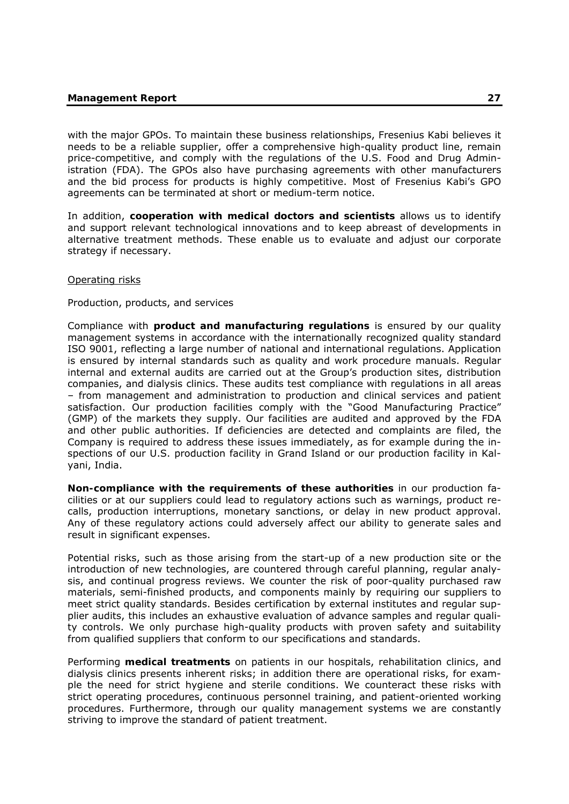with the major GPOs. To maintain these business relationships, Fresenius Kabi believes it needs to be a reliable supplier, offer a comprehensive high-quality product line, remain price-competitive, and comply with the regulations of the U.S. Food and Drug Administration (FDA). The GPOs also have purchasing agreements with other manufacturers and the bid process for products is highly competitive. Most of Fresenius Kabi's GPO agreements can be terminated at short or medium-term notice.

In addition, **cooperation with medical doctors and scientists** allows us to identify and support relevant technological innovations and to keep abreast of developments in alternative treatment methods. These enable us to evaluate and adjust our corporate strategy if necessary.

#### Operating risks

#### Production, products, and services

Compliance with **product and manufacturing regulations** is ensured by our quality management systems in accordance with the internationally recognized quality standard ISO 9001, reflecting a large number of national and international regulations. Application is ensured by internal standards such as quality and work procedure manuals. Regular internal and external audits are carried out at the Group's production sites, distribution companies, and dialysis clinics. These audits test compliance with regulations in all areas – from management and administration to production and clinical services and patient satisfaction. Our production facilities comply with the "Good Manufacturing Practice" (GMP) of the markets they supply. Our facilities are audited and approved by the FDA and other public authorities. If deficiencies are detected and complaints are filed, the Company is required to address these issues immediately, as for example during the inspections of our U.S. production facility in Grand Island or our production facility in Kalyani, India.

**Non-compliance with the requirements of these authorities** in our production facilities or at our suppliers could lead to regulatory actions such as warnings, product recalls, production interruptions, monetary sanctions, or delay in new product approval. Any of these regulatory actions could adversely affect our ability to generate sales and result in significant expenses.

Potential risks, such as those arising from the start-up of a new production site or the introduction of new technologies, are countered through careful planning, regular analysis, and continual progress reviews. We counter the risk of poor-quality purchased raw materials, semi-finished products, and components mainly by requiring our suppliers to meet strict quality standards. Besides certification by external institutes and regular supplier audits, this includes an exhaustive evaluation of advance samples and regular quality controls. We only purchase high-quality products with proven safety and suitability from qualified suppliers that conform to our specifications and standards.

Performing **medical treatments** on patients in our hospitals, rehabilitation clinics, and dialysis clinics presents inherent risks; in addition there are operational risks, for example the need for strict hygiene and sterile conditions. We counteract these risks with strict operating procedures, continuous personnel training, and patient-oriented working procedures. Furthermore, through our quality management systems we are constantly striving to improve the standard of patient treatment.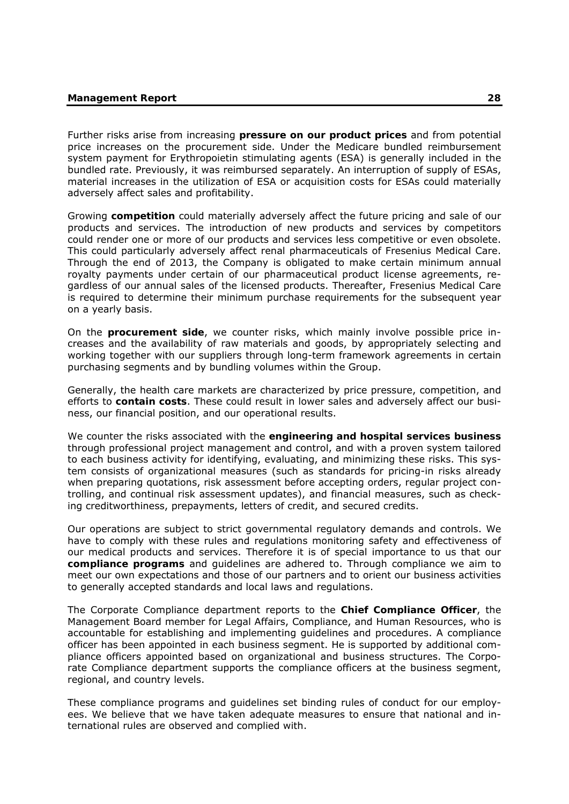Further risks arise from increasing **pressure on our product prices** and from potential price increases on the procurement side. Under the Medicare bundled reimbursement system payment for Erythropoietin stimulating agents (ESA) is generally included in the bundled rate. Previously, it was reimbursed separately. An interruption of supply of ESAs, material increases in the utilization of ESA or acquisition costs for ESAs could materially adversely affect sales and profitability.

Growing **competition** could materially adversely affect the future pricing and sale of our products and services. The introduction of new products and services by competitors could render one or more of our products and services less competitive or even obsolete. This could particularly adversely affect renal pharmaceuticals of Fresenius Medical Care. Through the end of 2013, the Company is obligated to make certain minimum annual royalty payments under certain of our pharmaceutical product license agreements, regardless of our annual sales of the licensed products. Thereafter, Fresenius Medical Care is required to determine their minimum purchase requirements for the subsequent year on a yearly basis.

On the **procurement side**, we counter risks, which mainly involve possible price increases and the availability of raw materials and goods, by appropriately selecting and working together with our suppliers through long-term framework agreements in certain purchasing segments and by bundling volumes within the Group.

Generally, the health care markets are characterized by price pressure, competition, and efforts to **contain costs**. These could result in lower sales and adversely affect our business, our financial position, and our operational results.

We counter the risks associated with the **engineering and hospital services business** through professional project management and control, and with a proven system tailored to each business activity for identifying, evaluating, and minimizing these risks. This system consists of organizational measures (such as standards for pricing-in risks already when preparing quotations, risk assessment before accepting orders, regular project controlling, and continual risk assessment updates), and financial measures, such as checking creditworthiness, prepayments, letters of credit, and secured credits.

Our operations are subject to strict governmental regulatory demands and controls. We have to comply with these rules and regulations monitoring safety and effectiveness of our medical products and services. Therefore it is of special importance to us that our **compliance programs** and guidelines are adhered to. Through compliance we aim to meet our own expectations and those of our partners and to orient our business activities to generally accepted standards and local laws and regulations.

The Corporate Compliance department reports to the **Chief Compliance Officer**, the Management Board member for Legal Affairs, Compliance, and Human Resources, who is accountable for establishing and implementing guidelines and procedures. A compliance officer has been appointed in each business segment. He is supported by additional compliance officers appointed based on organizational and business structures. The Corporate Compliance department supports the compliance officers at the business segment, regional, and country levels.

These compliance programs and guidelines set binding rules of conduct for our employees. We believe that we have taken adequate measures to ensure that national and international rules are observed and complied with.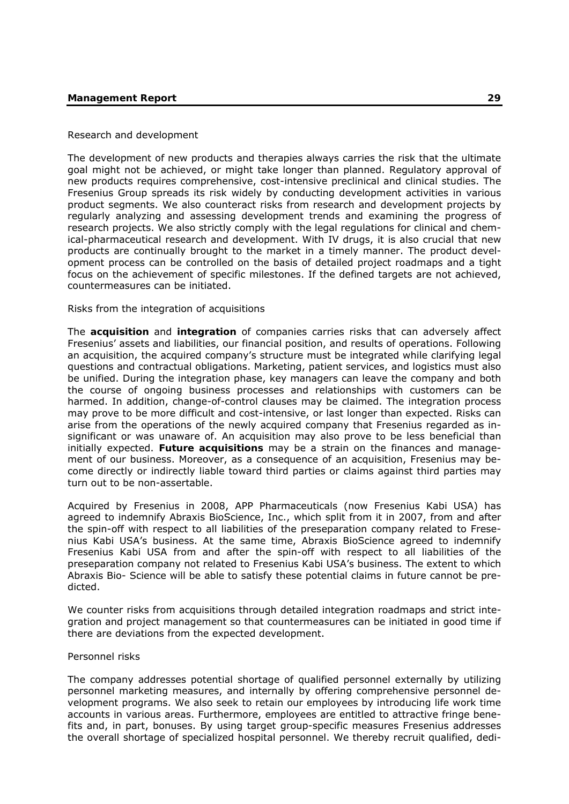# Research and development

The development of new products and therapies always carries the risk that the ultimate goal might not be achieved, or might take longer than planned. Regulatory approval of new products requires comprehensive, cost-intensive preclinical and clinical studies. The Fresenius Group spreads its risk widely by conducting development activities in various product segments. We also counteract risks from research and development projects by regularly analyzing and assessing development trends and examining the progress of research projects. We also strictly comply with the legal regulations for clinical and chemical-pharmaceutical research and development. With IV drugs, it is also crucial that new products are continually brought to the market in a timely manner. The product development process can be controlled on the basis of detailed project roadmaps and a tight focus on the achievement of specific milestones. If the defined targets are not achieved, countermeasures can be initiated.

### Risks from the integration of acquisitions

The **acquisition** and **integration** of companies carries risks that can adversely affect Fresenius' assets and liabilities, our financial position, and results of operations. Following an acquisition, the acquired company's structure must be integrated while clarifying legal questions and contractual obligations. Marketing, patient services, and logistics must also be unified. During the integration phase, key managers can leave the company and both the course of ongoing business processes and relationships with customers can be harmed. In addition, change-of-control clauses may be claimed. The integration process may prove to be more difficult and cost-intensive, or last longer than expected. Risks can arise from the operations of the newly acquired company that Fresenius regarded as insignificant or was unaware of. An acquisition may also prove to be less beneficial than initially expected. **Future acquisitions** may be a strain on the finances and management of our business. Moreover, as a consequence of an acquisition, Fresenius may become directly or indirectly liable toward third parties or claims against third parties may turn out to be non-assertable.

Acquired by Fresenius in 2008, APP Pharmaceuticals (now Fresenius Kabi USA) has agreed to indemnify Abraxis BioScience, Inc., which split from it in 2007, from and after the spin-off with respect to all liabilities of the preseparation company related to Fresenius Kabi USA's business. At the same time, Abraxis BioScience agreed to indemnify Fresenius Kabi USA from and after the spin-off with respect to all liabilities of the preseparation company not related to Fresenius Kabi USA's business. The extent to which Abraxis Bio- Science will be able to satisfy these potential claims in future cannot be predicted.

We counter risks from acquisitions through detailed integration roadmaps and strict integration and project management so that countermeasures can be initiated in good time if there are deviations from the expected development.

#### Personnel risks

The company addresses potential shortage of qualified personnel externally by utilizing personnel marketing measures, and internally by offering comprehensive personnel development programs. We also seek to retain our employees by introducing life work time accounts in various areas. Furthermore, employees are entitled to attractive fringe benefits and, in part, bonuses. By using target group-specific measures Fresenius addresses the overall shortage of specialized hospital personnel. We thereby recruit qualified, dedi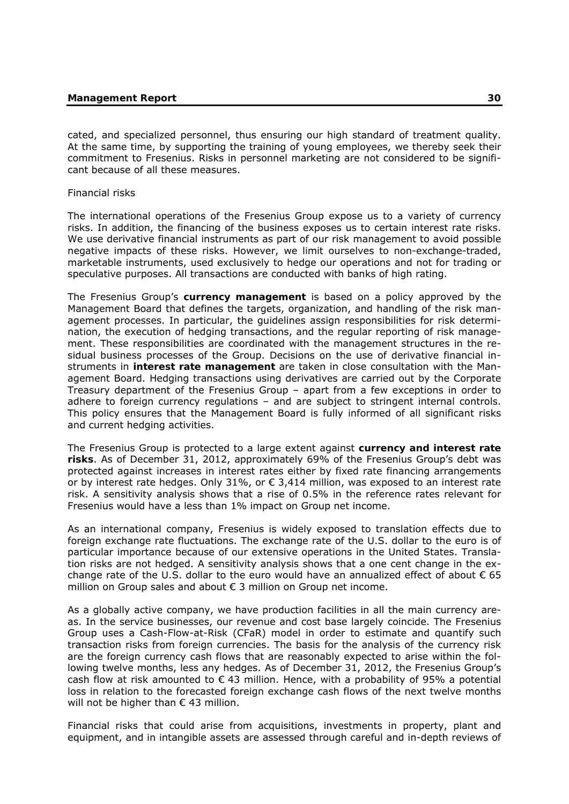cated, and specialized personnel, thus ensuring our high standard of treatment quality. At the same time, by supporting the training of young employees, we thereby seek their commitment to Fresenius. Risks in personnel marketing are not considered to be significant because of all these measures.

#### Financial risks

The international operations of the Fresenius Group expose us to a variety of currency risks. In addition, the financing of the business exposes us to certain interest rate risks. We use derivative financial instruments as part of our risk management to avoid possible negative impacts of these risks. However, we limit ourselves to non-exchange-traded, marketable instruments, used exclusively to hedge our operations and not for trading or speculative purposes. All transactions are conducted with banks of high rating.

The Fresenius Group's **currency management** is based on a policy approved by the Management Board that defines the targets, organization, and handling of the risk management processes. In particular, the guidelines assign responsibilities for risk determination, the execution of hedging transactions, and the regular reporting of risk management. These responsibilities are coordinated with the management structures in the residual business processes of the Group. Decisions on the use of derivative financial instruments in **interest rate management** are taken in close consultation with the Management Board. Hedging transactions using derivatives are carried out by the Corporate Treasury department of the Fresenius Group – apart from a few exceptions in order to adhere to foreign currency regulations – and are subject to stringent internal controls. This policy ensures that the Management Board is fully informed of all significant risks and current hedging activities.

The Fresenius Group is protected to a large extent against **currency and interest rate risks**. As of December 31, 2012, approximately 69% of the Fresenius Group's debt was protected against increases in interest rates either by fixed rate financing arrangements or by interest rate hedges. Only 31%, or  $\epsilon$  3,414 million, was exposed to an interest rate risk. A sensitivity analysis shows that a rise of 0.5% in the reference rates relevant for Fresenius would have a less than 1% impact on Group net income.

As an international company, Fresenius is widely exposed to translation effects due to foreign exchange rate fluctuations. The exchange rate of the U.S. dollar to the euro is of particular importance because of our extensive operations in the United States. Translation risks are not hedged. A sensitivity analysis shows that a one cent change in the exchange rate of the U.S. dollar to the euro would have an annualized effect of about  $\epsilon$  65 million on Group sales and about € 3 million on Group net income.

As a globally active company, we have production facilities in all the main currency areas. In the service businesses, our revenue and cost base largely coincide. The Fresenius Group uses a Cash-Flow-at-Risk (CFaR) model in order to estimate and quantify such transaction risks from foreign currencies. The basis for the analysis of the currency risk are the foreign currency cash flows that are reasonably expected to arise within the following twelve months, less any hedges. As of December 31, 2012, the Fresenius Group's cash flow at risk amounted to  $\epsilon$  43 million. Hence, with a probability of 95% a potential loss in relation to the forecasted foreign exchange cash flows of the next twelve months will not be higher than  $\epsilon$  43 million.

Financial risks that could arise from acquisitions, investments in property, plant and equipment, and in intangible assets are assessed through careful and in-depth reviews of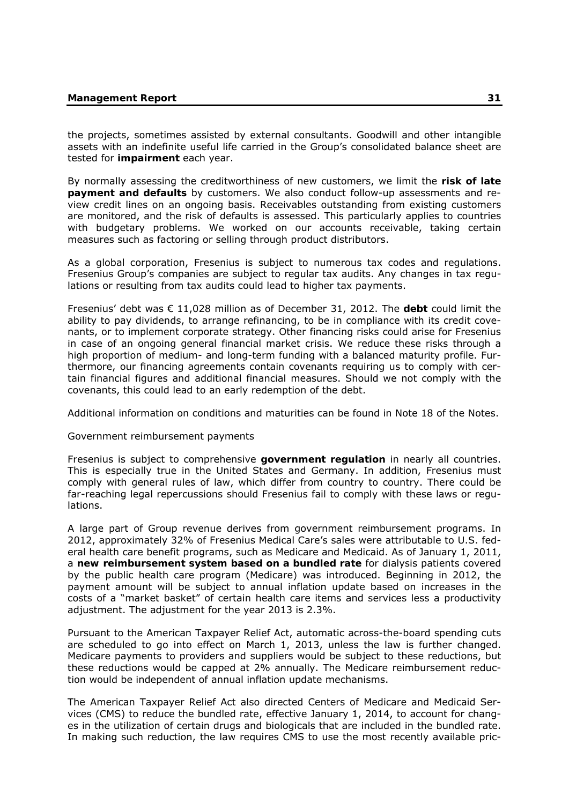the projects, sometimes assisted by external consultants. Goodwill and other intangible assets with an indefinite useful life carried in the Group's consolidated balance sheet are tested for **impairment** each year.

By normally assessing the creditworthiness of new customers, we limit the **risk of late payment and defaults** by customers. We also conduct follow-up assessments and review credit lines on an ongoing basis. Receivables outstanding from existing customers are monitored, and the risk of defaults is assessed. This particularly applies to countries with budgetary problems. We worked on our accounts receivable, taking certain measures such as factoring or selling through product distributors.

As a global corporation, Fresenius is subject to numerous tax codes and regulations. Fresenius Group's companies are subject to regular tax audits. Any changes in tax regulations or resulting from tax audits could lead to higher tax payments.

Fresenius' debt was € 11,028 million as of December 31, 2012. The **debt** could limit the ability to pay dividends, to arrange refinancing, to be in compliance with its credit covenants, or to implement corporate strategy. Other financing risks could arise for Fresenius in case of an ongoing general financial market crisis. We reduce these risks through a high proportion of medium- and long-term funding with a balanced maturity profile. Furthermore, our financing agreements contain covenants requiring us to comply with certain financial figures and additional financial measures. Should we not comply with the covenants, this could lead to an early redemption of the debt.

Additional information on conditions and maturities can be found in Note 18 of the Notes.

#### Government reimbursement payments

Fresenius is subject to comprehensive **government regulation** in nearly all countries. This is especially true in the United States and Germany. In addition, Fresenius must comply with general rules of law, which differ from country to country. There could be far-reaching legal repercussions should Fresenius fail to comply with these laws or regulations.

A large part of Group revenue derives from government reimbursement programs. In 2012, approximately 32% of Fresenius Medical Care's sales were attributable to U.S. federal health care benefit programs, such as Medicare and Medicaid. As of January 1, 2011, a **new reimbursement system based on a bundled rate** for dialysis patients covered by the public health care program (Medicare) was introduced. Beginning in 2012, the payment amount will be subject to annual inflation update based on increases in the costs of a "market basket" of certain health care items and services less a productivity adjustment. The adjustment for the year 2013 is 2.3%.

Pursuant to the American Taxpayer Relief Act, automatic across-the-board spending cuts are scheduled to go into effect on March 1, 2013, unless the law is further changed. Medicare payments to providers and suppliers would be subject to these reductions, but these reductions would be capped at 2% annually. The Medicare reimbursement reduction would be independent of annual inflation update mechanisms.

The American Taxpayer Relief Act also directed Centers of Medicare and Medicaid Services (CMS) to reduce the bundled rate, effective January 1, 2014, to account for changes in the utilization of certain drugs and biologicals that are included in the bundled rate. In making such reduction, the law requires CMS to use the most recently available pric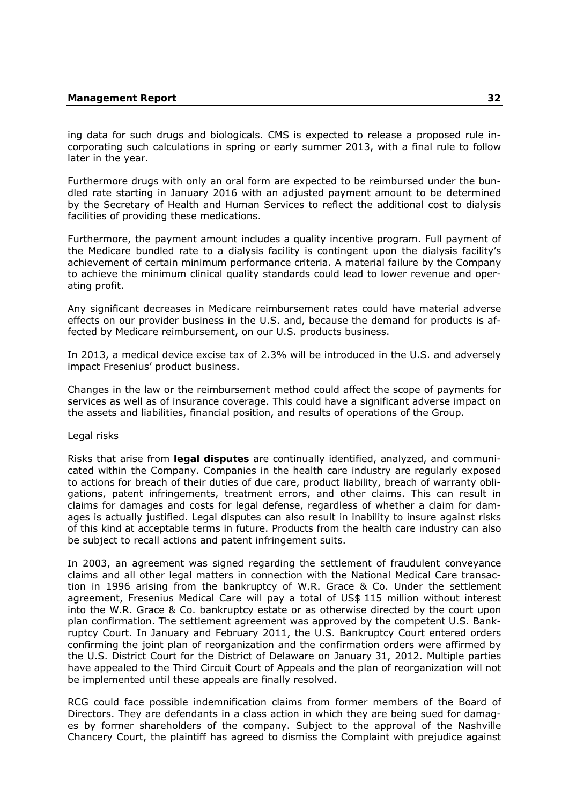ing data for such drugs and biologicals. CMS is expected to release a proposed rule incorporating such calculations in spring or early summer 2013, with a final rule to follow later in the year.

Furthermore drugs with only an oral form are expected to be reimbursed under the bundled rate starting in January 2016 with an adjusted payment amount to be determined by the Secretary of Health and Human Services to reflect the additional cost to dialysis facilities of providing these medications.

Furthermore, the payment amount includes a quality incentive program. Full payment of the Medicare bundled rate to a dialysis facility is contingent upon the dialysis facility's achievement of certain minimum performance criteria. A material failure by the Company to achieve the minimum clinical quality standards could lead to lower revenue and operating profit.

Any significant decreases in Medicare reimbursement rates could have material adverse effects on our provider business in the U.S. and, because the demand for products is affected by Medicare reimbursement, on our U.S. products business.

In 2013, a medical device excise tax of 2.3% will be introduced in the U.S. and adversely impact Fresenius' product business.

Changes in the law or the reimbursement method could affect the scope of payments for services as well as of insurance coverage. This could have a significant adverse impact on the assets and liabilities, financial position, and results of operations of the Group.

# Legal risks

Risks that arise from **legal disputes** are continually identified, analyzed, and communicated within the Company. Companies in the health care industry are regularly exposed to actions for breach of their duties of due care, product liability, breach of warranty obligations, patent infringements, treatment errors, and other claims. This can result in claims for damages and costs for legal defense, regardless of whether a claim for damages is actually justified. Legal disputes can also result in inability to insure against risks of this kind at acceptable terms in future. Products from the health care industry can also be subject to recall actions and patent infringement suits.

In 2003, an agreement was signed regarding the settlement of fraudulent conveyance claims and all other legal matters in connection with the National Medical Care transaction in 1996 arising from the bankruptcy of W.R. Grace & Co. Under the settlement agreement, Fresenius Medical Care will pay a total of US\$ 115 million without interest into the W.R. Grace & Co. bankruptcy estate or as otherwise directed by the court upon plan confirmation. The settlement agreement was approved by the competent U.S. Bankruptcy Court. In January and February 2011, the U.S. Bankruptcy Court entered orders confirming the joint plan of reorganization and the confirmation orders were affirmed by the U.S. District Court for the District of Delaware on January 31, 2012. Multiple parties have appealed to the Third Circuit Court of Appeals and the plan of reorganization will not be implemented until these appeals are finally resolved.

RCG could face possible indemnification claims from former members of the Board of Directors. They are defendants in a class action in which they are being sued for damages by former shareholders of the company. Subject to the approval of the Nashville Chancery Court, the plaintiff has agreed to dismiss the Complaint with prejudice against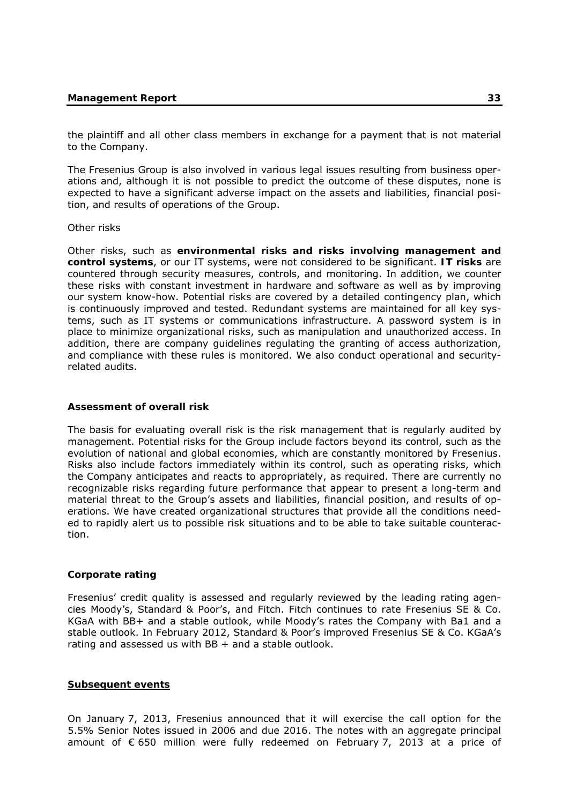the plaintiff and all other class members in exchange for a payment that is not material to the Company.

The Fresenius Group is also involved in various legal issues resulting from business operations and, although it is not possible to predict the outcome of these disputes, none is expected to have a significant adverse impact on the assets and liabilities, financial position, and results of operations of the Group.

#### Other risks

Other risks, such as **environmental risks and risks involving management and control systems**, or our IT systems, were not considered to be significant. **IT risks** are countered through security measures, controls, and monitoring. In addition, we counter these risks with constant investment in hardware and software as well as by improving our system know-how. Potential risks are covered by a detailed contingency plan, which is continuously improved and tested. Redundant systems are maintained for all key systems, such as IT systems or communications infrastructure. A password system is in place to minimize organizational risks, such as manipulation and unauthorized access. In addition, there are company guidelines regulating the granting of access authorization, and compliance with these rules is monitored. We also conduct operational and securityrelated audits.

#### **Assessment of overall risk**

The basis for evaluating overall risk is the risk management that is regularly audited by management. Potential risks for the Group include factors beyond its control, such as the evolution of national and global economies, which are constantly monitored by Fresenius. Risks also include factors immediately within its control, such as operating risks, which the Company anticipates and reacts to appropriately, as required. There are currently no recognizable risks regarding future performance that appear to present a long-term and material threat to the Group's assets and liabilities, financial position, and results of operations. We have created organizational structures that provide all the conditions needed to rapidly alert us to possible risk situations and to be able to take suitable counteraction.

#### **Corporate rating**

Fresenius' credit quality is assessed and regularly reviewed by the leading rating agencies Moody's, Standard & Poor's, and Fitch. Fitch continues to rate Fresenius SE & Co. KGaA with BB+ and a stable outlook, while Moody's rates the Company with Ba1 and a stable outlook. In February 2012, Standard & Poor's improved Fresenius SE & Co. KGaA's rating and assessed us with  $BB +$  and a stable outlook.

#### **Subsequent events**

On January 7, 2013, Fresenius announced that it will exercise the call option for the 5.5% Senior Notes issued in 2006 and due 2016. The notes with an aggregate principal amount of € 650 million were fully redeemed on February 7, 2013 at a price of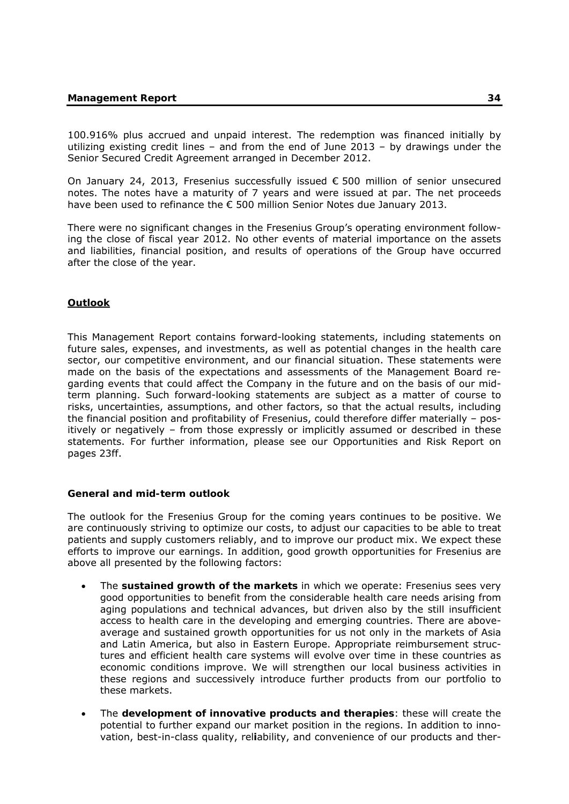100.916% plus accrued and unpaid interest. The redemption was financed initially by utilizing existing credit lines – and from the end of June 2013 – by drawings under the Senior Secured Credit Agreement arranged in December 2012.

On January 24, 2013, Fresenius successfully issued € 500 million of senior unsecured notes. The notes have a maturity of 7 years and were issued at par. The net proceeds have been used to refinance the € 500 million Senior Notes due January 2013.

There were no significant changes in the Fresenius Group's operating environment following the close of fiscal year 2012. No other events of material importance on the assets and liabilities, financial position, and results of operations of the Group have occurred after the close of the year.

# **Outlook**

This Management Report contains forward-looking statements, including statements on future sales, expenses, and investments, as well as potential changes in the health care sector, our competitive environment, and our financial situation. These statements were made on the basis of the expectations and assessments of the Management Board regarding events that could affect the Company in the future and on the basis of our midterm planning. Such forward-looking statements are subject as a matter of course to risks, uncertainties, assumptions, and other factors, so that the actual results, including the financial position and profitability of Fresenius, could therefore differ materially – positively or negatively – from those expressly or implicitly assumed or described in these statements. For further information, please see our Opportunities and Risk Report on pages 23ff.

# **General and mid-term outlook**

The outlook for the Fresenius Group for the coming years continues to be positive. We are continuously striving to optimize our costs, to adjust our capacities to be able to treat patients and supply customers reliably, and to improve our product mix. We expect these efforts to improve our earnings. In addition, good growth opportunities for Fresenius are above all presented by the following factors:

- The **sustained growth of the markets** in which we operate: Fresenius sees very good opportunities to benefit from the considerable health care needs arising from aging populations and technical advances, but driven also by the still insufficient access to health care in the developing and emerging countries. There are aboveaverage and sustained growth opportunities for us not only in the markets of Asia and Latin America, but also in Eastern Europe. Appropriate reimbursement structures and efficient health care systems will evolve over time in these countries as economic conditions improve. We will strengthen our local business activities in these regions and successively introduce further products from our portfolio to these markets.
- The **development of innovative products and therapies**: these will create the potential to further expand our market position in the regions. In addition to innovation, best-in-class quality, rel**i**ability, and convenience of our products and ther-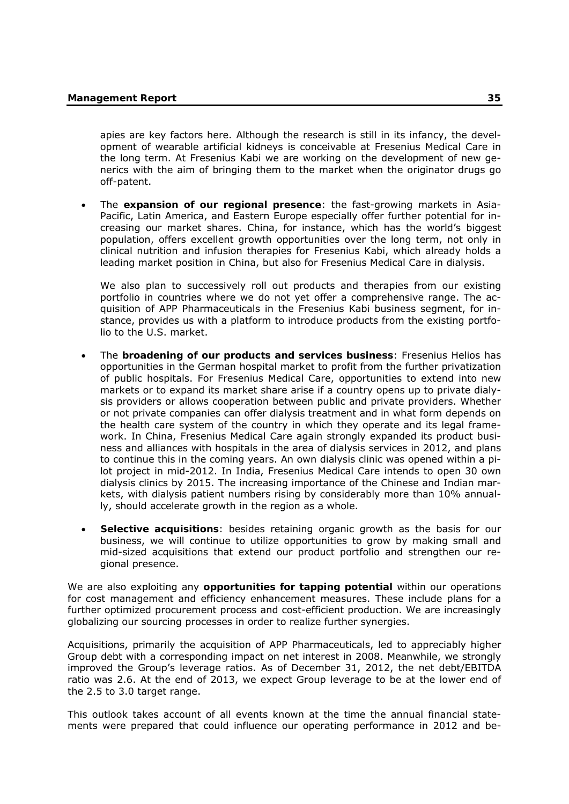apies are key factors here. Although the research is still in its infancy, the development of wearable artificial kidneys is conceivable at Fresenius Medical Care in the long term. At Fresenius Kabi we are working on the development of new generics with the aim of bringing them to the market when the originator drugs go off-patent.

 The **expansion of our regional presence**: the fast-growing markets in Asia-Pacific, Latin America, and Eastern Europe especially offer further potential for increasing our market shares. China, for instance, which has the world's biggest population, offers excellent growth opportunities over the long term, not only in clinical nutrition and infusion therapies for Fresenius Kabi, which already holds a leading market position in China, but also for Fresenius Medical Care in dialysis.

We also plan to successively roll out products and therapies from our existing portfolio in countries where we do not yet offer a comprehensive range. The acquisition of APP Pharmaceuticals in the Fresenius Kabi business segment, for instance, provides us with a platform to introduce products from the existing portfolio to the U.S. market.

- The **broadening of our products and services business**: Fresenius Helios has opportunities in the German hospital market to profit from the further privatization of public hospitals. For Fresenius Medical Care, opportunities to extend into new markets or to expand its market share arise if a country opens up to private dialysis providers or allows cooperation between public and private providers. Whether or not private companies can offer dialysis treatment and in what form depends on the health care system of the country in which they operate and its legal framework. In China, Fresenius Medical Care again strongly expanded its product business and alliances with hospitals in the area of dialysis services in 2012, and plans to continue this in the coming years. An own dialysis clinic was opened within a pilot project in mid-2012. In India, Fresenius Medical Care intends to open 30 own dialysis clinics by 2015. The increasing importance of the Chinese and Indian markets, with dialysis patient numbers rising by considerably more than 10% annually, should accelerate growth in the region as a whole.
- **Selective acquisitions**: besides retaining organic growth as the basis for our business, we will continue to utilize opportunities to grow by making small and mid-sized acquisitions that extend our product portfolio and strengthen our regional presence.

We are also exploiting any **opportunities for tapping potential** within our operations for cost management and efficiency enhancement measures. These include plans for a further optimized procurement process and cost-efficient production. We are increasingly globalizing our sourcing processes in order to realize further synergies.

Acquisitions, primarily the acquisition of APP Pharmaceuticals, led to appreciably higher Group debt with a corresponding impact on net interest in 2008. Meanwhile, we strongly improved the Group's leverage ratios. As of December 31, 2012, the net debt/EBITDA ratio was 2.6. At the end of 2013, we expect Group leverage to be at the lower end of the 2.5 to 3.0 target range.

This outlook takes account of all events known at the time the annual financial statements were prepared that could influence our operating performance in 2012 and be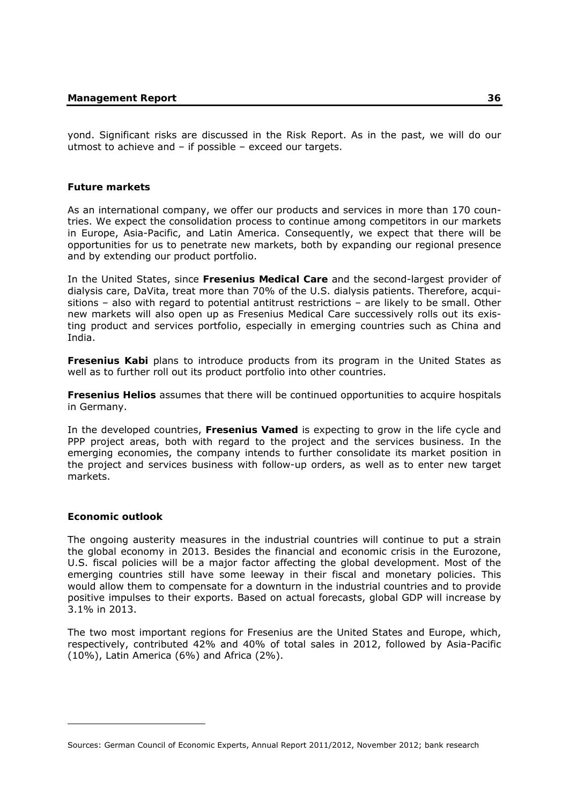yond. Significant risks are discussed in the Risk Report. As in the past, we will do our utmost to achieve and – if possible – exceed our targets.

# **Future markets**

As an international company, we offer our products and services in more than 170 countries. We expect the consolidation process to continue among competitors in our markets in Europe, Asia-Pacific, and Latin America. Consequently, we expect that there will be opportunities for us to penetrate new markets, both by expanding our regional presence and by extending our product portfolio.

In the United States, since **Fresenius Medical Care** and the second-largest provider of dialysis care, DaVita, treat more than 70% of the U.S. dialysis patients. Therefore, acquisitions – also with regard to potential antitrust restrictions – are likely to be small. Other new markets will also open up as Fresenius Medical Care successively rolls out its existing product and services portfolio, especially in emerging countries such as China and India.

**Fresenius Kabi** plans to introduce products from its program in the United States as well as to further roll out its product portfolio into other countries.

**Fresenius Helios** assumes that there will be continued opportunities to acquire hospitals in Germany.

In the developed countries, **Fresenius Vamed** is expecting to grow in the life cycle and PPP project areas, both with regard to the project and the services business. In the emerging economies, the company intends to further consolidate its market position in the project and services business with follow-up orders, as well as to enter new target markets.

# **Economic outlook**

-

The ongoing austerity measures in the industrial countries will continue to put a strain the global economy in 2013. Besides the financial and economic crisis in the Eurozone, U.S. fiscal policies will be a major factor affecting the global development. Most of the emerging countries still have some leeway in their fiscal and monetary policies. This would allow them to compensate for a downturn in the industrial countries and to provide positive impulses to their exports. Based on actual forecasts, global GDP will increase by 3.1% in 2013.

The two most important regions for Fresenius are the United States and Europe, which, respectively, contributed 42% and 40% of total sales in 2012, followed by Asia-Pacific  $(10\%)$ , Latin America  $(6\%)$  and Africa  $(2\%)$ .

Sources: German Council of Economic Experts, Annual Report 2011/2012, November 2012; bank research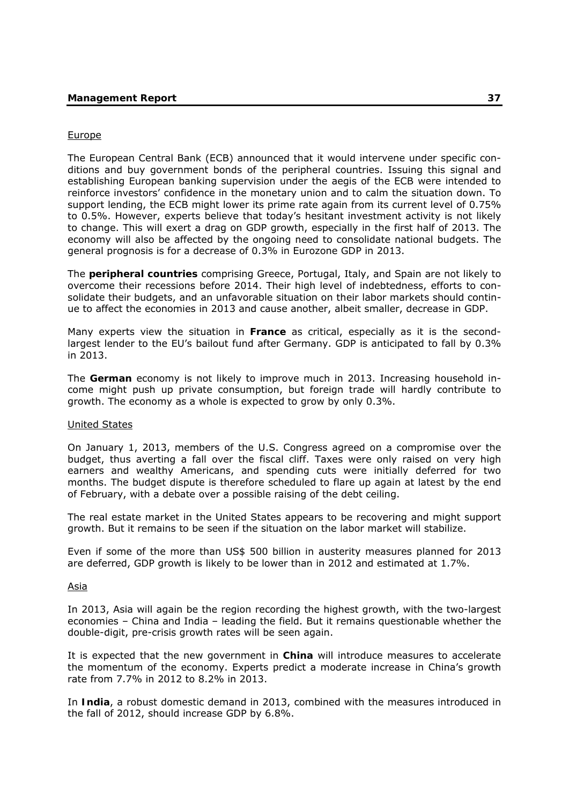### Europe

The European Central Bank (ECB) announced that it would intervene under specific conditions and buy government bonds of the peripheral countries. Issuing this signal and establishing European banking supervision under the aegis of the ECB were intended to reinforce investors' confidence in the monetary union and to calm the situation down. To support lending, the ECB might lower its prime rate again from its current level of 0.75% to 0.5%. However, experts believe that today's hesitant investment activity is not likely to change. This will exert a drag on GDP growth, especially in the first half of 2013. The economy will also be affected by the ongoing need to consolidate national budgets. The general prognosis is for a decrease of 0.3% in Eurozone GDP in 2013.

The **peripheral countries** comprising Greece, Portugal, Italy, and Spain are not likely to overcome their recessions before 2014. Their high level of indebtedness, efforts to consolidate their budgets, and an unfavorable situation on their labor markets should continue to affect the economies in 2013 and cause another, albeit smaller, decrease in GDP.

Many experts view the situation in **France** as critical, especially as it is the secondlargest lender to the EU's bailout fund after Germany. GDP is anticipated to fall by 0.3% in 2013.

The **German** economy is not likely to improve much in 2013. Increasing household income might push up private consumption, but foreign trade will hardly contribute to growth. The economy as a whole is expected to grow by only 0.3%.

### United States

On January 1, 2013, members of the U.S. Congress agreed on a compromise over the budget, thus averting a fall over the fiscal cliff. Taxes were only raised on very high earners and wealthy Americans, and spending cuts were initially deferred for two months. The budget dispute is therefore scheduled to flare up again at latest by the end of February, with a debate over a possible raising of the debt ceiling.

The real estate market in the United States appears to be recovering and might support growth. But it remains to be seen if the situation on the labor market will stabilize.

Even if some of the more than US\$ 500 billion in austerity measures planned for 2013 are deferred, GDP growth is likely to be lower than in 2012 and estimated at 1.7%.

#### Asia

In 2013, Asia will again be the region recording the highest growth, with the two-largest economies – China and India – leading the field. But it remains questionable whether the double-digit, pre-crisis growth rates will be seen again.

It is expected that the new government in **China** will introduce measures to accelerate the momentum of the economy. Experts predict a moderate increase in China's growth rate from 7.7% in 2012 to 8.2% in 2013.

In **India**, a robust domestic demand in 2013, combined with the measures introduced in the fall of 2012, should increase GDP by 6.8%.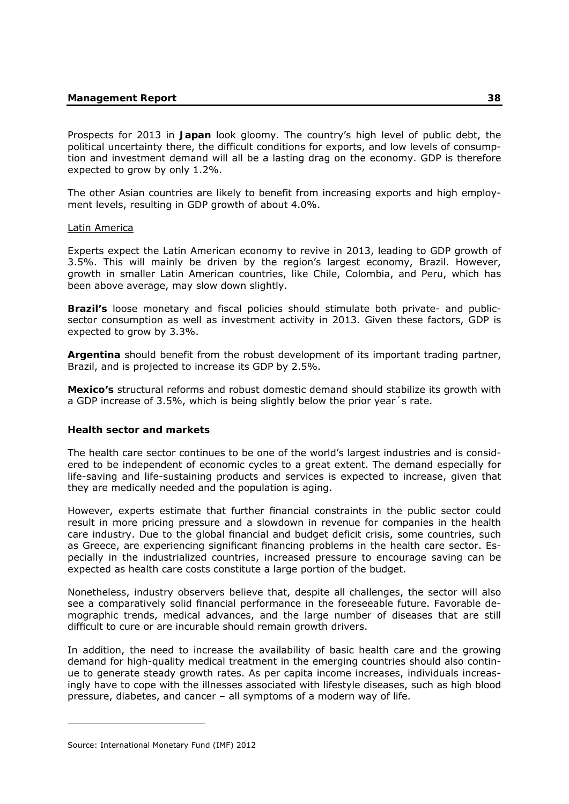Prospects for 2013 in **Japan** look gloomy. The country's high level of public debt, the political uncertainty there, the difficult conditions for exports, and low levels of consumption and investment demand will all be a lasting drag on the economy. GDP is therefore expected to grow by only 1.2%.

The other Asian countries are likely to benefit from increasing exports and high employment levels, resulting in GDP growth of about 4.0%.

### Latin America

Experts expect the Latin American economy to revive in 2013, leading to GDP growth of 3.5%. This will mainly be driven by the region's largest economy, Brazil. However, growth in smaller Latin American countries, like Chile, Colombia, and Peru, which has been above average, may slow down slightly.

**Brazil's** loose monetary and fiscal policies should stimulate both private- and publicsector consumption as well as investment activity in 2013. Given these factors, GDP is expected to grow by 3.3%.

**Argentina** should benefit from the robust development of its important trading partner, Brazil, and is projected to increase its GDP by 2.5%.

**Mexico's** structural reforms and robust domestic demand should stabilize its growth with a GDP increase of 3.5%, which is being slightly below the prior year´s rate.

# **Health sector and markets**

The health care sector continues to be one of the world's largest industries and is considered to be independent of economic cycles to a great extent. The demand especially for life-saving and life-sustaining products and services is expected to increase, given that they are medically needed and the population is aging.

However, experts estimate that further financial constraints in the public sector could result in more pricing pressure and a slowdown in revenue for companies in the health care industry. Due to the global financial and budget deficit crisis, some countries, such as Greece, are experiencing significant financing problems in the health care sector. Especially in the industrialized countries, increased pressure to encourage saving can be expected as health care costs constitute a large portion of the budget.

Nonetheless, industry observers believe that, despite all challenges, the sector will also see a comparatively solid financial performance in the foreseeable future. Favorable demographic trends, medical advances, and the large number of diseases that are still difficult to cure or are incurable should remain growth drivers.

In addition, the need to increase the availability of basic health care and the growing demand for high-quality medical treatment in the emerging countries should also continue to generate steady growth rates. As per capita income increases, individuals increasingly have to cope with the illnesses associated with lifestyle diseases, such as high blood pressure, diabetes, and cancer – all symptoms of a modern way of life.

-

Source: International Monetary Fund (IMF) 2012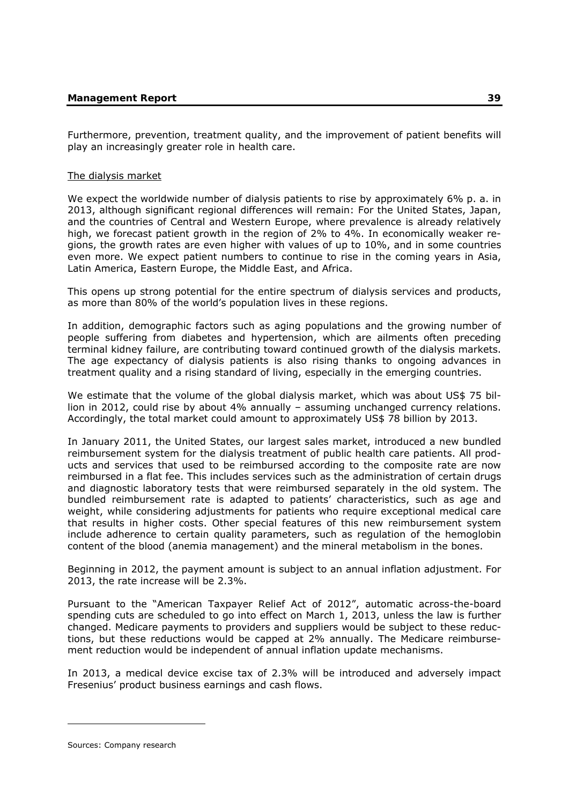Furthermore, prevention, treatment quality, and the improvement of patient benefits will play an increasingly greater role in health care.

### The dialysis market

We expect the worldwide number of dialysis patients to rise by approximately 6% p. a. in 2013, although significant regional differences will remain: For the United States, Japan, and the countries of Central and Western Europe, where prevalence is already relatively high, we forecast patient growth in the region of 2% to 4%. In economically weaker regions, the growth rates are even higher with values of up to 10%, and in some countries even more. We expect patient numbers to continue to rise in the coming years in Asia, Latin America, Eastern Europe, the Middle East, and Africa.

This opens up strong potential for the entire spectrum of dialysis services and products, as more than 80% of the world's population lives in these regions.

In addition, demographic factors such as aging populations and the growing number of people suffering from diabetes and hypertension, which are ailments often preceding terminal kidney failure, are contributing toward continued growth of the dialysis markets. The age expectancy of dialysis patients is also rising thanks to ongoing advances in treatment quality and a rising standard of living, especially in the emerging countries.

We estimate that the volume of the global dialysis market, which was about US\$ 75 billion in 2012, could rise by about 4% annually – assuming unchanged currency relations. Accordingly, the total market could amount to approximately US\$ 78 billion by 2013.

In January 2011, the United States, our largest sales market, introduced a new bundled reimbursement system for the dialysis treatment of public health care patients. All products and services that used to be reimbursed according to the composite rate are now reimbursed in a flat fee. This includes services such as the administration of certain drugs and diagnostic laboratory tests that were reimbursed separately in the old system. The bundled reimbursement rate is adapted to patients' characteristics, such as age and weight, while considering adjustments for patients who require exceptional medical care that results in higher costs. Other special features of this new reimbursement system include adherence to certain quality parameters, such as regulation of the hemoglobin content of the blood (anemia management) and the mineral metabolism in the bones.

Beginning in 2012, the payment amount is subject to an annual inflation adjustment. For 2013, the rate increase will be 2.3%.

Pursuant to the "American Taxpayer Relief Act of 2012", automatic across-the-board spending cuts are scheduled to go into effect on March 1, 2013, unless the law is further changed. Medicare payments to providers and suppliers would be subject to these reductions, but these reductions would be capped at 2% annually. The Medicare reimbursement reduction would be independent of annual inflation update mechanisms.

In 2013, a medical device excise tax of 2.3% will be introduced and adversely impact Fresenius' product business earnings and cash flows.

-

Sources: Company research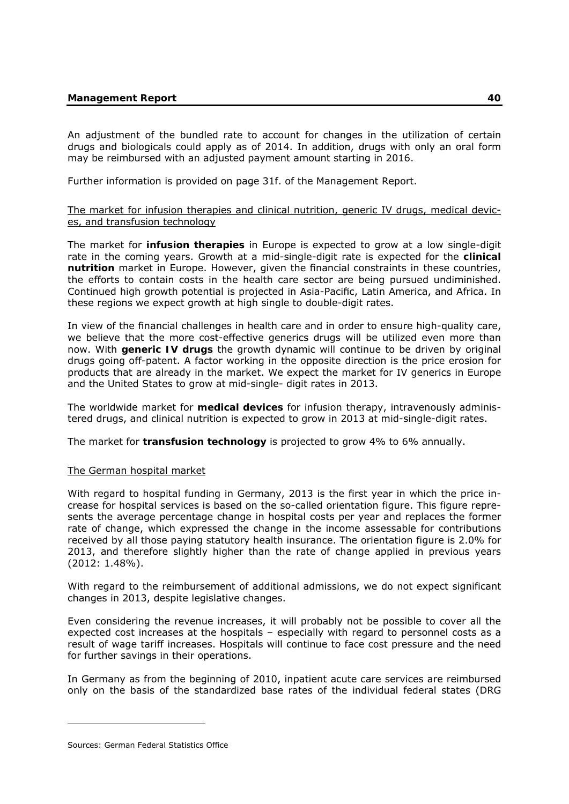An adjustment of the bundled rate to account for changes in the utilization of certain drugs and biologicals could apply as of 2014. In addition, drugs with only an oral form may be reimbursed with an adjusted payment amount starting in 2016.

Further information is provided on page 31f. of the Management Report.

# The market for infusion therapies and clinical nutrition, generic IV drugs, medical devices, and transfusion technology

The market for **infusion therapies** in Europe is expected to grow at a low single-digit rate in the coming years. Growth at a mid-single-digit rate is expected for the **clinical nutrition** market in Europe. However, given the financial constraints in these countries, the efforts to contain costs in the health care sector are being pursued undiminished. Continued high growth potential is projected in Asia-Pacific, Latin America, and Africa. In these regions we expect growth at high single to double-digit rates.

In view of the financial challenges in health care and in order to ensure high-quality care, we believe that the more cost-effective generics drugs will be utilized even more than now. With **generic IV drugs** the growth dynamic will continue to be driven by original drugs going off-patent. A factor working in the opposite direction is the price erosion for products that are already in the market. We expect the market for IV generics in Europe and the United States to grow at mid-single- digit rates in 2013.

The worldwide market for **medical devices** for infusion therapy, intravenously administered drugs, and clinical nutrition is expected to grow in 2013 at mid-single-digit rates.

The market for **transfusion technology** is projected to grow 4% to 6% annually.

# The German hospital market

With regard to hospital funding in Germany, 2013 is the first year in which the price increase for hospital services is based on the so-called orientation figure. This figure represents the average percentage change in hospital costs per year and replaces the former rate of change, which expressed the change in the income assessable for contributions received by all those paying statutory health insurance. The orientation figure is 2.0% for 2013, and therefore slightly higher than the rate of change applied in previous years (2012: 1.48%).

With regard to the reimbursement of additional admissions, we do not expect significant changes in 2013, despite legislative changes.

Even considering the revenue increases, it will probably not be possible to cover all the expected cost increases at the hospitals – especially with regard to personnel costs as a result of wage tariff increases. Hospitals will continue to face cost pressure and the need for further savings in their operations.

In Germany as from the beginning of 2010, inpatient acute care services are reimbursed only on the basis of the standardized base rates of the individual federal states (DRG

-

Sources: German Federal Statistics Office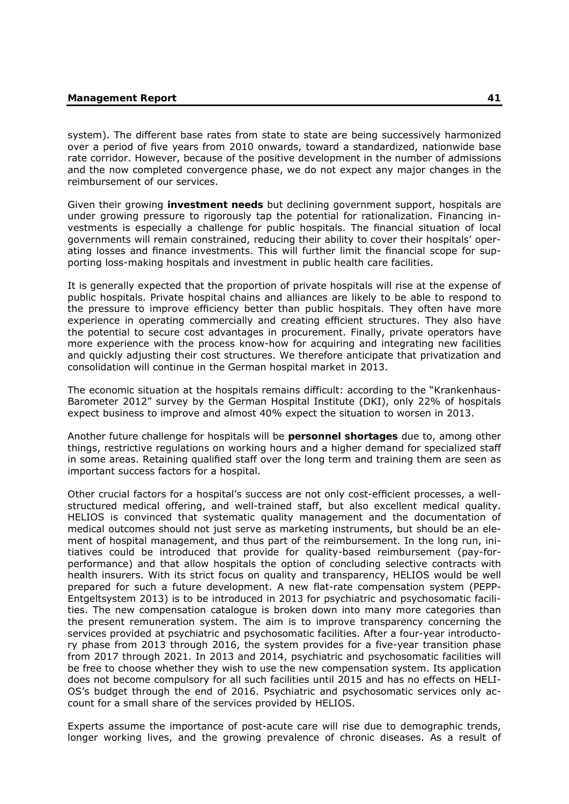system). The different base rates from state to state are being successively harmonized over a period of five years from 2010 onwards, toward a standardized, nationwide base rate corridor. However, because of the positive development in the number of admissions and the now completed convergence phase, we do not expect any major changes in the reimbursement of our services.

Given their growing **investment needs** but declining government support, hospitals are under growing pressure to rigorously tap the potential for rationalization. Financing investments is especially a challenge for public hospitals. The financial situation of local governments will remain constrained, reducing their ability to cover their hospitals' operating losses and finance investments. This will further limit the financial scope for supporting loss-making hospitals and investment in public health care facilities.

It is generally expected that the proportion of private hospitals will rise at the expense of public hospitals. Private hospital chains and alliances are likely to be able to respond to the pressure to improve efficiency better than public hospitals. They often have more experience in operating commercially and creating efficient structures. They also have the potential to secure cost advantages in procurement. Finally, private operators have more experience with the process know-how for acquiring and integrating new facilities and quickly adjusting their cost structures. We therefore anticipate that privatization and consolidation will continue in the German hospital market in 2013.

The economic situation at the hospitals remains difficult: according to the "Krankenhaus-Barometer 2012" survey by the German Hospital Institute (DKI), only 22% of hospitals expect business to improve and almost 40% expect the situation to worsen in 2013.

Another future challenge for hospitals will be **personnel shortages** due to, among other things, restrictive regulations on working hours and a higher demand for specialized staff in some areas. Retaining qualified staff over the long term and training them are seen as important success factors for a hospital.

Other crucial factors for a hospital's success are not only cost-efficient processes, a wellstructured medical offering, and well-trained staff, but also excellent medical quality. HELIOS is convinced that systematic quality management and the documentation of medical outcomes should not just serve as marketing instruments, but should be an element of hospital management, and thus part of the reimbursement. In the long run, initiatives could be introduced that provide for quality-based reimbursement (pay-forperformance) and that allow hospitals the option of concluding selective contracts with health insurers. With its strict focus on quality and transparency, HELIOS would be well prepared for such a future development. A new flat-rate compensation system (PEPP-Entgeltsystem 2013) is to be introduced in 2013 for psychiatric and psychosomatic facilities. The new compensation catalogue is broken down into many more categories than the present remuneration system. The aim is to improve transparency concerning the services provided at psychiatric and psychosomatic facilities. After a four-year introductory phase from 2013 through 2016, the system provides for a five-year transition phase from 2017 through 2021. In 2013 and 2014, psychiatric and psychosomatic facilities will be free to choose whether they wish to use the new compensation system. Its application does not become compulsory for all such facilities until 2015 and has no effects on HELI-OS's budget through the end of 2016. Psychiatric and psychosomatic services only account for a small share of the services provided by HELIOS.

Experts assume the importance of post-acute care will rise due to demographic trends, longer working lives, and the growing prevalence of chronic diseases. As a result of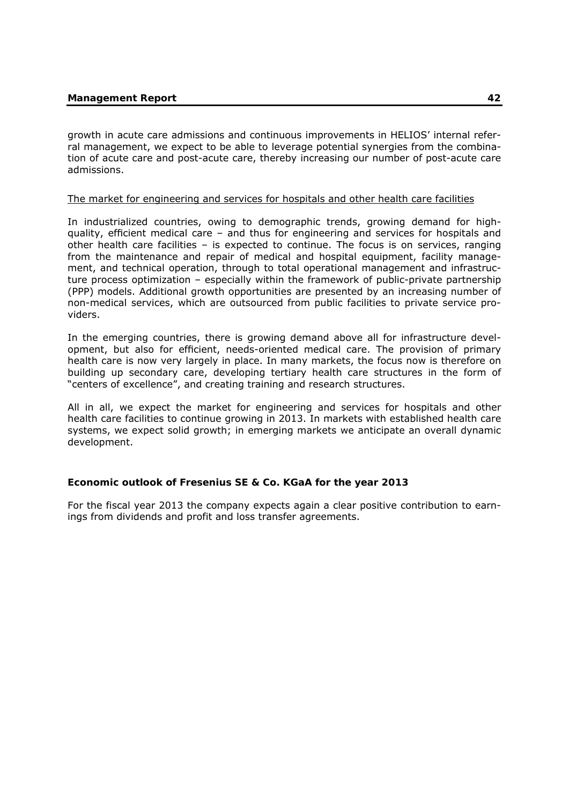growth in acute care admissions and continuous improvements in HELIOS' internal referral management, we expect to be able to leverage potential synergies from the combination of acute care and post-acute care, thereby increasing our number of post-acute care admissions.

### The market for engineering and services for hospitals and other health care facilities

In industrialized countries, owing to demographic trends, growing demand for highquality, efficient medical care – and thus for engineering and services for hospitals and other health care facilities – is expected to continue. The focus is on services, ranging from the maintenance and repair of medical and hospital equipment, facility management, and technical operation, through to total operational management and infrastructure process optimization – especially within the framework of public-private partnership (PPP) models. Additional growth opportunities are presented by an increasing number of non-medical services, which are outsourced from public facilities to private service providers.

In the emerging countries, there is growing demand above all for infrastructure development, but also for efficient, needs-oriented medical care. The provision of primary health care is now very largely in place. In many markets, the focus now is therefore on building up secondary care, developing tertiary health care structures in the form of "centers of excellence", and creating training and research structures.

All in all, we expect the market for engineering and services for hospitals and other health care facilities to continue growing in 2013. In markets with established health care systems, we expect solid growth; in emerging markets we anticipate an overall dynamic development.

# **Economic outlook of Fresenius SE & Co. KGaA for the year 2013**

For the fiscal year 2013 the company expects again a clear positive contribution to earnings from dividends and profit and loss transfer agreements.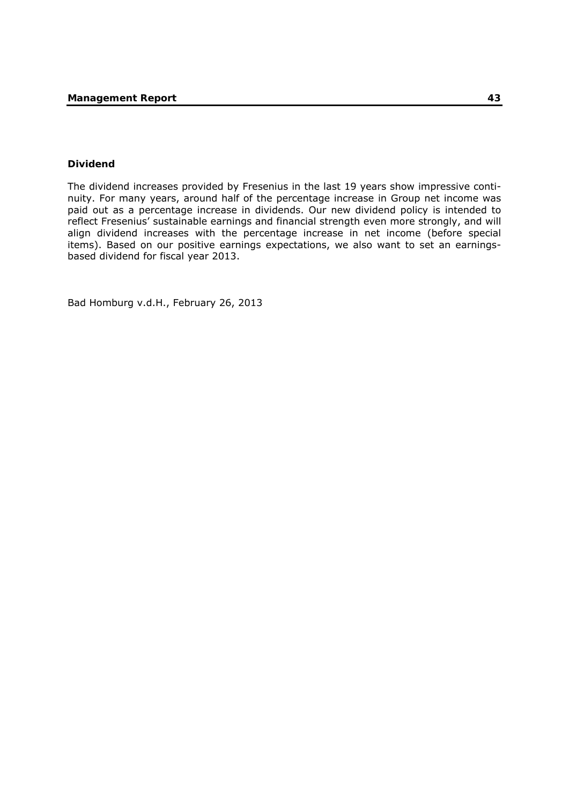### **Dividend**

The dividend increases provided by Fresenius in the last 19 years show impressive continuity. For many years, around half of the percentage increase in Group net income was paid out as a percentage increase in dividends. Our new dividend policy is intended to reflect Fresenius' sustainable earnings and financial strength even more strongly, and will align dividend increases with the percentage increase in net income (before special items). Based on our positive earnings expectations, we also want to set an earningsbased dividend for fiscal year 2013.

Bad Homburg v.d.H., February 26, 2013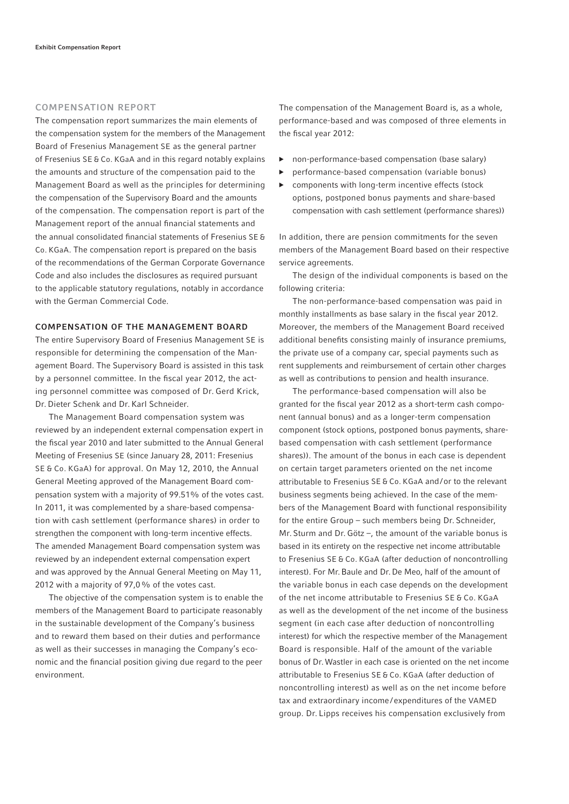#### COMPENSATION REPORT

The compensation report summarizes the main elements of the compensation system for the members of the Management Board of Fresenius Management SE as the general partner of Fresenius SE & Co. KGaA and in this regard notably explains the amounts and structure of the compensation paid to the Management Board as well as the principles for determining the compensation of the Supervisory Board and the amounts of the compensation. The compensation report is part of the Management report of the annual financial statements and the annual consolidated financial statements of Fresenius SE & Co. KGaA. The compensation report is prepared on the basis of the recommendations of the German Corporate Governance Code and also includes the disclosures as required pursuant to the applicable statutory regulations, notably in accordance with the German Commercial Code.

#### COMPENSATION OF THE MANAGEMENT BOARD

The entire Supervisory Board of Fresenius Management SE is responsible for determining the compensation of the Management Board. The Supervisory Board is assisted in this task by a personnel committee. In the fiscal year 2012, the acting personnel committee was composed of Dr. Gerd Krick, Dr. Dieter Schenk and Dr. Karl Schneider.

The Management Board compensation system was reviewed by an independent external compensation expert in the fiscal year 2010 and later submitted to the Annual General Meeting of Fresenius SE (since January 28, 2011: Fresenius SE & Co. KGaA) for approval. On May 12, 2010, the Annual General Meeting approved of the Management Board compensation system with a majority of 99.51% of the votes cast. In 2011, it was complemented by a share-based compensation with cash settlement (performance shares) in order to strengthen the component with long-term incentive effects. The amended Management Board compensation system was reviewed by an independent external compensation expert and was approved by the Annual General Meeting on May 11, 2012 with a majority of 97,0 % of the votes cast.

The objective of the compensation system is to enable the members of the Management Board to participate reasonably in the sustainable development of the Company's business and to reward them based on their duties and performance as well as their successes in managing the Company's economic and the financial position giving due regard to the peer environment.

The compensation of the Management Board is, as a whole, performance-based and was composed of three elements in the fiscal year 2012:

- ▶ non-performance-based compensation (base salary)
- performance-based compensation (variable bonus)
- components with long-term incentive effects (stock options, postponed bonus payments and share-based compensation with cash settlement (performance shares))

In addition, there are pension commitments for the seven members of the Management Board based on their respective service agreements.

The design of the individual components is based on the following criteria:

The non-performance-based compensation was paid in monthly installments as base salary in the fiscal year 2012. Moreover, the members of the Management Board received additional benefits consisting mainly of insurance premiums, the private use of a company car, special payments such as rent supplements and reimbursement of certain other charges as well as contributions to pension and health insurance.

The performance-based compensation will also be granted for the fiscal year 2012 as a short-term cash component (annual bonus) and as a longer-term compensation component (stock options, postponed bonus payments, sharebased compensation with cash settlement (performance shares)). The amount of the bonus in each case is dependent on certain target parameters oriented on the net income attributable to Fresenius SE & Co. KGaA and / or to the relevant business segments being achieved. In the case of the members of the Management Board with functional responsibility for the entire Group – such members being Dr. Schneider, Mr. Sturm and Dr. Götz –, the amount of the variable bonus is based in its entirety on the respective net income attributable to Fresenius SE & Co. KGaA (after deduction of noncontrolling interest). For Mr. Baule and Dr. De Meo, half of the amount of the variable bonus in each case depends on the development of the net income attributable to Fresenius SE & Co. KGaA as well as the development of the net income of the business segment (in each case after deduction of noncontrolling interest) for which the respective member of the Management Board is responsible. Half of the amount of the variable bonus of Dr. Wastler in each case is oriented on the net income attributable to Fresenius SE & Co. KGaA (after deduction of non controlling interest) as well as on the net income before tax and extraordinary income / expenditures of the VAMED group. Dr. Lipps receives his compensation exclusively from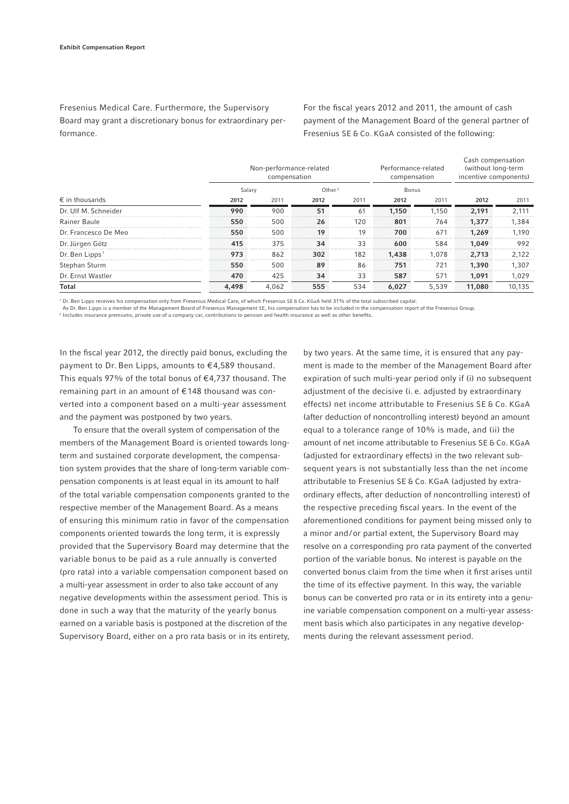Fresenius Medical Care. Furthermore, the Supervisory Board may grant a discretionary bonus for extraordinary performance.

For the fiscal years 2012 and 2011, the amount of cash payment of the Management Board of the general partner of Fresenius SE & Co. KGaA consisted of the following:

|                            |       | Non-performance-related<br>compensation |      | Performance-related<br>compensation |       | Cash compensation<br>(without long-term<br>incentive components) |        |        |
|----------------------------|-------|-----------------------------------------|------|-------------------------------------|-------|------------------------------------------------------------------|--------|--------|
|                            |       | Salary                                  |      | Other <sup>2</sup>                  |       | Bonus                                                            |        |        |
| $\epsilon$ in thousands    | 2012  | 2011                                    | 2012 | 2011                                | 2012  | 2011                                                             | 2012   | 2011   |
| Dr. Ulf M. Schneider       | 990   | 900                                     | 51   | 61                                  | 1.150 | 1.150                                                            | 2,191  | 2,111  |
| Rainer Baule               | 550   | 500                                     | 26   | 120                                 | 801   | 764                                                              | 1,377  | 1,384  |
| Dr. Francesco De Meo       | 550   | 500                                     | 19   | 19                                  | 700   | 671                                                              | 1.269  | 1.190  |
| Dr. Jürgen Götz            | 415   | 375                                     | 34   | 33                                  | 600   | 584                                                              | 1.049  | 992    |
| Dr. Ben Lipps <sup>1</sup> | 973   | 862                                     | 302  | 182                                 | 1,438 | 1.078                                                            | 2,713  | 2,122  |
| Stephan Sturm              | 550   | 500                                     | 89   | 86                                  | 751   | 721                                                              | 1,390  | 1,307  |
| Dr. Ernst Wastler          | 470   | 425                                     | 34   | 33                                  | 587   | 571                                                              | 1.091  | 1,029  |
| Total                      | 4,498 | 4,062                                   | 555  | 534                                 | 6,027 | 5,539                                                            | 11,080 | 10,135 |

1 Dr. Ben Lipps receives his compensation only from Fresenius Medical Care, of which Fresenius SE & Co. KGaA held 31% of the total subscribed capital.

As Dr. Ben Lipps is a member of the Management Board of Fresenius Management SE, his compensation has to be included in the compensation report of the Fresenius Group.

<sup>2</sup> Includes insurance premiums, private use of a company car, contributions to pension and health insurance as well as other benefits.

In the fiscal year 2012, the directly paid bonus, excluding the payment to Dr. Ben Lipps, amounts to €4,589 thousand. This equals 97% of the total bonus of  $\epsilon$ 4,737 thousand. The remaining part in an amount of € 148 thousand was converted into a component based on a multi-year assessment and the payment was postponed by two years.

To ensure that the overall system of compensation of the members of the Management Board is oriented towards longterm and sustained corporate development, the compensation system provides that the share of long-term variable compensation components is at least equal in its amount to half of the total variable compensation components granted to the respective member of the Management Board. As a means of ensuring this minimum ratio in favor of the compensation components oriented towards the long term, it is expressly provided that the Supervisory Board may determine that the variable bonus to be paid as a rule annually is converted (pro rata) into a variable compensation component based on a multi-year assessment in order to also take account of any negative developments within the assessment period. This is done in such a way that the maturity of the yearly bonus earned on a variable basis is postponed at the discretion of the Supervisory Board, either on a pro rata basis or in its entirety,

by two years. At the same time, it is ensured that any payment is made to the member of the Management Board after expiration of such multi-year period only if (i) no subsequent adjustment of the decisive (i. e. adjusted by extraordinary effects) net income attributable to Fresenius SE & Co. KGaA (after deduction of noncontrolling interest) beyond an amount equal to a tolerance range of 10% is made, and (ii) the amount of net income attributable to Fresenius SE & Co. KGaA (adjusted for extraordinary effects) in the two relevant subsequent years is not substantially less than the net income attributable to Fresenius SE & Co. KGaA (adjusted by extraordinary effects, after deduction of noncontrolling interest) of the respective preceding fiscal years. In the event of the aforementioned conditions for payment being missed only to a minor and/or partial extent, the Supervisory Board may resolve on a corresponding pro rata payment of the converted portion of the variable bonus. No interest is payable on the converted bonus claim from the time when it first arises until the time of its effective payment. In this way, the variable bonus can be converted pro rata or in its entirety into a genuine variable compensation component on a multi-year assessment basis which also participates in any negative developments during the relevant assessment period.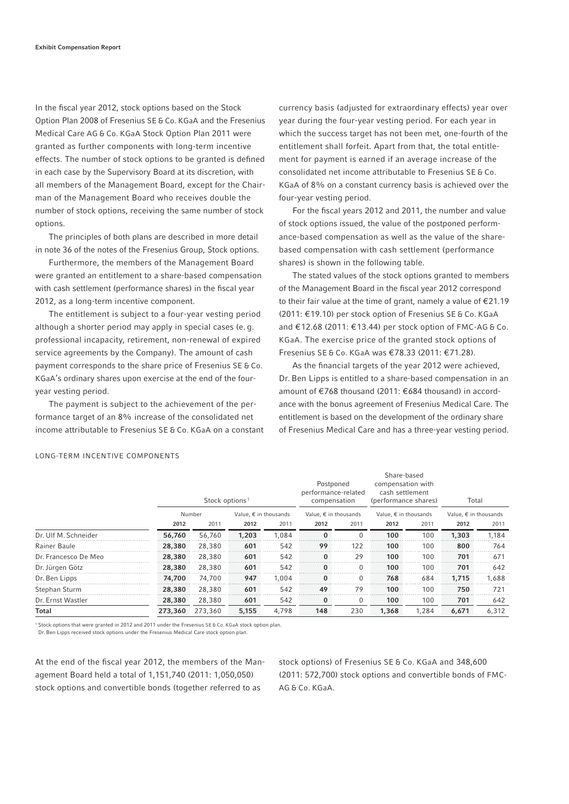In the fiscal year 2012, stock options based on the Stock Option Plan 2008 of Fresenius SE & Co. KGaA and the Fresenius Medical Care AG & Co. KGaA Stock Option Plan 2011 were granted as further components with long-term incentive effects. The number of stock options to be granted is defined in each case by the Supervisory Board at its discretion, with all members of the Management Board, except for the Chairman of the Management Board who receives double the number of stock options, receiving the same number of stock options.

The principles of both plans are described in more detail in note 36 of the notes of the Fresenius Group, Stock options.

Furthermore, the members of the Management Board were granted an entitlement to a share-based compensation with cash settlement (performance shares) in the fiscal year 2012, as a long-term incentive component.

The entitlement is subject to a four-year vesting period although a shorter period may apply in special cases (e. g. professional incapacity, retirement, non-renewal of expired service agreements by the Company). The amount of cash payment corresponds to the share price of Fresenius SE & Co. KGaA's ordinary shares upon exercise at the end of the fouryear vesting period.

The payment is subject to the achievement of the performance target of an 8% increase of the consolidated net income attributable to Fresenius SE & Co. KGaA on a constant currency basis (adjusted for extraordinary effects) year over year during the four-year vesting period. For each year in which the success target has not been met, one-fourth of the entitlement shall forfeit. Apart from that, the total entitlement for payment is earned if an average increase of the consolidated net income attributable to Fresenius SE & Co. KGaA of 8% on a constant currency basis is achieved over the four-year vesting period.

For the fiscal years 2012 and 2011, the number and value of stock options issued, the value of the postponed performance-based compensation as well as the value of the sharebased compensation with cash settlement (performance shares) is shown in the following table.

The stated values of the stock options granted to members of the Management Board in the fiscal year 2012 correspond to their fair value at the time of grant, namely a value of  $E$ 21.19 (2011: € 19.10) per stock option of Fresenius SE & Co. KGaA and € 12.68 (2011: € 13.44) per stock option of FMC-AG & Co. KGaA. The exercise price of the granted stock options of Fresenius SE & Co. KGaA was € 78.33 (2011: € 71.28).

As the financial targets of the year 2012 were achieved, Dr. Ben Lipps is entitled to a share-based compensation in an amount of € 768 thousand (2011: € 684 thousand) in accordance with the bonus agreement of Fresenius Medical Care. The entitlement is based on the development of the ordinary share of Fresenius Medical Care and has a three-year vesting period.

|  | LONG-TERM INCENTIVE COMPONENTS |  |
|--|--------------------------------|--|
|  |                                |  |

|                      |         | Stock options <sup>1</sup> |                                |       | Postponed<br>performance-related<br>compensation |          | Share-based<br>compensation with<br>cash settlement<br>(performance shares) |       | Total                          |       |
|----------------------|---------|----------------------------|--------------------------------|-------|--------------------------------------------------|----------|-----------------------------------------------------------------------------|-------|--------------------------------|-------|
|                      |         | Number                     | Value, $\epsilon$ in thousands |       | Value, $\epsilon$ in thousands                   |          | Value, $\epsilon$ in thousands                                              |       | Value, $\epsilon$ in thousands |       |
|                      | 2012    | 2011                       | 2012                           | 2011  | 2012                                             | 2011     | 2012                                                                        | 2011  | 2012                           | 2011  |
| Dr. Ulf M. Schneider | 56,760  | 56.760                     | 1,203                          | 1.084 | $\bf{0}$                                         | 0        | 100                                                                         | 100   | 1,303                          | 1,184 |
| Rainer Baule         | 28,380  | 28,380                     | 601                            | 542   | 99                                               | 122      | 100                                                                         | 100   | 800                            | 764   |
| Dr. Francesco De Meo | 28,380  | 28,380                     | 601                            | 542   | $\bf{0}$                                         | 29       | 100                                                                         | 100   | 701                            | 671   |
| Dr. Jürgen Götz      | 28,380  | 28,380                     | 601                            | 542   | $\Omega$                                         | $\Omega$ | 100                                                                         | 100   | 701                            | 642   |
| Dr. Ben Lipps        | 74,700  | 74.700                     | 947                            | 1.004 | $\Omega$                                         | $\Omega$ | 768                                                                         | 684   | 1,715                          | 1,688 |
| Stephan Sturm        | 28,380  | 28,380                     | 601                            | 542   | 49                                               | 79       | 100                                                                         | 100   | 750                            | 721   |
| Dr. Ernst Wastler    | 28,380  | 28,380                     | 601                            | 542   | $\bf{0}$                                         | $\Omega$ | 100                                                                         | 100   | 701                            | 642   |
| <b>Total</b>         | 273,360 | 273,360                    | 5,155                          | 4,798 | 148                                              | 230      | 1,368                                                                       | 1,284 | 6,671                          | 6,312 |

1 Stock options that were granted in 2012 and 2011 under the Fresenius SE & Co. KGaA stock option plan. Dr. Ben Lipps received stock options under the Fresenius Medical Care stock option plan.

At the end of the fiscal year 2012, the members of the Management Board held a total of 1,151,740 (2011: 1,050,050) stock options and convertible bonds (together referred to as

stock options) of Fresenius SE & Co. KGaA and 348,600 (2011: 572,700) stock options and convertible bonds of FMC-AG & Co. KGaA.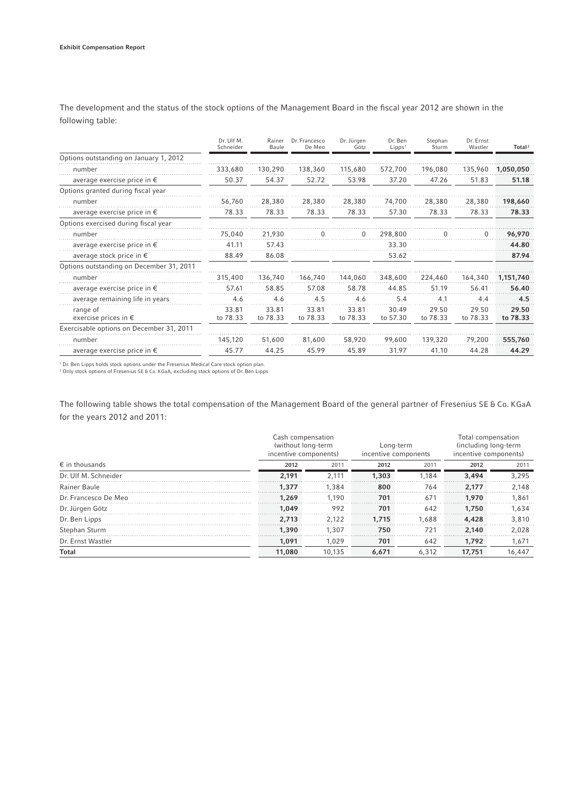|                                           | Dr. Ulf M.<br>Schneider | Rainer<br>Baule   | Dr. Francesco<br>De Meo | Dr. Jürgen<br>Götz | Dr. Ben<br>Lipps <sup>1</sup> | Stephan<br>Sturm  | Dr. Ernst<br>Wastler | Total <sup>2</sup> |
|-------------------------------------------|-------------------------|-------------------|-------------------------|--------------------|-------------------------------|-------------------|----------------------|--------------------|
| Options outstanding on January 1, 2012    |                         |                   |                         |                    |                               |                   |                      |                    |
| number                                    | 333,680                 | 130,290           | 138,360                 | 115,680            | 572,700                       | 196,080           | 135,960              | 1,050,050          |
| average exercise price in $\epsilon$      | 50.37                   | 54.37             | 52.72                   | 53.98              | 37.20                         | 47.26             | 51.83                | 51.18              |
| Options granted during fiscal year        |                         |                   |                         |                    |                               |                   |                      |                    |
| number                                    | 56.760                  | 28,380            | 28,380                  | 28,380             | 74,700                        | 28,380            | 28,380               | 198,660            |
| average exercise price in $\epsilon$      | 78.33                   | 78.33             | 78.33                   | 78.33              | 57.30                         | 78.33             | 78.33                | 78.33              |
| Options exercised during fiscal year      |                         |                   |                         |                    |                               |                   |                      |                    |
| number                                    | 75,040                  | 21,930            |                         |                    | 298,800                       |                   |                      | 96,970             |
| average exercise price in $\epsilon$      | 41.11                   | 57.43             |                         |                    | 33.30                         |                   |                      | 44.80              |
| average stock price in $\epsilon$         | 88.49                   | 86.08             |                         |                    | 53.62                         |                   |                      | 87.94              |
| Options outstanding on December 31, 2011  |                         |                   |                         |                    |                               |                   |                      |                    |
| number                                    | 315,400                 | 136,740           | 166.740                 | 144.060            | 348,600                       | 224,460           | 164,340              | 1.151.740          |
| average exercise price in $\epsilon$      | 57.61                   | 58.85             | 57.08                   | 58.78              | 44.85                         | 51.19             | 56.41                | 56.40              |
| average remaining life in years           | 4.6                     | 4.6               | 4.5                     | 4.6                | 5.4                           | 4.1               | 4.4                  | 4.5                |
| range of<br>exercise prices in $\epsilon$ | 33.81<br>to 78.33       | 33.81<br>to 78.33 | 33.81<br>to 78.33       | 33.81<br>to 78.33  | 30.49<br>to 57.30             | 29.50<br>to 78.33 | 29.50<br>to 78.33    | 29.50<br>to 78.33  |
| Exercisable options on December 31, 2011  |                         |                   |                         |                    |                               |                   |                      |                    |
| number                                    | 145,120                 | 51,600            | 81,600                  | 58,920             | 99,600                        | 139,320           | 79,200               | 555,760            |
| average exercise price in $\epsilon$      | 45.77                   | 44.25             | 45.99                   | 45.89              | 31.97                         | 41.10             | 44.28                | 44.29              |

The development and the status of the stock options of the Management Board in the fiscal year 2012 are shown in the following table:

1 Dr. Ben Lipps holds stock options under the Fresenius Medical Care stock option plan.

2 Only stock options of Fresenius SE & Co. KGaA, excluding stock options of Dr. Ben Lipps

The following table shows the total compensation of the Management Board of the general partner of Fresenius SE & Co. KGaA for the years 2012 and 2011:

|                         | Cash compensation<br>(without long-term<br>incentive components) |        | Long-term<br>incentive components |       | Total compensation<br>(including long-term<br>incentive components) |        |  |
|-------------------------|------------------------------------------------------------------|--------|-----------------------------------|-------|---------------------------------------------------------------------|--------|--|
| $\epsilon$ in thousands | 2012                                                             | 2011   | 2012                              | 2011  | 2012                                                                | 2011   |  |
| Dr. Ulf M. Schneider    | 2.191                                                            | 2.111  | 1,303                             | 1.184 | 3,494                                                               | 3.295  |  |
| Rainer Baule            | 1,377                                                            | 1.384  | 800                               | 764   | 2.177                                                               | 2.148  |  |
| Dr. Francesco De Meo    | 1,269                                                            | 1.190  | 701                               | 671   | 1,970                                                               | 1.861  |  |
| Dr. Jürgen Götz         | 1.049                                                            | 992    | 701                               | 642   | 1,750                                                               | 1.634  |  |
| Dr. Ben Lipps           | 2.713                                                            | 2.122  | 1,715                             | 1.688 | 4,428                                                               | 3.810  |  |
| Stephan Sturm           | 1,390                                                            | 1.307  | 750                               | 721   | 2.140                                                               | 2.028  |  |
| Dr. Ernst Wastler       | 1.091                                                            | 1.029  | 701                               | 642   | 1,792                                                               | 1,671  |  |
| Total                   | 11,080                                                           | 10,135 | 6,671                             | 6,312 | 17,751                                                              | 16,447 |  |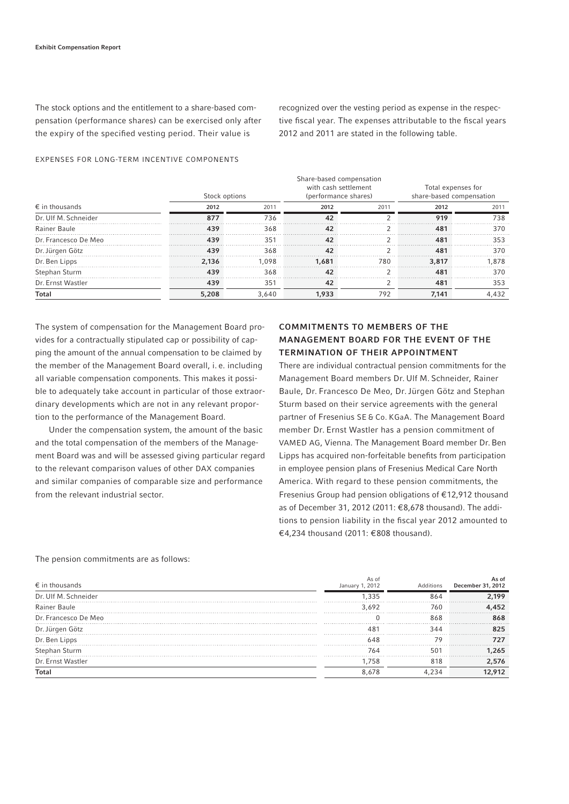The stock options and the entitlement to a share-based compensation (performance shares) can be exercised only after the expiry of the specified vesting period. Their value is

recognized over the vesting period as expense in the respective fiscal year. The expenses attributable to the fiscal years 2012 and 2011 are stated in the following table.

#### EXPENSES FOR LONG-TERM INCENTIVE COMPONENTS

|                         | Stock options |       | Share-based compensation<br>with cash settlement<br>(performance shares) |      | Total expenses for<br>share-based compensation |       |  |
|-------------------------|---------------|-------|--------------------------------------------------------------------------|------|------------------------------------------------|-------|--|
| $\epsilon$ in thousands | 2012          | 2011  | 2012                                                                     | 2011 | 2012                                           | 2011  |  |
| Dr. Ulf M. Schneider    | 877           | 736   | 42                                                                       |      | 919                                            | 738   |  |
| Rainer Baule            | 439           | 368   |                                                                          |      | 481                                            | 370   |  |
| Dr. Francesco De Meo    | 439           | 351   | 42                                                                       |      | 481                                            | 353   |  |
| Dr. Jürgen Götz         | 439           | 368   |                                                                          |      | 481                                            | 370   |  |
| Dr. Ben Lipps           | 2.136         | .098  | 1.681                                                                    | 780  | 3.817                                          | .878  |  |
| Stephan Sturm           | 439           | 368   |                                                                          |      | 48.                                            | 370   |  |
| Dr. Ernst Wastler       | 439           | 351   | 42                                                                       |      | 481                                            | 353   |  |
| <b>Total</b>            | 5,208         | 3.640 | 1.933                                                                    | 792  | 7.141                                          | 4,432 |  |

The system of compensation for the Management Board provides for a contractually stipulated cap or possibility of capping the amount of the annual compensation to be claimed by the member of the Management Board overall, i. e. including all variable compensation components. This makes it possible to adequately take account in particular of those extraordinary developments which are not in any relevant proportion to the performance of the Management Board.

Under the compensation system, the amount of the basic and the total compensation of the members of the Management Board was and will be assessed giving particular regard to the relevant comparison values of other DAX companies and similar companies of comparable size and performance from the relevant industrial sector.

# COMMITMENTS TO MEMBERS OF THE MANAGEMENT BOARD FOR THE EVENT OF THE TERMINATION OF THEIR APPOINTMENT

There are individual contractual pension commitments for the Management Board members Dr. Ulf M. Schneider, Rainer Baule, Dr. Francesco De Meo, Dr. Jürgen Götz and Stephan Sturm based on their service agreements with the general partner of Fresenius SE & Co. KGaA. The Management Board member Dr. Ernst Wastler has a pension commitment of VAMED AG, Vienna. The Management Board member Dr. Ben Lipps has acquired non-forfeitable benefits from participation in employee pension plans of Fresenius Medical Care North America. With regard to these pension commitments, the Fresenius Group had pension obligations of € 12,912 thousand as of December 31, 2012 (2011: € 8,678 thousand). The additions to pension liability in the fiscal year 2012 amounted to € 4,234 thousand (2011: € 808 thousand).

#### The pension commitments are as follows:

| $\epsilon$ in thousands | As of<br>January 1, 2012 | Additions    | As of<br>December 31, 2012 |
|-------------------------|--------------------------|--------------|----------------------------|
| Dr. Ulf M. Schneider    | 335                      | 864          | 199                        |
| Rainer Baule            | 3 692                    | 760          | 152                        |
| Dr. Francesco De Meo    |                          | 868          | 868                        |
| Dr. Jürgen Götz         | 48 <sup>7</sup>          | 344          | 825                        |
| Dr. Ben Lipps           | 648                      | 79           |                            |
| Stephan Sturm           | 764                      | $50^{\circ}$ | 265                        |
| Dr. Ernst Wastler       | .758                     | 818          | 2,576                      |
| <b>Total</b>            | 8678                     |              | 12.912                     |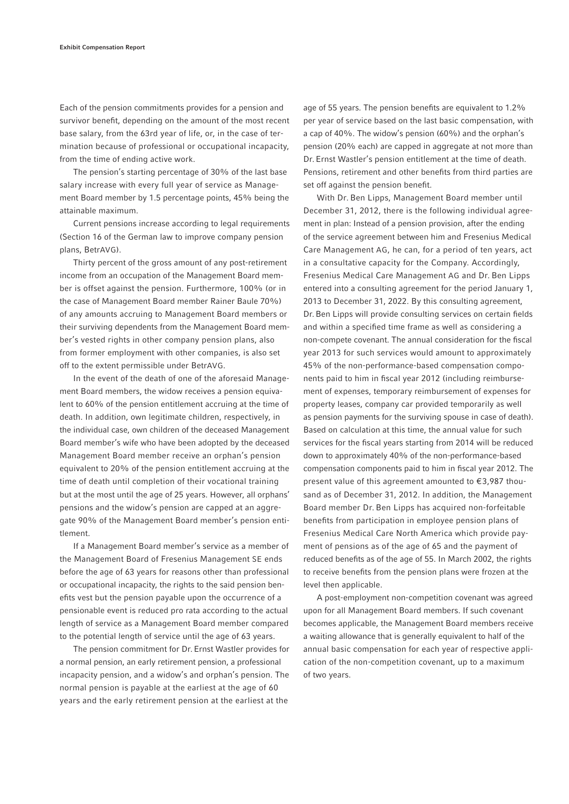Each of the pension commitments provides for a pension and survivor benefit, depending on the amount of the most recent base salary, from the 63rd year of life, or, in the case of termination because of professional or occupational incapacity, from the time of ending active work.

The pension's starting percentage of 30% of the last base salary increase with every full year of service as Management Board member by 1.5 percentage points, 45% being the attainable maximum.

Current pensions increase according to legal requirements (Section 16 of the German law to improve company pension plans, BetrAVG).

Thirty percent of the gross amount of any post-retirement income from an occupation of the Management Board member is offset against the pension. Furthermore, 100% (or in the case of Management Board member Rainer Baule 70%) of any amounts accruing to Management Board members or their surviving dependents from the Management Board member's vested rights in other company pension plans, also from former employment with other companies, is also set off to the extent permissible under BetrAVG.

In the event of the death of one of the aforesaid Management Board members, the widow receives a pension equivalent to 60% of the pension entitlement accruing at the time of death. In addition, own legitimate children, respectively, in the individual case, own children of the deceased Management Board member's wife who have been adopted by the deceased Management Board member receive an orphan's pension equivalent to 20% of the pension entitlement accruing at the time of death until completion of their vocational training but at the most until the age of 25 years. However, all orphans' pensions and the widow's pension are capped at an aggregate 90% of the Management Board member's pension entitlement.

If a Management Board member's service as a member of the Management Board of Fresenius Management SE ends before the age of 63 years for reasons other than professional or occupational incapacity, the rights to the said pension benefits vest but the pension payable upon the occurrence of a pensionable event is reduced pro rata according to the actual length of service as a Management Board member compared to the potential length of service until the age of 63 years.

The pension commitment for Dr. Ernst Wastler provides for a normal pension, an early retirement pension, a professional incapacity pension, and a widow's and orphan's pension. The normal pension is payable at the earliest at the age of 60 years and the early retirement pension at the earliest at the

age of 55 years. The pension benefits are equivalent to 1.2% per year of service based on the last basic compensation, with a cap of 40%. The widow's pension (60%) and the orphan's pension (20% each) are capped in aggregate at not more than Dr. Ernst Wastler's pension entitlement at the time of death. Pensions, retirement and other benefits from third parties are set off against the pension benefit.

With Dr. Ben Lipps, Management Board member until December 31, 2012, there is the following individual agreement in plan: Instead of a pension provision, after the ending of the service agreement between him and Fresenius Medical Care Management AG, he can, for a period of ten years, act in a consultative capacity for the Company. Accordingly, Fresenius Medical Care Management AG and Dr. Ben Lipps entered into a consulting agreement for the period January 1, 2013 to December 31, 2022. By this consulting agreement, Dr. Ben Lipps will provide consulting services on certain fields and within a specified time frame as well as considering a non-compete covenant. The annual consideration for the fiscal year 2013 for such services would amount to approximately 45% of the non-performance-based compensation components paid to him in fiscal year 2012 (including reimbursement of expenses, temporary reimbursement of expenses for property leases, company car provided temporarily as well as pension payments for the surviving spouse in case of death). Based on calculation at this time, the annual value for such services for the fiscal years starting from 2014 will be reduced down to approximately 40% of the non-performance-based compensation components paid to him in fiscal year 2012. The present value of this agreement amounted to  $\epsilon$ 3,987 thousand as of December 31, 2012. In addition, the Management Board member Dr. Ben Lipps has acquired non-forfeitable benefits from participation in employee pension plans of Fresenius Medical Care North America which provide payment of pensions as of the age of 65 and the payment of reduced benefits as of the age of 55. In March 2002, the rights to receive benefits from the pension plans were frozen at the level then applicable.

A post-employment non-competition covenant was agreed upon for all Management Board members. If such covenant becomes applicable, the Management Board members receive a waiting allowance that is generally equivalent to half of the annual basic compensation for each year of respective application of the non-competition covenant, up to a maximum of two years.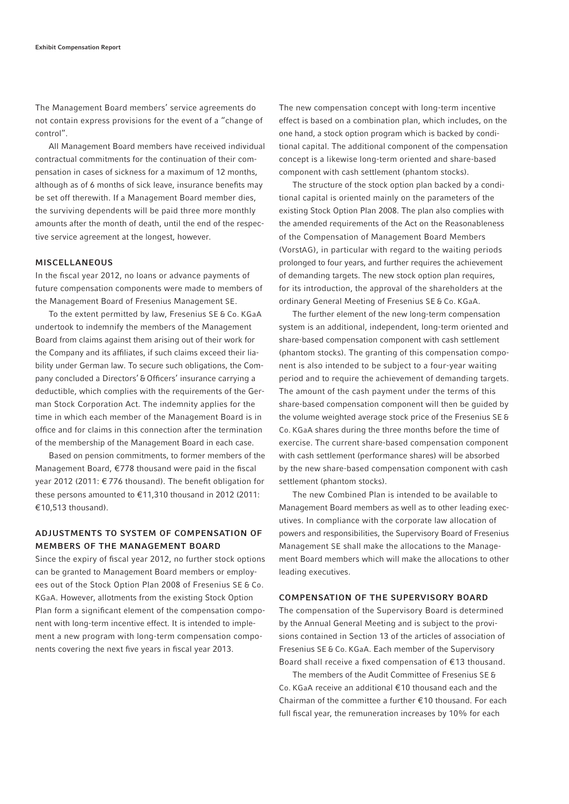The Management Board members' service agreements do not contain express provisions for the event of a "change of control".

All Management Board members have received individual contractual commitments for the continuation of their compensation in cases of sickness for a maximum of 12 months, although as of 6 months of sick leave, insurance benefits may be set off therewith. If a Management Board member dies, the surviving dependents will be paid three more monthly amounts after the month of death, until the end of the respective service agreement at the longest, however.

#### MISCELLANEOUS

In the fiscal year 2012, no loans or advance payments of future compensation components were made to members of the Management Board of Fresenius Management SE.

To the extent permitted by law, Fresenius SE & Co. KGaA undertook to indemnify the members of the Management Board from claims against them arising out of their work for the Company and its affiliates, if such claims exceed their liability under German law. To secure such obligations, the Company concluded a Directors' & Officers' insurance carrying a deductible, which complies with the requirements of the German Stock Corporation Act. The indemnity applies for the time in which each member of the Management Board is in office and for claims in this connection after the termination of the membership of the Management Board in each case.

Based on pension commitments, to former members of the Management Board,  $\epsilon$ 778 thousand were paid in the fiscal year 2012 (2011: € 776 thousand). The benefit obligation for these persons amounted to € 11,310 thousand in 2012 (2011: € 10,513 thousand).

### ADJUSTMENTS TO SYSTEM OF COMPENSATION OF MEMBERS OF THE MANAGEMENT BOARD

Since the expiry of fiscal year 2012, no further stock options can be granted to Management Board members or employees out of the Stock Option Plan 2008 of Fresenius SE & Co. KGaA. However, allotments from the existing Stock Option Plan form a significant element of the compensation component with long-term incentive effect. It is intended to implement a new program with long-term compensation components covering the next five years in fiscal year 2013.

The new compensation concept with long-term incentive effect is based on a combination plan, which includes, on the one hand, a stock option program which is backed by conditional capital. The additional component of the compensation concept is a likewise long-term oriented and share-based component with cash settlement (phantom stocks).

The structure of the stock option plan backed by a conditional capital is oriented mainly on the parameters of the existing Stock Option Plan 2008. The plan also complies with the amended requirements of the Act on the Reasonableness of the Compensation of Management Board Members (VorstAG), in particular with regard to the waiting periods prolonged to four years, and further requires the achievement of demanding targets. The new stock option plan requires, for its introduction, the approval of the shareholders at the ordinary General Meeting of Fresenius SE & Co. KGaA.

The further element of the new long-term compensation system is an additional, independent, long-term oriented and share-based compensation component with cash settlement (phantom stocks). The granting of this compensation component is also intended to be subject to a four-year waiting period and to require the achievement of demanding targets. The amount of the cash payment under the terms of this share-based compensation component will then be guided by the volume weighted average stock price of the Fresenius SE & Co. KGaA shares during the three months before the time of exercise. The current share-based compensation component with cash settlement (performance shares) will be absorbed by the new share-based compensation component with cash settlement (phantom stocks).

The new Combined Plan is intended to be available to Management Board members as well as to other leading executives. In compliance with the corporate law allocation of powers and responsibilities, the Supervisory Board of Fresenius Management SE shall make the allocations to the Management Board members which will make the allocations to other leading executives.

#### COMPENSATION OF THE SUPERVISORY BOARD

The compensation of the Supervisory Board is determined by the Annual General Meeting and is subject to the provisions contained in Section 13 of the articles of association of Fresenius SE & Co. KGaA. Each member of the Supervisory Board shall receive a fixed compensation of  $E$ 13 thousand.

The members of the Audit Committee of Fresenius SE & Co. KGaA receive an additional € 10 thousand each and the Chairman of the committee a further € 10 thousand. For each full fiscal year, the remuneration increases by 10% for each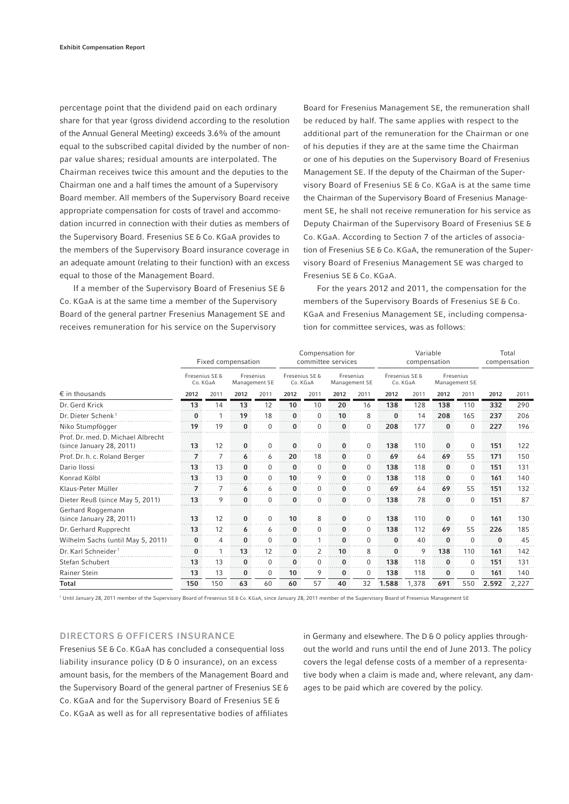percentage point that the dividend paid on each ordinary share for that year (gross dividend according to the resolution of the Annual General Meeting) exceeds 3.6% of the amount equal to the subscribed capital divided by the number of nonpar value shares; residual amounts are interpolated. The Chairman receives twice this amount and the deputies to the Chairman one and a half times the amount of a Supervisory Board member. All members of the Supervisory Board receive appropriate compensation for costs of travel and accommodation incurred in connection with their duties as members of the Supervisory Board. Fresenius SE & Co. KGaA provides to the members of the Supervisory Board insurance coverage in an adequate amount (relating to their function) with an excess equal to those of the Management Board.

If a member of the Supervisory Board of Fresenius SE & Co. KGaA is at the same time a member of the Supervisory Board of the general partner Fresenius Management SE and receives remuneration for his service on the Supervisory

Board for Fresenius Management SE, the remuneration shall be reduced by half. The same applies with respect to the additional part of the remuneration for the Chairman or one of his deputies if they are at the same time the Chairman or one of his deputies on the Supervisory Board of Fresenius Management SE. If the deputy of the Chairman of the Supervisory Board of Fresenius SE & Co. KGaA is at the same time the Chairman of the Supervisory Board of Fresenius Management SE, he shall not receive remuneration for his service as Deputy Chairman of the Supervisory Board of Fresenius SE & Co. KGaA. According to Section 7 of the articles of association of Fresenius SE & Co. KGaA, the remuneration of the Supervisory Board of Fresenius Management SE was charged to Fresenius SE & Co. KGaA.

For the years 2012 and 2011, the compensation for the members of the Supervisory Boards of Fresenius SE & Co. KGaA and Fresenius Management SE, including compensation for committee services, was as follows:

|                                                                | Fixed compensation         |                |                            | Compensation for<br>committee services |                            |              | Variable<br>compensation   |          |                            |       | Total<br>compensation      |          |          |       |
|----------------------------------------------------------------|----------------------------|----------------|----------------------------|----------------------------------------|----------------------------|--------------|----------------------------|----------|----------------------------|-------|----------------------------|----------|----------|-------|
|                                                                | Fresenius SE &<br>Co. KGaA |                | Fresenius<br>Management SE |                                        | Fresenius SE &<br>Co. KGaA |              | Fresenius<br>Management SE |          | Fresenius SE &<br>Co. KGaA |       | Fresenius<br>Management SE |          |          |       |
| $\epsilon$ in thousands                                        | 2012                       | 2011           | 2012                       | 2011                                   | 2012                       | 2011         | 2012                       | 2011     | 2012                       | 2011  | 2012                       | 2011     | 2012     | 2011  |
| Dr. Gerd Krick                                                 | 13                         | 14             | 13                         | 12                                     | 10                         | 10           | 20                         | 16       | 138                        | 128   | 138                        | 110      | 332      | 290   |
| Dr. Dieter Schenk <sup>1</sup>                                 | 0                          |                | 19                         | 18                                     | 0                          | $\Omega$     | 10                         | 8        | 0                          | 14    | 208                        | 165      | 237      | 206   |
| Niko Stumpfögger                                               | 19                         | 19             | $\bf{0}$                   | $\mathbf 0$                            | $\bf{0}$                   | 0            | $\bf{0}$                   | $\Omega$ | 208                        | 177   | $\bf{0}$                   | 0        | 227      | 196   |
| Prof. Dr. med. D. Michael Albrecht<br>(since January 28, 2011) | 13                         | 12             | $\bf{0}$                   | $\mathbf 0$                            | 0                          | $\mathbf{0}$ | $\bf{0}$                   | 0        | 138                        | 110   | $\bf{0}$                   | 0        | 151      | 122   |
| Prof. Dr. h. c. Roland Berger                                  | 7                          |                | 6                          | 6                                      | 20                         | 18           | 0                          | $\Omega$ | 69                         | 64    | 69                         | 55       | 171      | 150   |
| Dario Ilossi                                                   | 13                         | 13             | $\bf{0}$                   | $\Omega$                               | $\bf{0}$                   | $\Omega$     | $\bf{0}$                   | $\Omega$ | 138                        | 118   | $\bf{0}$                   | $\Omega$ | 151      | 131   |
| Konrad Kölbl                                                   | 13                         | 13             | $\bf{0}$                   | $\Omega$                               | 10                         | 9            | $\Omega$                   | $\Omega$ | 138                        | 118   | $\bf{0}$                   | 0        | 161      | 140   |
| Klaus-Peter Müller                                             | 7                          | $\overline{7}$ | 6                          | 6                                      | 0                          | 0            | 0                          | $\Omega$ | 69                         | 64    | 69                         | 55       | 151      | 132   |
| Dieter Reuß (since May 5, 2011)                                | 13                         | 9              | 0                          | $\Omega$                               | 0                          | $\Omega$     |                            | $\Omega$ | 138                        | 78    | $\bf{0}$                   | $\Omega$ | 151      | 87    |
| Gerhard Roggemann<br>(since January 28, 2011)                  | 13                         | 12             | $\bf{0}$                   | $\Omega$                               | 10                         | 8            | $\bf{0}$                   | $\Omega$ | 138                        | 110   | $\bf{0}$                   | 0        | 161      | 130   |
| Dr. Gerhard Rupprecht                                          | 13                         | 12             | 6                          | 6                                      | $\bf{0}$                   | $\Omega$     | 0                          | 0        | 138                        | 112   | 69                         | 55       | 226      | 185   |
| Wilhelm Sachs (until May 5, 2011)                              | $\bf{0}$                   | 4              | $\bf{0}$                   | 0                                      | 0                          |              | 0                          | $\Omega$ | $\bf{0}$                   | 40    | $\bf{0}$                   | 0        | $\bf{0}$ | 45    |
| Dr. Karl Schneider <sup>1</sup>                                | $\bf{0}$                   |                | 13                         | 12                                     | 0                          | 2            | 10                         | 8        | 0                          | 9     | 138                        | 110      | 161      | 142   |
| Stefan Schubert                                                | 13                         | 13             | $\bf{0}$                   | $\Omega$                               | $\bf{0}$                   | $\Omega$     | $\bf{0}$                   | $\Omega$ | 138                        | 118   | $\bf{0}$                   | 0        | 151      | 131   |
| Rainer Stein                                                   | 13                         | 13             | $\bf{0}$                   | $\Omega$                               | 10                         | 9            | $\bf{0}$                   | $\Omega$ | 138                        | 118   | $\bf{0}$                   | 0        | 161      | 140   |
| <b>Total</b>                                                   | 150                        | 150            | 63                         | 60                                     | 60                         | 57           | 40                         | 32       | 1.588                      | 1,378 | 691                        | 550      | 2.592    | 2,227 |

1 Until January 28, 2011 member of the Supervisory Board of Fresenius SE & Co. KGaA, since January 28, 2011 member of the Supervisory Board of Fresenius Management SE

#### DIRECTORS & OFFICERS INSURANCE

Fresenius SE & Co. KGaA has concluded a consequential loss liability insurance policy (D & O insurance), on an excess amount basis, for the members of the Management Board and the Supervisory Board of the general partner of Fresenius SE & Co. KGaA and for the Supervisory Board of Fresenius SE & Co. KGaA as well as for all representative bodies of affiliates

in Germany and elsewhere. The D & O policy applies throughout the world and runs until the end of June 2013. The policy covers the legal defense costs of a member of a representative body when a claim is made and, where relevant, any damages to be paid which are covered by the policy.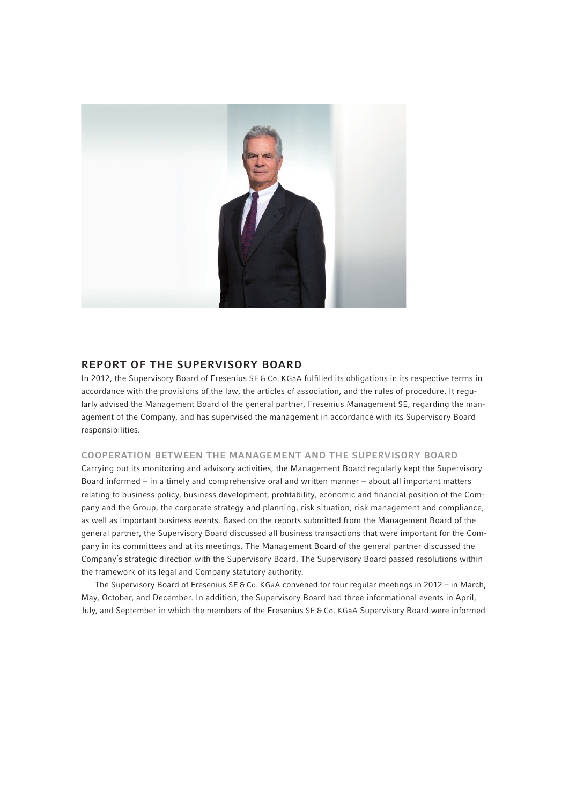

# REPORT OF THE SUPERVISORY BOARD

In 2012, the Supervisory Board of Fresenius SE & Co. KGaA fulfilled its obligations in its respective terms in accordance with the provisions of the law, the articles of association, and the rules of procedure. It regularly advised the Management Board of the general partner, Fresenius Management SE, regarding the management of the Company, and has supervised the management in accordance with its Supervisory Board responsibilities.

#### COOPERATION BETWEEN THE MANAGEMENT AND THE SUPERVISORY BOARD

Carrying out its monitoring and advisory activities, the Management Board regularly kept the Supervisory Board informed − in a timely and comprehensive oral and written manner − about all important matters relating to business policy, business development, profitability, economic and financial position of the Company and the Group, the corporate strategy and planning, risk situation, risk management and compliance, as well as important business events. Based on the reports submitted from the Management Board of the general partner, the Supervisory Board discussed all business transactions that were important for the Company in its committees and at its meetings. The Management Board of the general partner discussed the Company's strategic direction with the Supervisory Board. The Supervisory Board passed resolutions within the framework of its legal and Company statutory authority.

The Supervisory Board of Fresenius SE & Co. KGaA convened for four regular meetings in 2012 – in March, May, October, and December. In addition, the Supervisory Board had three informational events in April, July, and September in which the members of the Fresenius SE & Co. KGaA Supervisory Board were informed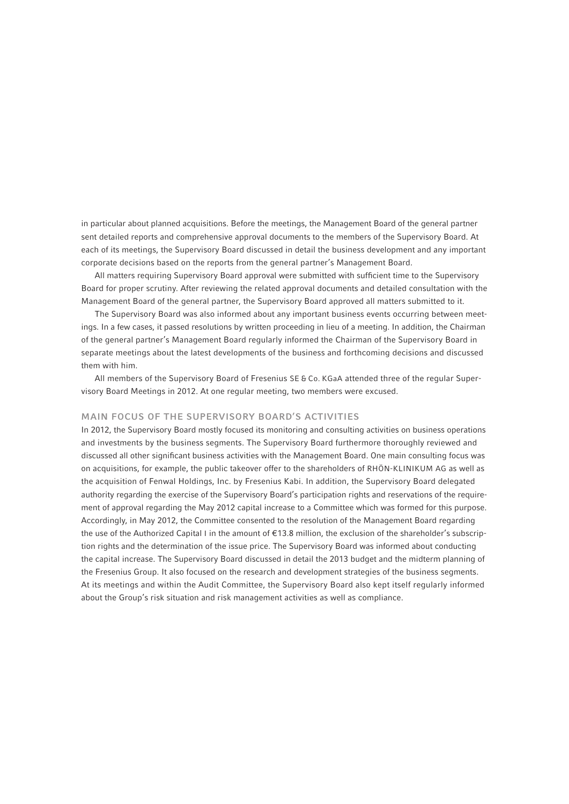in particular about planned acquisitions. Before the meetings, the Management Board of the general partner sent detailed reports and comprehensive approval documents to the members of the Supervisory Board. At each of its meetings, the Supervisory Board discussed in detail the business development and any important corporate decisions based on the reports from the general partner's Management Board.

All matters requiring Supervisory Board approval were submitted with sufficient time to the Supervisory Board for proper scrutiny. After reviewing the related approval documents and detailed consultation with the Management Board of the general partner, the Supervisory Board approved all matters submitted to it.

The Supervisory Board was also informed about any important business events occurring between meetings. In a few cases, it passed resolutions by written proceeding in lieu of a meeting. In addition, the Chairman of the general partner's Management Board regularly informed the Chairman of the Supervisory Board in separate meetings about the latest developments of the business and forthcoming decisions and discussed them with him.

All members of the Supervisory Board of Fresenius SE & Co. KGaA attended three of the regular Supervisory Board Meetings in 2012. At one regular meeting, two members were excused.

# MAIN FOCUS OF THE SUPERVISORY BOARD'S ACTIVITIES

In 2012, the Supervisory Board mostly focused its monitoring and consulting activities on business operations and investments by the business segments. The Supervisory Board furthermore thoroughly reviewed and discussed all other significant business activities with the Management Board. One main consulting focus was on acquisitions, for example, the public takeover offer to the shareholders of RHÖN-KLINIKUM AG as well as the acquisition of Fenwal Holdings, Inc. by Fresenius Kabi. In addition, the Supervisory Board delegated authority regarding the exercise of the Supervisory Board's participation rights and reservations of the requirement of approval regarding the May 2012 capital increase to a Committee which was formed for this purpose. Accordingly, in May 2012, the Committee consented to the resolution of the Management Board regarding the use of the Authorized Capital I in the amount of € 13.8 million, the exclusion of the shareholder's subscription rights and the determination of the issue price. The Supervisory Board was informed about conducting the capital increase. The Supervisory Board discussed in detail the 2013 budget and the midterm planning of the Fresenius Group. It also focused on the research and development strategies of the business segments. At its meetings and within the Audit Committee, the Supervisory Board also kept itself regularly informed about the Group's risk situation and risk management activities as well as compliance.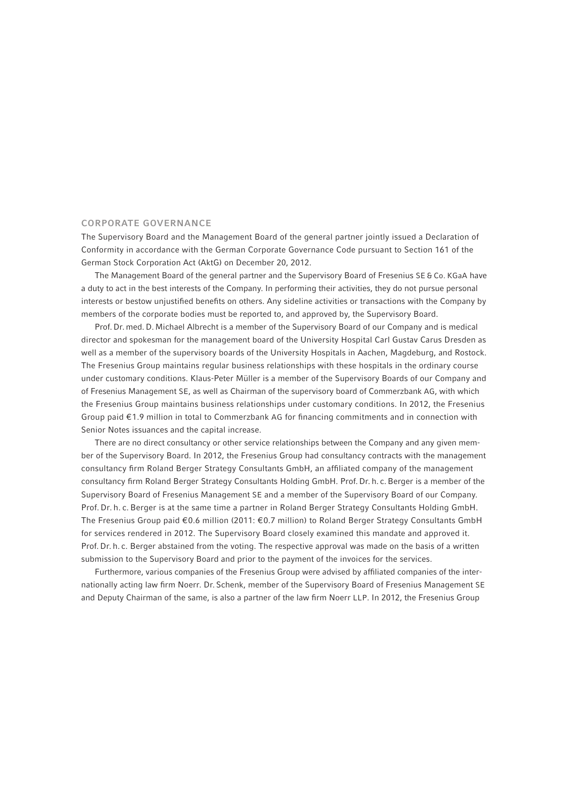#### CORPORATE GOVERNANCE

The Supervisory Board and the Management Board of the general partner jointly issued a Declaration of Conformity in accordance with the German Corporate Governance Code pursuant to Section 161 of the German Stock Corporation Act (AktG) on December 20, 2012.

The Management Board of the general partner and the Supervisory Board of Fresenius SE & Co. KGaA have a duty to act in the best interests of the Company. In performing their activities, they do not pursue personal interests or bestow unjustified benefits on others. Any sideline activities or transactions with the Company by members of the corporate bodies must be reported to, and approved by, the Supervisory Board.

Prof. Dr. med. D. Michael Albrecht is a member of the Supervisory Board of our Company and is medical director and spokesman for the management board of the University Hospital Carl Gustav Carus Dresden as well as a member of the supervisory boards of the University Hospitals in Aachen, Magdeburg, and Rostock. The Fresenius Group maintains regular business relationships with these hospitals in the ordinary course under customary conditions. Klaus-Peter Müller is a member of the Supervisory Boards of our Company and of Fresenius Management SE, as well as Chairman of the supervisory board of Commerzbank AG, with which the Fresenius Group maintains business relationships under customary conditions. In 2012, the Fresenius Group paid  $\epsilon$ 1.9 million in total to Commerzbank AG for financing commitments and in connection with Senior Notes issuances and the capital increase.

There are no direct consultancy or other service relationships between the Company and any given member of the Supervisory Board. In 2012, the Fresenius Group had consultancy contracts with the management consultancy firm Roland Berger Strategy Consultants GmbH, an affiliated company of the management consultancy firm Roland Berger Strategy Consultants Holding GmbH. Prof. Dr. h. c. Berger is a member of the Supervisory Board of Fresenius Management SE and a member of the Supervisory Board of our Company. Prof. Dr. h. c. Berger is at the same time a partner in Roland Berger Strategy Consultants Holding GmbH. The Fresenius Group paid € 0.6 million (2011: € 0.7 million) to Roland Berger Strategy Consultants GmbH for services rendered in 2012. The Supervisory Board closely examined this mandate and approved it. Prof. Dr. h. c. Berger abstained from the voting. The respective approval was made on the basis of a written submission to the Supervisory Board and prior to the payment of the invoices for the services.

Furthermore, various companies of the Fresenius Group were advised by affiliated companies of the internationally acting law firm Noerr. Dr. Schenk, member of the Supervisory Board of Fresenius Management SE and Deputy Chairman of the same, is also a partner of the law firm Noerr LLP. In 2012, the Fresenius Group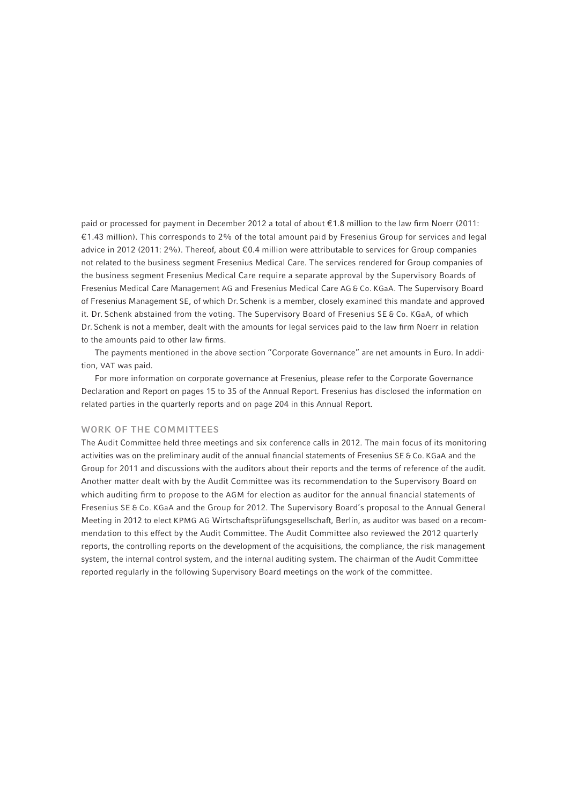paid or processed for payment in December 2012 a total of about  $\epsilon$ 1.8 million to the law firm Noerr (2011: € 1.43 million). This corresponds to 2% of the total amount paid by Fresenius Group for services and legal advice in 2012 (2011: 2%). Thereof, about € 0.4 million were attributable to services for Group companies not related to the business segment Fresenius Medical Care. The services rendered for Group companies of the business segment Fresenius Medical Care require a separate approval by the Supervisory Boards of Fresenius Medical Care Management AG and Fresenius Medical Care AG & Co. KGaA. The Supervisory Board of Fresenius Management SE, of which Dr. Schenk is a member, closely examined this mandate and approved it. Dr. Schenk abstained from the voting. The Supervisory Board of Fresenius SE & Co. KGaA, of which Dr. Schenk is not a member, dealt with the amounts for legal services paid to the law firm Noerr in relation to the amounts paid to other law firms.

The payments mentioned in the above section "Corporate Governance" are net amounts in Euro. In addition, VAT was paid.

For more information on corporate governance at Fresenius, please refer to the Corporate Governance Declaration and Report on pages 15 to 35 of the Annual Report. Fresenius has disclosed the information on related parties in the quarterly reports and on page 204 in this Annual Report.

#### WORK OF THE COMMITTEES

The Audit Committee held three meetings and six conference calls in 2012. The main focus of its monitoring activities was on the preliminary audit of the annual financial statements of Fresenius SE & Co. KGaA and the Group for 2011 and discussions with the auditors about their reports and the terms of reference of the audit. Another matter dealt with by the Audit Committee was its recommendation to the Supervisory Board on which auditing firm to propose to the AGM for election as auditor for the annual financial statements of Fresenius SE & Co. KGaA and the Group for 2012. The Supervisory Board's proposal to the Annual General Meeting in 2012 to elect KPMG AG Wirtschaftsprüfungsgesellschaft, Berlin, as auditor was based on a recommendation to this effect by the Audit Committee. The Audit Committee also reviewed the 2012 quarterly reports, the controlling reports on the development of the acquisitions, the compliance, the risk management system, the internal control system, and the internal auditing system. The chairman of the Audit Committee reported regularly in the following Supervisory Board meetings on the work of the committee.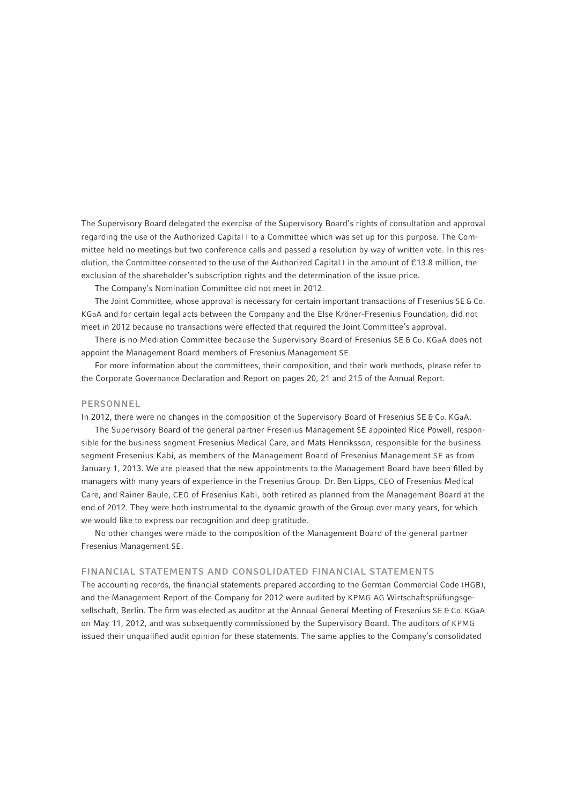The Supervisory Board delegated the exercise of the Supervisory Board's rights of consultation and approval regarding the use of the Authorized Capital I to a Committee which was set up for this purpose. The Committee held no meetings but two conference calls and passed a resolution by way of written vote. In this resolution, the Committee consented to the use of the Authorized Capital I in the amount of € 13.8 million, the exclusion of the shareholder's subscription rights and the determination of the issue price.

The Company's Nomination Committee did not meet in 2012.

The Joint Committee, whose approval is necessary for certain important transactions of Fresenius SE & Co. KGaA and for certain legal acts between the Company and the Else Kröner-Fresenius Foundation, did not meet in 2012 because no transactions were effected that required the Joint Committee's approval.

There is no Mediation Committee because the Supervisory Board of Fresenius SE & Co. KGaA does not appoint the Management Board members of Fresenius Management SE.

For more information about the committees, their composition, and their work methods, please refer to the Corporate Governance Declaration and Report on pages 20, 21 and 215 of the Annual Report.

#### PERSONNEL

In 2012, there were no changes in the composition of the Supervisory Board of Fresenius SE & Co. KGaA.

The Supervisory Board of the general partner Fresenius Management SE appointed Rice Powell, responsible for the business segment Fresenius Medical Care, and Mats Henriksson, responsible for the business segment Fresenius Kabi, as members of the Management Board of Fresenius Management SE as from January 1, 2013. We are pleased that the new appointments to the Management Board have been filled by managers with many years of experience in the Fresenius Group. Dr. Ben Lipps, CEO of Fresenius Medical Care, and Rainer Baule, CEO of Fresenius Kabi, both retired as planned from the Management Board at the end of 2012. They were both instrumental to the dynamic growth of the Group over many years, for which we would like to express our recognition and deep gratitude.

No other changes were made to the composition of the Management Board of the general partner Fresenius Management SE.

#### FINANCIAL STATEMENTS AND CONSOLIDATED FINANCIAL STATEMENTS

The accounting records, the financial statements prepared according to the German Commercial Code (HGB), and the Management Report of the Company for 2012 were audited by KPMG AG Wirtschaftsprüfungsgesellschaft, Berlin. The firm was elected as auditor at the Annual General Meeting of Fresenius SE & Co. KGaA on May 11, 2012, and was subsequently commissioned by the Supervisory Board. The auditors of KPMG issued their unqualified audit opinion for these statements. The same applies to the Company's consolidated